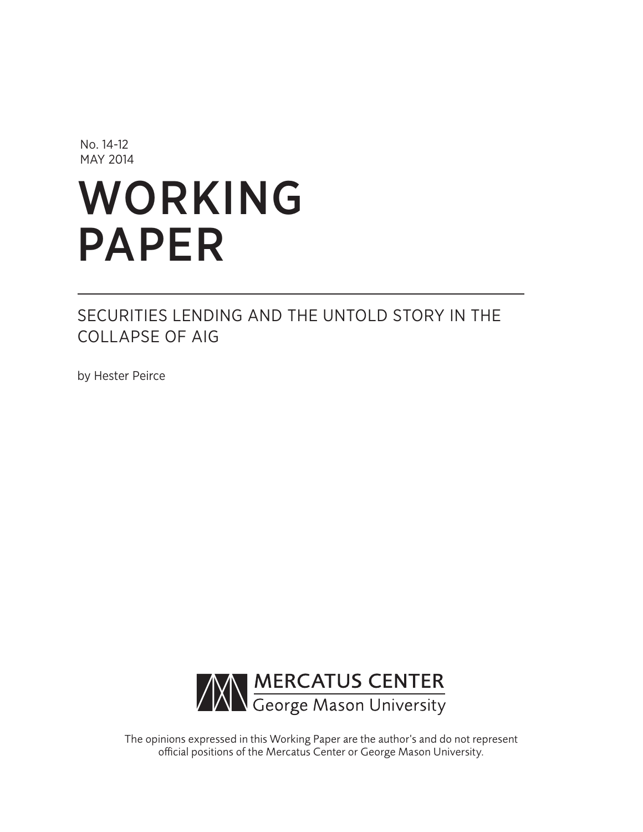No. 14-12 MAY 2014

# WORKING PAPER

SECURITIES LENDING AND THE UNTOLD STORY IN THE COLLAPSE OF AIG

by Hester Peirce



The opinions expressed in this Working Paper are the author's and do not represent official positions of the Mercatus Center or George Mason University.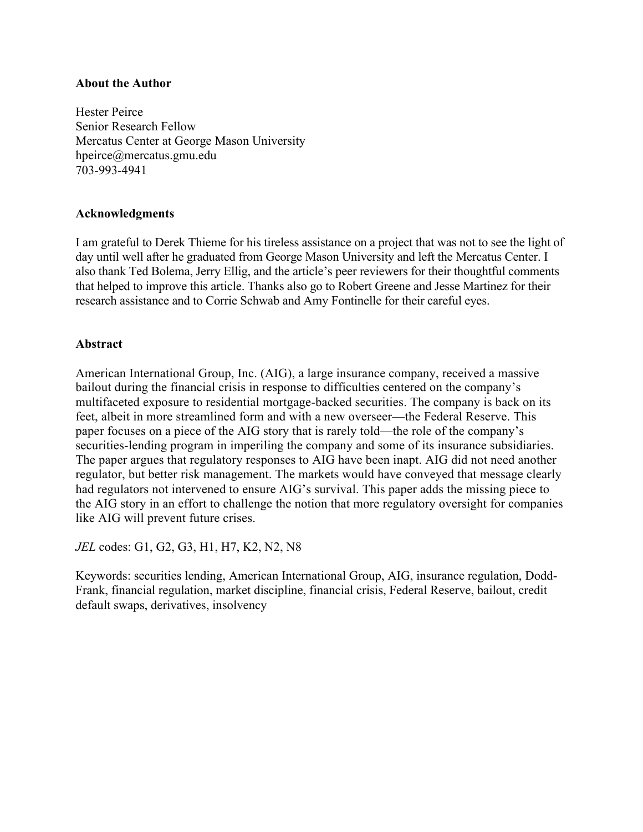## **About the Author**

Hester Peirce Senior Research Fellow Mercatus Center at George Mason University [hpeirce@mercatus.gmu.edu](mailto:hpeirce@mercatus.gmu.edu) 703-993-4941

## **Acknowledgments**

I am grateful to Derek Thieme for his tireless assistance on a project that was not to see the light of day until well after he graduated from George Mason University and left the Mercatus Center. I also thank Ted Bolema, Jerry Ellig, and the article's peer reviewers for their thoughtful comments that helped to improve this article. Thanks also go to Robert Greene and Jesse Martinez for their research assistance and to Corrie Schwab and Amy Fontinelle for their careful eyes.

## **Abstract**

American International Group, Inc. (AIG), a large insurance company, received a massive bailout during the financial crisis in response to difficulties centered on the company's multifaceted exposure to residential mortgage-backed securities. The company is back on its feet, albeit in more streamlined form and with a new overseer—the Federal Reserve. This paper focuses on a piece of the AIG story that is rarely told—the role of the company's securities-lending program in imperiling the company and some of its insurance subsidiaries. The paper argues that regulatory responses to AIG have been inapt. AIG did not need another regulator, but better risk management. The markets would have conveyed that message clearly had regulators not intervened to ensure AIG's survival. This paper adds the missing piece to the AIG story in an effort to challenge the notion that more regulatory oversight for companies like AIG will prevent future crises.

*JEL* codes: G1, G2, G3, H1, H7, K2, N2, N8

Keywords: securities lending, American International Group, AIG, insurance regulation, Dodd-Frank, financial regulation, market discipline, financial crisis, Federal Reserve, bailout, credit default swaps, derivatives, insolvency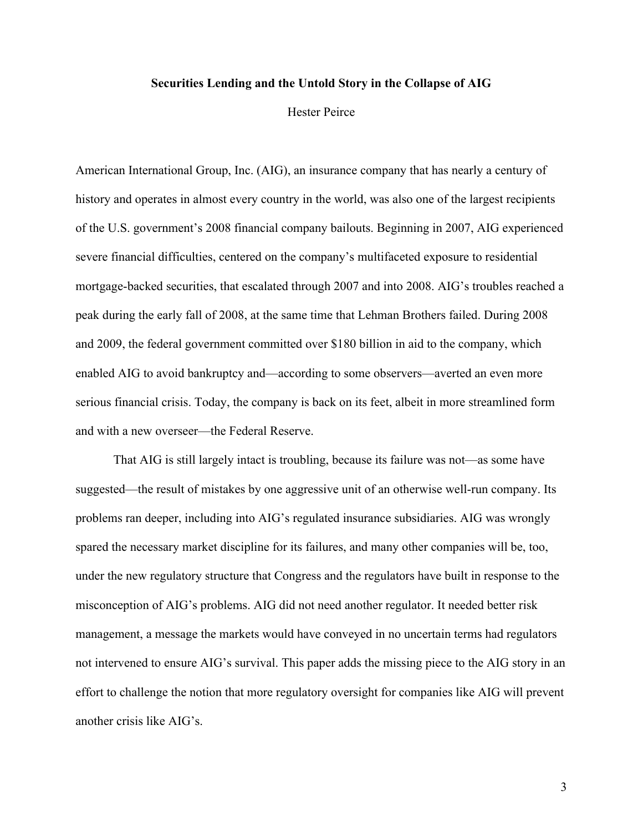## **Securities Lending and the Untold Story in the Collapse of AIG**

Hester Peirce

American International Group, Inc. (AIG), an insurance company that has nearly a century of history and operates in almost every country in the world, was also one of the largest recipients of the U.S. government's 2008 financial company bailouts. Beginning in 2007, AIG experienced severe financial difficulties, centered on the company's multifaceted exposure to residential mortgage-backed securities, that escalated through 2007 and into 2008. AIG's troubles reached a peak during the early fall of 2008, at the same time that Lehman Brothers failed. During 2008 and 2009, the federal government committed over \$180 billion in aid to the company, which enabled AIG to avoid bankruptcy and—according to some observers—averted an even more serious financial crisis. Today, the company is back on its feet, albeit in more streamlined form and with a new overseer—the Federal Reserve.

That AIG is still largely intact is troubling, because its failure was not—as some have suggested—the result of mistakes by one aggressive unit of an otherwise well-run company. Its problems ran deeper, including into AIG's regulated insurance subsidiaries. AIG was wrongly spared the necessary market discipline for its failures, and many other companies will be, too, under the new regulatory structure that Congress and the regulators have built in response to the misconception of AIG's problems. AIG did not need another regulator. It needed better risk management, a message the markets would have conveyed in no uncertain terms had regulators not intervened to ensure AIG's survival. This paper adds the missing piece to the AIG story in an effort to challenge the notion that more regulatory oversight for companies like AIG will prevent another crisis like AIG's.

3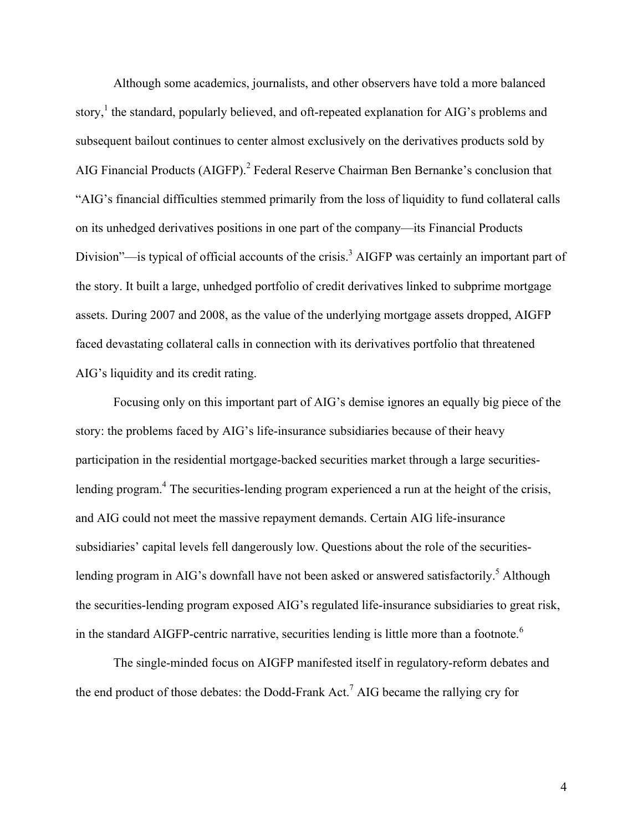Although some academics, journalists, and other observers have told a more balanced story,<sup>1</sup> the standard, popularly believed, and oft-repeated explanation for AIG's problems and subsequent bailout continues to center almost exclusively on the derivatives products sold by AIG Financial Products (AIGFP).<sup>2</sup> Federal Reserve Chairman Ben Bernanke's conclusion that "AIG's financial difficulties stemmed primarily from the loss of liquidity to fund collateral calls on its unhedged derivatives positions in one part of the company—its Financial Products Division"—is typical of official accounts of the crisis.<sup>3</sup> AIGFP was certainly an important part of the story. It built a large, unhedged portfolio of credit derivatives linked to subprime mortgage assets. During 2007 and 2008, as the value of the underlying mortgage assets dropped, AIGFP faced devastating collateral calls in connection with its derivatives portfolio that threatened AIG's liquidity and its credit rating.

Focusing only on this important part of AIG's demise ignores an equally big piece of the story: the problems faced by AIG's life-insurance subsidiaries because of their heavy participation in the residential mortgage-backed securities market through a large securitieslending program.<sup>4</sup> The securities-lending program experienced a run at the height of the crisis, and AIG could not meet the massive repayment demands. Certain AIG life-insurance subsidiaries' capital levels fell dangerously low. Questions about the role of the securitieslending program in AIG's downfall have not been asked or answered satisfactorily.<sup>5</sup> Although the securities-lending program exposed AIG's regulated life-insurance subsidiaries to great risk, in the standard AIGFP-centric narrative, securities lending is little more than a footnote.<sup>6</sup>

The single-minded focus on AIGFP manifested itself in regulatory-reform debates and the end product of those debates: the Dodd-Frank Act.<sup>7</sup> AIG became the rallying cry for

4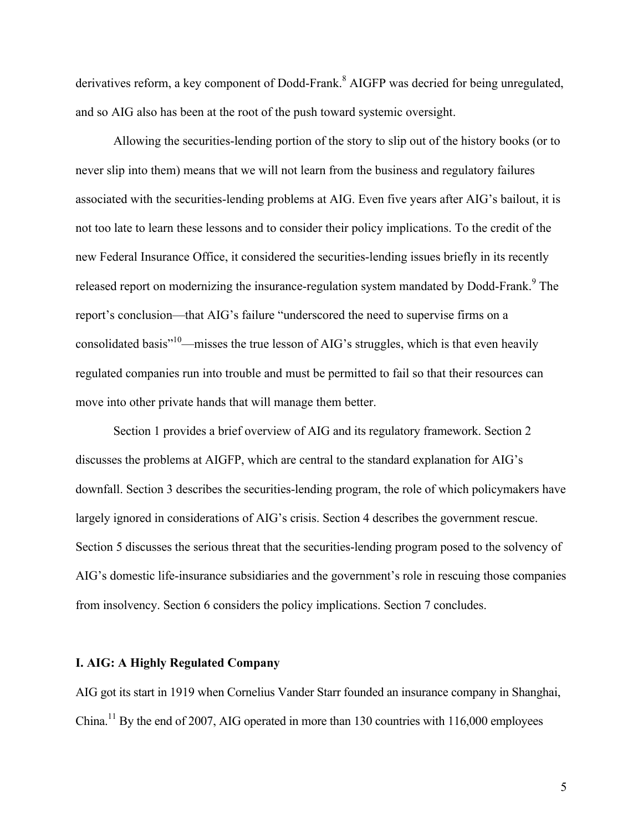derivatives reform, a key component of Dodd-Frank.<sup>8</sup> AIGFP was decried for being unregulated, and so AIG also has been at the root of the push toward systemic oversight.

Allowing the securities-lending portion of the story to slip out of the history books (or to never slip into them) means that we will not learn from the business and regulatory failures associated with the securities-lending problems at AIG. Even five years after AIG's bailout, it is not too late to learn these lessons and to consider their policy implications. To the credit of the new Federal Insurance Office, it considered the securities-lending issues briefly in its recently released report on modernizing the insurance-regulation system mandated by Dodd-Frank.<sup>9</sup> The report's conclusion—that AIG's failure "underscored the need to supervise firms on a consolidated basis"<sup>10</sup>—misses the true lesson of AIG's struggles, which is that even heavily regulated companies run into trouble and must be permitted to fail so that their resources can move into other private hands that will manage them better.

Section 1 provides a brief overview of AIG and its regulatory framework. Section 2 discusses the problems at AIGFP, which are central to the standard explanation for AIG's downfall. Section 3 describes the securities-lending program, the role of which policymakers have largely ignored in considerations of AIG's crisis. Section 4 describes the government rescue. Section 5 discusses the serious threat that the securities-lending program posed to the solvency of AIG's domestic life-insurance subsidiaries and the government's role in rescuing those companies from insolvency. Section 6 considers the policy implications. Section 7 concludes.

#### **I. AIG: A Highly Regulated Company**

AIG got its start in 1919 when Cornelius Vander Starr founded an insurance company in Shanghai, China.<sup>11</sup> By the end of 2007, AIG operated in more than 130 countries with  $116,000$  employees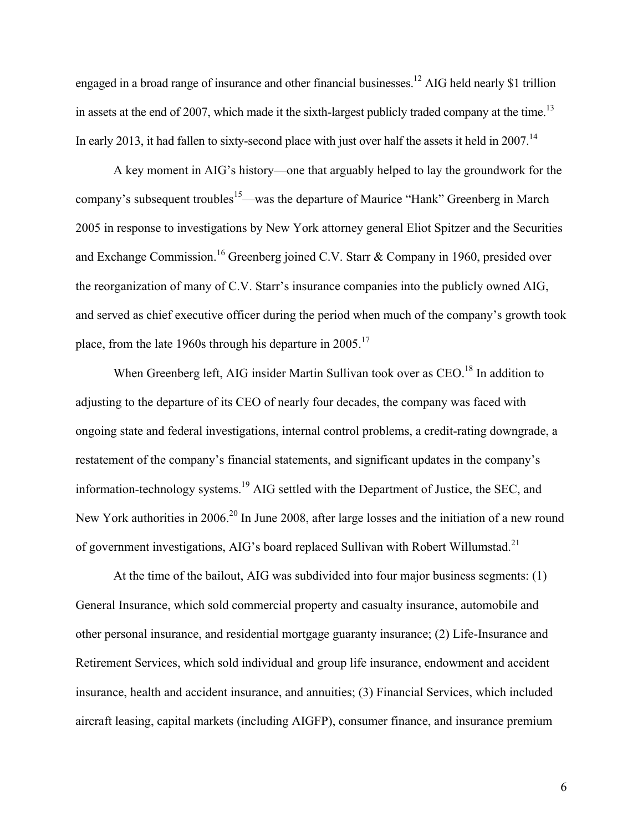engaged in a broad range of insurance and other financial businesses.12 AIG held nearly \$1 trillion in assets at the end of 2007, which made it the sixth-largest publicly traded company at the time.<sup>13</sup> In early 2013, it had fallen to sixty-second place with just over half the assets it held in  $2007$ .<sup>14</sup>

A key moment in AIG's history—one that arguably helped to lay the groundwork for the company's subsequent troubles<sup>15</sup>—was the departure of Maurice "Hank" Greenberg in March 2005 in response to investigations by New York attorney general Eliot Spitzer and the Securities and Exchange Commission.<sup>16</sup> Greenberg joined C.V. Starr  $&$  Company in 1960, presided over the reorganization of many of C.V. Starr's insurance companies into the publicly owned AIG, and served as chief executive officer during the period when much of the company's growth took place, from the late 1960s through his departure in  $2005$ .<sup>17</sup>

When Greenberg left, AIG insider Martin Sullivan took over as CEO.<sup>18</sup> In addition to adjusting to the departure of its CEO of nearly four decades, the company was faced with ongoing state and federal investigations, internal control problems, a credit-rating downgrade, a restatement of the company's financial statements, and significant updates in the company's information-technology systems.19 AIG settled with the Department of Justice, the SEC, and New York authorities in 2006.<sup>20</sup> In June 2008, after large losses and the initiation of a new round of government investigations, AIG's board replaced Sullivan with Robert Willumstad.<sup>21</sup>

At the time of the bailout, AIG was subdivided into four major business segments: (1) General Insurance, which sold commercial property and casualty insurance, automobile and other personal insurance, and residential mortgage guaranty insurance; (2) Life-Insurance and Retirement Services, which sold individual and group life insurance, endowment and accident insurance, health and accident insurance, and annuities; (3) Financial Services, which included aircraft leasing, capital markets (including AIGFP), consumer finance, and insurance premium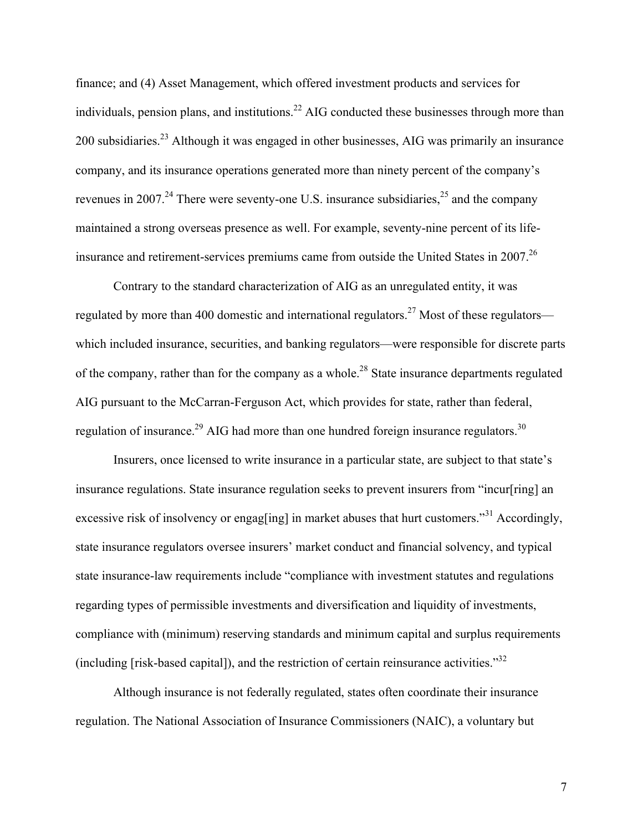finance; and (4) Asset Management, which offered investment products and services for individuals, pension plans, and institutions.<sup>22</sup> AIG conducted these businesses through more than 200 subsidiaries.23 Although it was engaged in other businesses, AIG was primarily an insurance company, and its insurance operations generated more than ninety percent of the company's revenues in 2007.<sup>24</sup> There were seventy-one U.S. insurance subsidiaries,<sup>25</sup> and the company maintained a strong overseas presence as well. For example, seventy-nine percent of its lifeinsurance and retirement-services premiums came from outside the United States in 2007.<sup>26</sup>

Contrary to the standard characterization of AIG as an unregulated entity, it was regulated by more than 400 domestic and international regulators.<sup>27</sup> Most of these regulators which included insurance, securities, and banking regulators—were responsible for discrete parts of the company, rather than for the company as a whole.<sup>28</sup> State insurance departments regulated AIG pursuant to the McCarran-Ferguson Act, which provides for state, rather than federal, regulation of insurance.<sup>29</sup> AIG had more than one hundred foreign insurance regulators.<sup>30</sup>

Insurers, once licensed to write insurance in a particular state, are subject to that state's insurance regulations. State insurance regulation seeks to prevent insurers from "incur[ring] an excessive risk of insolvency or engag[ing] in market abuses that hurt customers."<sup>31</sup> Accordingly, state insurance regulators oversee insurers' market conduct and financial solvency, and typical state insurance-law requirements include "compliance with investment statutes and regulations regarding types of permissible investments and diversification and liquidity of investments, compliance with (minimum) reserving standards and minimum capital and surplus requirements (including [risk-based capital]), and the restriction of certain reinsurance activities."32

Although insurance is not federally regulated, states often coordinate their insurance regulation. The National Association of Insurance Commissioners (NAIC), a voluntary but

7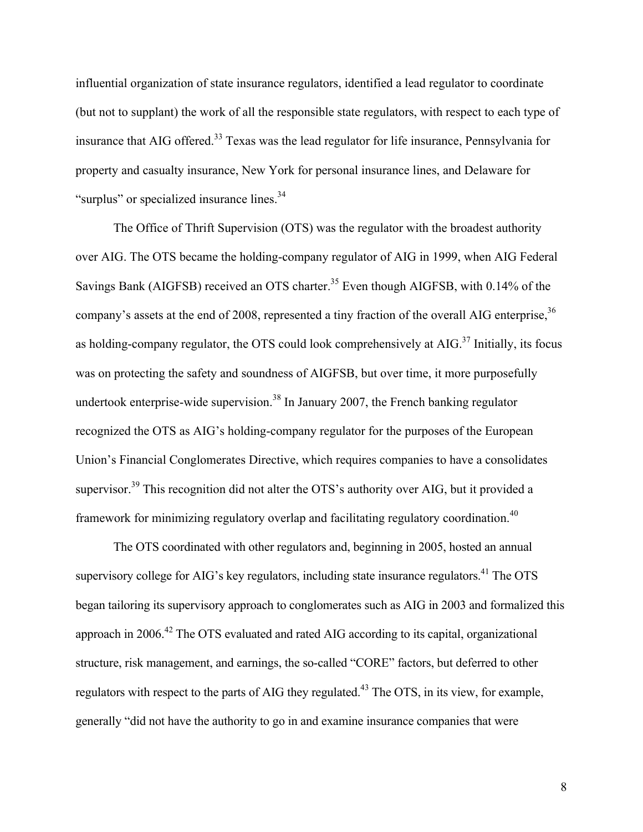influential organization of state insurance regulators, identified a lead regulator to coordinate (but not to supplant) the work of all the responsible state regulators, with respect to each type of insurance that AIG offered.<sup>33</sup> Texas was the lead regulator for life insurance, Pennsylvania for property and casualty insurance, New York for personal insurance lines, and Delaware for "surplus" or specialized insurance lines.<sup>34</sup>

The Office of Thrift Supervision (OTS) was the regulator with the broadest authority over AIG. The OTS became the holding-company regulator of AIG in 1999, when AIG Federal Savings Bank (AIGFSB) received an OTS charter.<sup>35</sup> Even though AIGFSB, with 0.14% of the company's assets at the end of 2008, represented a tiny fraction of the overall AIG enterprise.<sup>36</sup> as holding-company regulator, the OTS could look comprehensively at  $AIG<sup>37</sup>$  Initially, its focus was on protecting the safety and soundness of AIGFSB, but over time, it more purposefully undertook enterprise-wide supervision.<sup>38</sup> In January 2007, the French banking regulator recognized the OTS as AIG's holding-company regulator for the purposes of the European Union's Financial Conglomerates Directive, which requires companies to have a consolidates supervisor.<sup>39</sup> This recognition did not alter the OTS's authority over AIG, but it provided a framework for minimizing regulatory overlap and facilitating regulatory coordination.40

The OTS coordinated with other regulators and, beginning in 2005, hosted an annual supervisory college for AIG's key regulators, including state insurance regulators.<sup>41</sup> The OTS began tailoring its supervisory approach to conglomerates such as AIG in 2003 and formalized this approach in 2006.<sup>42</sup> The OTS evaluated and rated AIG according to its capital, organizational structure, risk management, and earnings, the so-called "CORE" factors, but deferred to other regulators with respect to the parts of AIG they regulated.<sup>43</sup> The OTS, in its view, for example, generally "did not have the authority to go in and examine insurance companies that were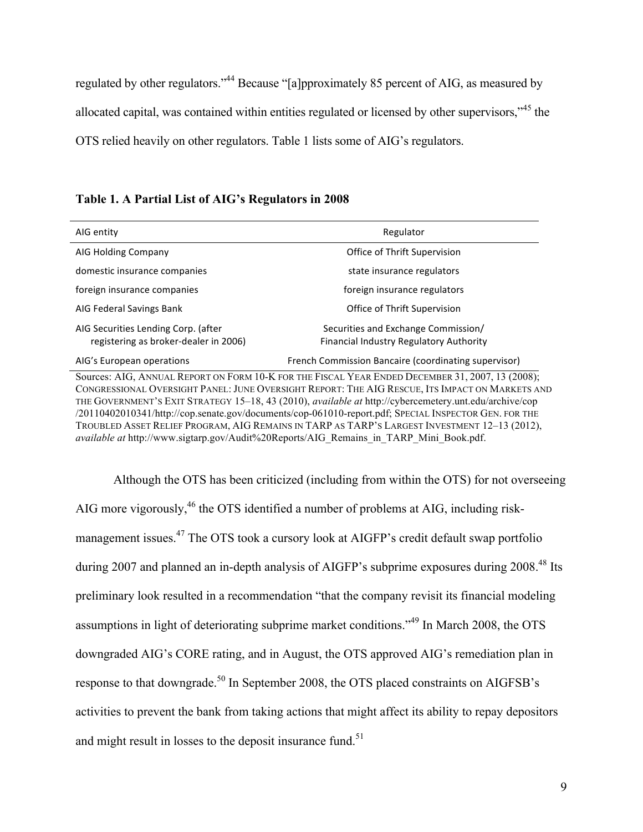regulated by other regulators."44 Because "[a]pproximately 85 percent of AIG, as measured by allocated capital, was contained within entities regulated or licensed by other supervisors,"<sup>45</sup> the OTS relied heavily on other regulators. Table 1 lists some of AIG's regulators.

## **Table 1. A Partial List of AIG's Regulators in 2008**

| AIG entity                            | Regulator                                            |
|---------------------------------------|------------------------------------------------------|
| AIG Holding Company                   | Office of Thrift Supervision                         |
| domestic insurance companies          | state insurance regulators                           |
| foreign insurance companies           | foreign insurance regulators                         |
| AIG Federal Savings Bank              | Office of Thrift Supervision                         |
| AIG Securities Lending Corp. (after   | Securities and Exchange Commission/                  |
| registering as broker-dealer in 2006) | <b>Financial Industry Regulatory Authority</b>       |
| AIG's European operations             | French Commission Bancaire (coordinating supervisor) |

Sources: AIG, ANNUAL REPORT ON FORM 10-K FOR THE FISCAL YEAR ENDED DECEMBER 31, 2007, 13 (2008); CONGRESSIONAL OVERSIGHT PANEL: JUNE OVERSIGHT REPORT: THE AIG RESCUE, ITS IMPACT ON MARKETS AND THE GOVERNMENT'S EXIT STRATEGY 15–18, 43 (2010), *available at* [http://cybercemetery.unt.edu/archive/cop](http://cybercemetery.unt.edu/archive/cop/20110402010341/http://cop.senate.gov/documents/cop-061010-report.pdf) [/20110402010341/http://cop.senate.gov/documents/cop-061010-report.pdf;](http://cybercemetery.unt.edu/archive/cop/20110402010341/http://cop.senate.gov/documents/cop-061010-report.pdf) SPECIAL INSPECTOR GEN. FOR THE TROUBLED ASSET RELIEF PROGRAM, AIG REMAINS IN TARP AS TARP'S LARGEST INVESTMENT 12–13 (2012), *available at* [http://www.sigtarp.gov/Audit%20Reports/AIG\\_Remains\\_in\\_TARP\\_Mini\\_Book.pdf.](http://www.sigtarp.gov/Audit%20Reports/AIG_Remains_in_TARP_Mini_Book.pdf)

Although the OTS has been criticized (including from within the OTS) for not overseeing AIG more vigorously,<sup>46</sup> the OTS identified a number of problems at AIG, including riskmanagement issues.<sup>47</sup> The OTS took a cursory look at AIGFP's credit default swap portfolio during 2007 and planned an in-depth analysis of AIGFP's subprime exposures during 2008.<sup>48</sup> Its preliminary look resulted in a recommendation "that the company revisit its financial modeling assumptions in light of deteriorating subprime market conditions."<sup>49</sup> In March 2008, the OTS downgraded AIG's CORE rating, and in August, the OTS approved AIG's remediation plan in response to that downgrade.<sup>50</sup> In September 2008, the OTS placed constraints on AIGFSB's activities to prevent the bank from taking actions that might affect its ability to repay depositors and might result in losses to the deposit insurance fund.<sup>51</sup>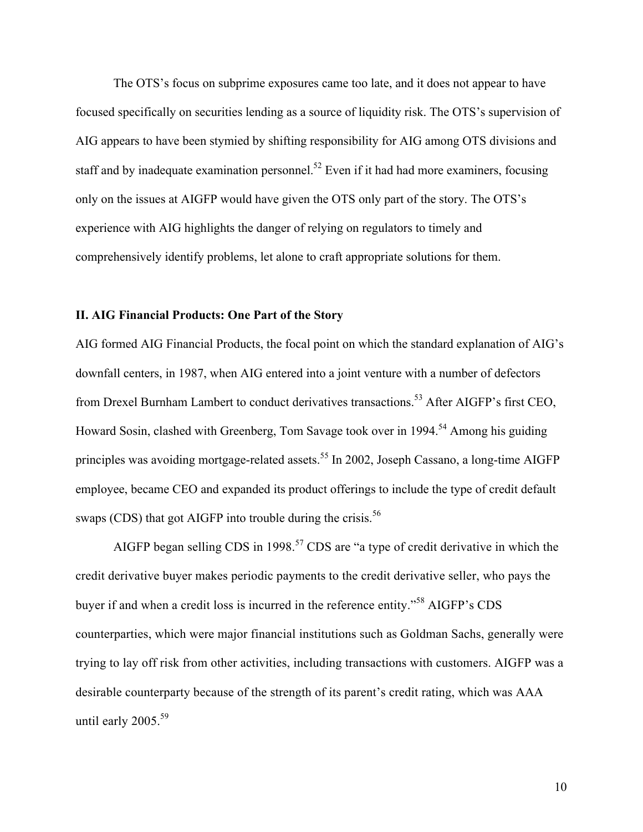The OTS's focus on subprime exposures came too late, and it does not appear to have focused specifically on securities lending as a source of liquidity risk. The OTS's supervision of AIG appears to have been stymied by shifting responsibility for AIG among OTS divisions and staff and by inadequate examination personnel.<sup>52</sup> Even if it had had more examiners, focusing only on the issues at AIGFP would have given the OTS only part of the story. The OTS's experience with AIG highlights the danger of relying on regulators to timely and comprehensively identify problems, let alone to craft appropriate solutions for them.

## **II. AIG Financial Products: One Part of the Story**

AIG formed AIG Financial Products, the focal point on which the standard explanation of AIG's downfall centers, in 1987, when AIG entered into a joint venture with a number of defectors from Drexel Burnham Lambert to conduct derivatives transactions.<sup>53</sup> After AIGFP's first CEO, Howard Sosin, clashed with Greenberg, Tom Savage took over in 1994.<sup>54</sup> Among his guiding principles was avoiding mortgage-related assets.<sup>55</sup> In 2002, Joseph Cassano, a long-time AIGFP employee, became CEO and expanded its product offerings to include the type of credit default swaps (CDS) that got AIGFP into trouble during the crisis.<sup>56</sup>

AIGFP began selling CDS in 1998.<sup>57</sup> CDS are "a type of credit derivative in which the credit derivative buyer makes periodic payments to the credit derivative seller, who pays the buyer if and when a credit loss is incurred in the reference entity."<sup>58</sup> AIGFP's CDS counterparties, which were major financial institutions such as Goldman Sachs, generally were trying to lay off risk from other activities, including transactions with customers. AIGFP was a desirable counterparty because of the strength of its parent's credit rating, which was AAA until early 2005.<sup>59</sup>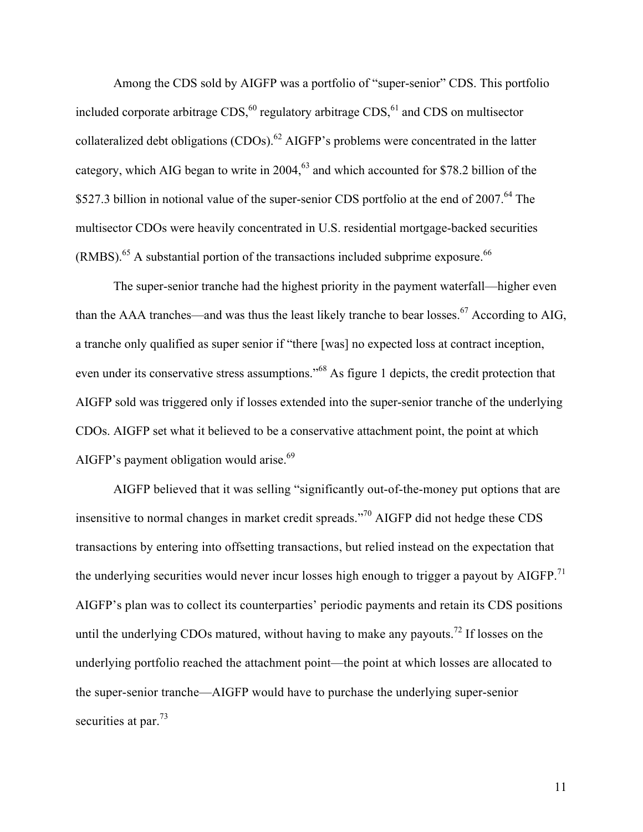Among the CDS sold by AIGFP was a portfolio of "super-senior" CDS. This portfolio included corporate arbitrage  $CDS<sub>0</sub><sup>60</sup>$  regulatory arbitrage  $CDS<sub>0</sub><sup>61</sup>$  and  $CDS$  on multisector collateralized debt obligations  $(CDOs)$ .<sup>62</sup> AIGFP's problems were concentrated in the latter category, which AIG began to write in 2004,<sup>63</sup> and which accounted for \$78.2 billion of the \$527.3 billion in notional value of the super-senior CDS portfolio at the end of  $2007<sup>64</sup>$ . The multisector CDOs were heavily concentrated in U.S. residential mortgage-backed securities  $(RMBS)$ <sup>65</sup> A substantial portion of the transactions included subprime exposure.<sup>66</sup>

The super-senior tranche had the highest priority in the payment waterfall—higher even than the AAA tranches—and was thus the least likely tranche to bear losses.<sup>67</sup> According to AIG, a tranche only qualified as super senior if "there [was] no expected loss at contract inception, even under its conservative stress assumptions."<sup>68</sup> As figure 1 depicts, the credit protection that AIGFP sold was triggered only if losses extended into the super-senior tranche of the underlying CDOs. AIGFP set what it believed to be a conservative attachment point, the point at which AIGFP's payment obligation would arise.<sup>69</sup>

AIGFP believed that it was selling "significantly out-of-the-money put options that are insensitive to normal changes in market credit spreads."<sup>70</sup> AIGFP did not hedge these CDS transactions by entering into offsetting transactions, but relied instead on the expectation that the underlying securities would never incur losses high enough to trigger a payout by AIGFP.<sup>71</sup> AIGFP's plan was to collect its counterparties' periodic payments and retain its CDS positions until the underlying CDOs matured, without having to make any payouts.<sup>72</sup> If losses on the underlying portfolio reached the attachment point—the point at which losses are allocated to the super-senior tranche—AIGFP would have to purchase the underlying super-senior securities at par.<sup>73</sup>

11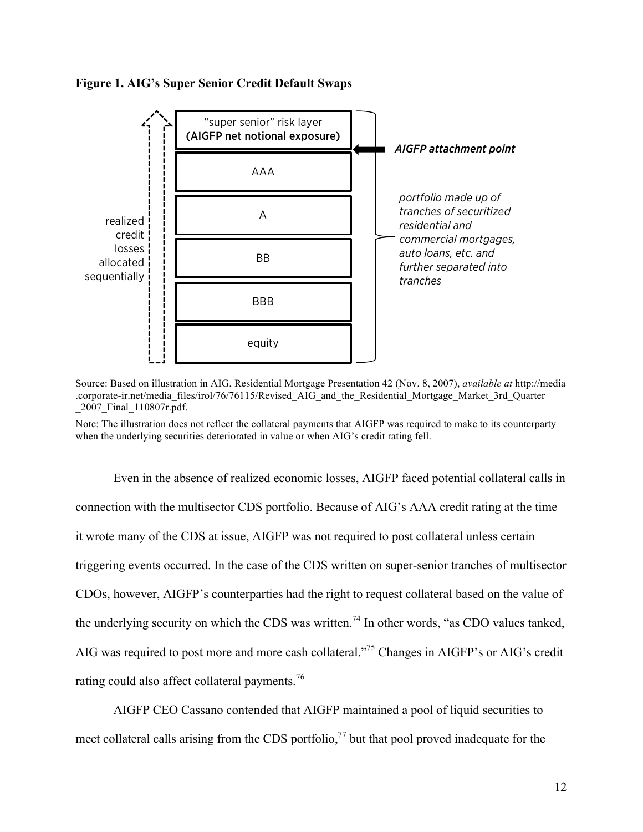



Source: Based on illustration in AIG, Residential Mortgage Presentation 42 (Nov. 8, 2007), *available at* [http://media](http://media.corporate-ir.net/media_files/irol/76/76115/Revised_AIG_and_the_Residential_Mortgage_Market_3rd_Quarter_2007_Final_110807r.pdf) [.corporate-ir.net/media\\_files/irol/76/76115/Revised\\_AIG\\_and\\_the\\_Residential\\_Mortgage\\_Market\\_3rd\\_Quarter](http://media.corporate-ir.net/media_files/irol/76/76115/Revised_AIG_and_the_Residential_Mortgage_Market_3rd_Quarter_2007_Final_110807r.pdf) [\\_2007\\_Final\\_110807r.pdf.](http://media.corporate-ir.net/media_files/irol/76/76115/Revised_AIG_and_the_Residential_Mortgage_Market_3rd_Quarter_2007_Final_110807r.pdf)

Note: The illustration does not reflect the collateral payments that AIGFP was required to make to its counterparty when the underlying securities deteriorated in value or when AIG's credit rating fell.

Even in the absence of realized economic losses, AIGFP faced potential collateral calls in connection with the multisector CDS portfolio. Because of AIG's AAA credit rating at the time it wrote many of the CDS at issue, AIGFP was not required to post collateral unless certain triggering events occurred. In the case of the CDS written on super-senior tranches of multisector CDOs, however, AIGFP's counterparties had the right to request collateral based on the value of the underlying security on which the CDS was written.<sup>74</sup> In other words, "as CDO values tanked, AIG was required to post more and more cash collateral."<sup>75</sup> Changes in AIGFP's or AIG's credit rating could also affect collateral payments.<sup>76</sup>

AIGFP CEO Cassano contended that AIGFP maintained a pool of liquid securities to meet collateral calls arising from the CDS portfolio,<sup>77</sup> but that pool proved inadequate for the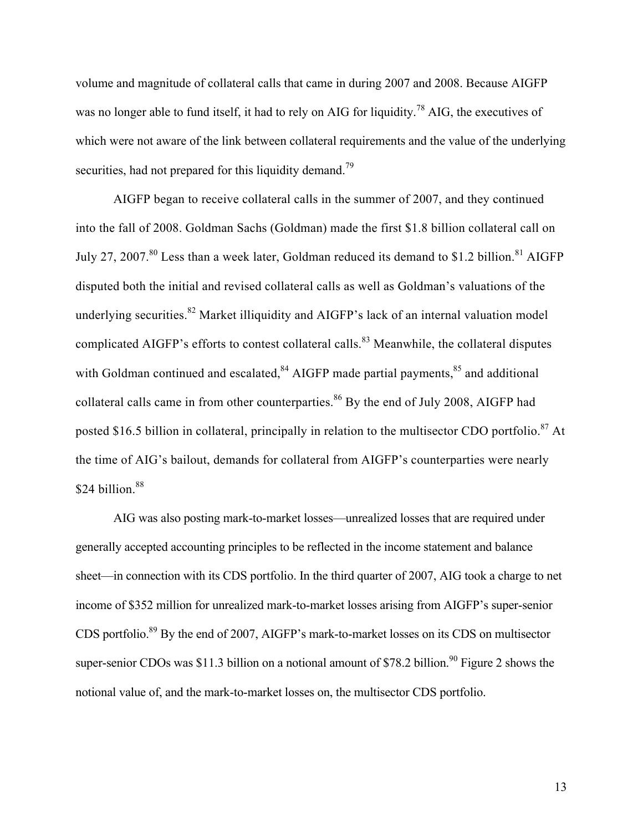volume and magnitude of collateral calls that came in during 2007 and 2008. Because AIGFP was no longer able to fund itself, it had to rely on AIG for liquidity.<sup>78</sup> AIG, the executives of which were not aware of the link between collateral requirements and the value of the underlying securities, had not prepared for this liquidity demand.<sup>79</sup>

AIGFP began to receive collateral calls in the summer of 2007, and they continued into the fall of 2008. Goldman Sachs (Goldman) made the first \$1.8 billion collateral call on July 27, 2007.<sup>80</sup> Less than a week later, Goldman reduced its demand to \$1.2 billion.<sup>81</sup> AIGFP disputed both the initial and revised collateral calls as well as Goldman's valuations of the underlying securities.<sup>82</sup> Market illiquidity and AIGFP's lack of an internal valuation model complicated AIGFP's efforts to contest collateral calls.<sup>83</sup> Meanwhile, the collateral disputes with Goldman continued and escalated, $84$  AIGFP made partial payments, $85$  and additional collateral calls came in from other counterparties.<sup>86</sup> By the end of July 2008, AIGFP had posted \$16.5 billion in collateral, principally in relation to the multisector CDO portfolio.<sup>87</sup> At the time of AIG's bailout, demands for collateral from AIGFP's counterparties were nearly \$24 billion. $88$ 

AIG was also posting mark-to-market losses—unrealized losses that are required under generally accepted accounting principles to be reflected in the income statement and balance sheet—in connection with its CDS portfolio. In the third quarter of 2007, AIG took a charge to net income of \$352 million for unrealized mark-to-market losses arising from AIGFP's super-senior CDS portfolio.89 By the end of 2007, AIGFP's mark-to-market losses on its CDS on multisector super-senior CDOs was \$11.3 billion on a notional amount of \$78.2 billion.<sup>90</sup> Figure 2 shows the notional value of, and the mark-to-market losses on, the multisector CDS portfolio.

13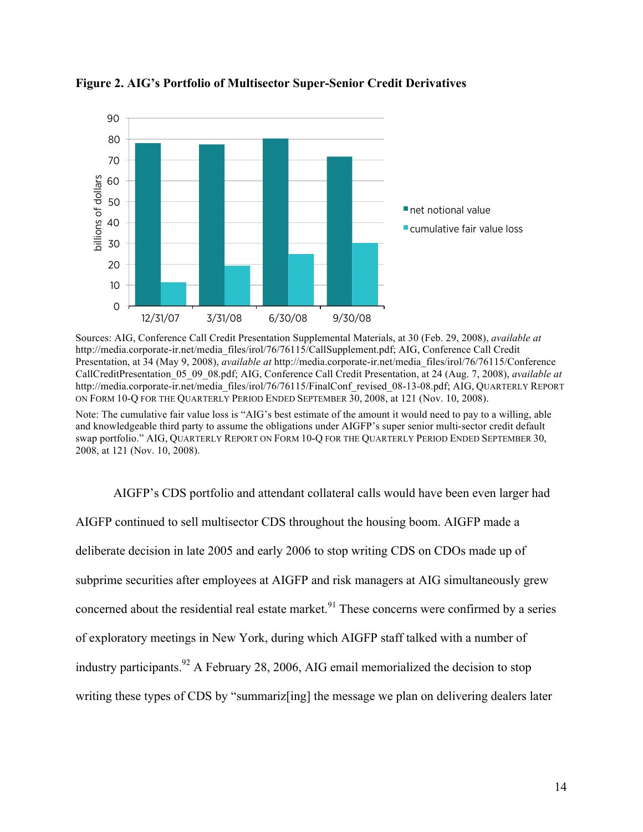

**Figure 2. AIG's Portfolio of Multisector Super-Senior Credit Derivatives**

Sources: AIG, Conference Call Credit Presentation Supplemental Materials, at 30 (Feb. 29, 2008), *available at* [http://media.corporate-ir.net/media\\_files/irol/76/76115/CallSupplement.pdf;](http://media.corporate-ir.net/media_files/irol/76/76115/CallSupplement.pdf) AIG, Conference Call Credit Presentation, at 34 (May 9, 2008), *available at* [http://media.corporate-ir.net/media\\_files/irol/76/76115/Conference](http://media.corporate-ir.net/media_files/irol/76/76115/ConferenceCallCreditPresentation_05_09_08.pdf) [CallCreditPresentation\\_05\\_09\\_08.pdf;](http://media.corporate-ir.net/media_files/irol/76/76115/ConferenceCallCreditPresentation_05_09_08.pdf) AIG, Conference Call Credit Presentation, at 24 (Aug. 7, 2008), *available at* [http://media.corporate-ir.net/media\\_files/irol/76/76115/FinalConf\\_revised\\_08-13-08.pdf;](http://media.corporate-ir.net/media_files/irol/76/76115/FinalConf_revised_08-13-08.pdf) AIG, QUARTERLY REPORT ON FORM 10-Q FOR THE QUARTERLY PERIOD ENDED SEPTEMBER 30, 2008, at 121 (Nov. 10, 2008).

Note: The cumulative fair value loss is "AIG's best estimate of the amount it would need to pay to a willing, able and knowledgeable third party to assume the obligations under AIGFP's super senior multi-sector credit default swap portfolio." AIG, QUARTERLY REPORT ON FORM 10-Q FOR THE QUARTERLY PERIOD ENDED SEPTEMBER 30, 2008, at 121 (Nov. 10, 2008).

AIGFP's CDS portfolio and attendant collateral calls would have been even larger had AIGFP continued to sell multisector CDS throughout the housing boom. AIGFP made a deliberate decision in late 2005 and early 2006 to stop writing CDS on CDOs made up of subprime securities after employees at AIGFP and risk managers at AIG simultaneously grew concerned about the residential real estate market. $91$  These concerns were confirmed by a series of exploratory meetings in New York, during which AIGFP staff talked with a number of industry participants.<sup>92</sup> A February 28, 2006, AIG email memorialized the decision to stop writing these types of CDS by "summariz<sup>[ing]</sup> the message we plan on delivering dealers later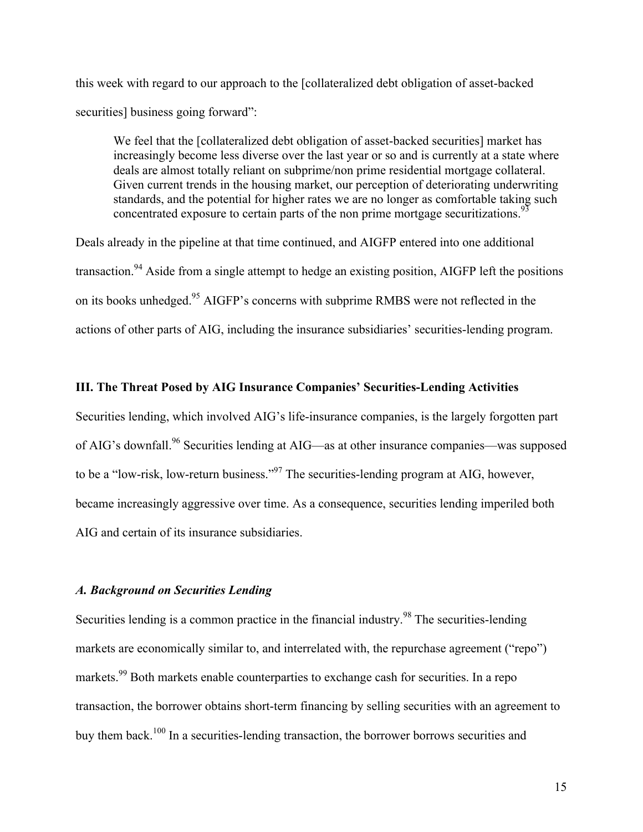this week with regard to our approach to the [collateralized debt obligation of asset-backed securities] business going forward":

We feel that the [collateralized debt obligation of asset-backed securities] market has increasingly become less diverse over the last year or so and is currently at a state where deals are almost totally reliant on subprime/non prime residential mortgage collateral. Given current trends in the housing market, our perception of deteriorating underwriting standards, and the potential for higher rates we are no longer as comfortable taking such concentrated exposure to certain parts of the non prime mortgage securitizations.<sup>93</sup>

Deals already in the pipeline at that time continued, and AIGFP entered into one additional transaction.<sup>94</sup> Aside from a single attempt to hedge an existing position, AIGFP left the positions on its books unhedged.95 AIGFP's concerns with subprime RMBS were not reflected in the actions of other parts of AIG, including the insurance subsidiaries' securities-lending program.

## **III. The Threat Posed by AIG Insurance Companies' Securities-Lending Activities**

Securities lending, which involved AIG's life-insurance companies, is the largely forgotten part of AIG's downfall.<sup>96</sup> Securities lending at AIG—as at other insurance companies—was supposed to be a "low-risk, low-return business."<sup>97</sup> The securities-lending program at AIG, however, became increasingly aggressive over time. As a consequence, securities lending imperiled both AIG and certain of its insurance subsidiaries.

## *A. Background on Securities Lending*

Securities lending is a common practice in the financial industry.<sup>98</sup> The securities-lending markets are economically similar to, and interrelated with, the repurchase agreement ("repo") markets.<sup>99</sup> Both markets enable counterparties to exchange cash for securities. In a repo transaction, the borrower obtains short-term financing by selling securities with an agreement to buy them back.<sup>100</sup> In a securities-lending transaction, the borrower borrows securities and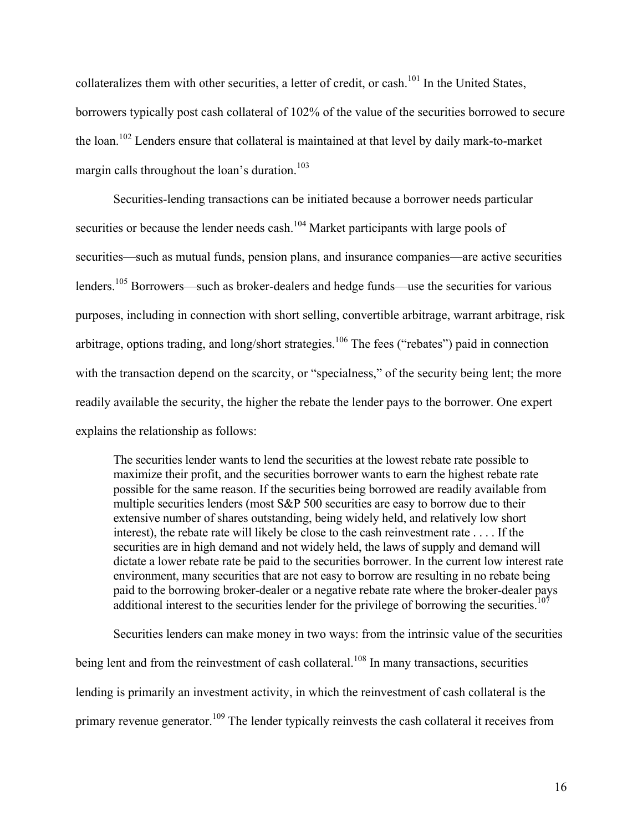collateralizes them with other securities, a letter of credit, or cash.<sup>101</sup> In the United States, borrowers typically post cash collateral of 102% of the value of the securities borrowed to secure the loan.102 Lenders ensure that collateral is maintained at that level by daily mark-to-market margin calls throughout the loan's duration.<sup>103</sup>

Securities-lending transactions can be initiated because a borrower needs particular securities or because the lender needs cash.<sup>104</sup> Market participants with large pools of securities—such as mutual funds, pension plans, and insurance companies—are active securities lenders.<sup>105</sup> Borrowers—such as broker-dealers and hedge funds—use the securities for various purposes, including in connection with short selling, convertible arbitrage, warrant arbitrage, risk arbitrage, options trading, and long/short strategies.<sup>106</sup> The fees ("rebates") paid in connection with the transaction depend on the scarcity, or "specialness," of the security being lent; the more readily available the security, the higher the rebate the lender pays to the borrower. One expert explains the relationship as follows:

The securities lender wants to lend the securities at the lowest rebate rate possible to maximize their profit, and the securities borrower wants to earn the highest rebate rate possible for the same reason. If the securities being borrowed are readily available from multiple securities lenders (most S&P 500 securities are easy to borrow due to their extensive number of shares outstanding, being widely held, and relatively low short interest), the rebate rate will likely be close to the cash reinvestment rate . . . . If the securities are in high demand and not widely held, the laws of supply and demand will dictate a lower rebate rate be paid to the securities borrower. In the current low interest rate environment, many securities that are not easy to borrow are resulting in no rebate being paid to the borrowing broker-dealer or a negative rebate rate where the broker-dealer pays additional interest to the securities lender for the privilege of borrowing the securities.<sup>107</sup>

Securities lenders can make money in two ways: from the intrinsic value of the securities being lent and from the reinvestment of cash collateral.<sup>108</sup> In many transactions, securities lending is primarily an investment activity, in which the reinvestment of cash collateral is the primary revenue generator.<sup>109</sup> The lender typically reinvests the cash collateral it receives from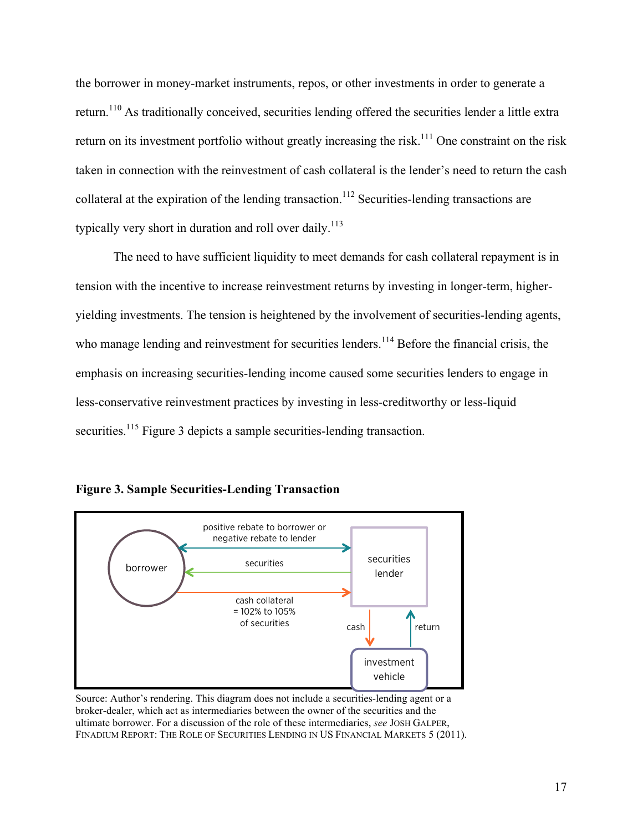the borrower in money-market instruments, repos, or other investments in order to generate a return.<sup>110</sup> As traditionally conceived, securities lending offered the securities lender a little extra return on its investment portfolio without greatly increasing the risk.<sup>111</sup> One constraint on the risk taken in connection with the reinvestment of cash collateral is the lender's need to return the cash collateral at the expiration of the lending transaction.<sup>112</sup> Securities-lending transactions are typically very short in duration and roll over daily.<sup>113</sup>

The need to have sufficient liquidity to meet demands for cash collateral repayment is in tension with the incentive to increase reinvestment returns by investing in longer-term, higheryielding investments. The tension is heightened by the involvement of securities-lending agents, who manage lending and reinvestment for securities lenders.<sup>114</sup> Before the financial crisis, the emphasis on increasing securities-lending income caused some securities lenders to engage in less-conservative reinvestment practices by investing in less-creditworthy or less-liquid securities.<sup>115</sup> Figure 3 depicts a sample securities-lending transaction.



## **Figure 3. Sample Securities-Lending Transaction**

Source: Author's rendering. This diagram does not include a securities-lending agent or a broker-dealer, which act as intermediaries between the owner of the securities and the ultimate borrower. For a discussion of the role of these intermediaries, *see* JOSH GALPER, FINADIUM REPORT: THE ROLE OF SECURITIES LENDING IN US FINANCIAL MARKETS 5 (2011).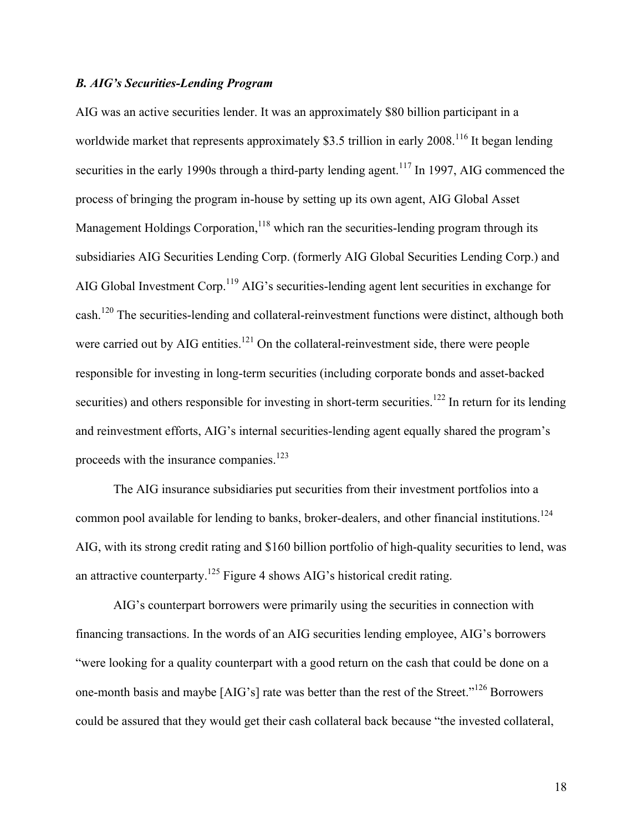## *B. AIG's Securities-Lending Program*

AIG was an active securities lender. It was an approximately \$80 billion participant in a worldwide market that represents approximately \$3.5 trillion in early  $2008$ .<sup>116</sup> It began lending securities in the early 1990s through a third-party lending agent.<sup>117</sup> In 1997, AIG commenced the process of bringing the program in-house by setting up its own agent, AIG Global Asset Management Holdings Corporation, $118$  which ran the securities-lending program through its subsidiaries AIG Securities Lending Corp. (formerly AIG Global Securities Lending Corp.) and AIG Global Investment Corp.<sup>119</sup> AIG's securities-lending agent lent securities in exchange for cash.120 The securities-lending and collateral-reinvestment functions were distinct, although both were carried out by AIG entities.<sup>121</sup> On the collateral-reinvestment side, there were people responsible for investing in long-term securities (including corporate bonds and asset-backed securities) and others responsible for investing in short-term securities.<sup>122</sup> In return for its lending and reinvestment efforts, AIG's internal securities-lending agent equally shared the program's proceeds with the insurance companies.<sup>123</sup>

The AIG insurance subsidiaries put securities from their investment portfolios into a common pool available for lending to banks, broker-dealers, and other financial institutions.<sup>124</sup> AIG, with its strong credit rating and \$160 billion portfolio of high-quality securities to lend, was an attractive counterparty.<sup>125</sup> Figure 4 shows AIG's historical credit rating.

AIG's counterpart borrowers were primarily using the securities in connection with financing transactions. In the words of an AIG securities lending employee, AIG's borrowers "were looking for a quality counterpart with a good return on the cash that could be done on a one-month basis and maybe [AIG's] rate was better than the rest of the Street."<sup>126</sup> Borrowers could be assured that they would get their cash collateral back because "the invested collateral,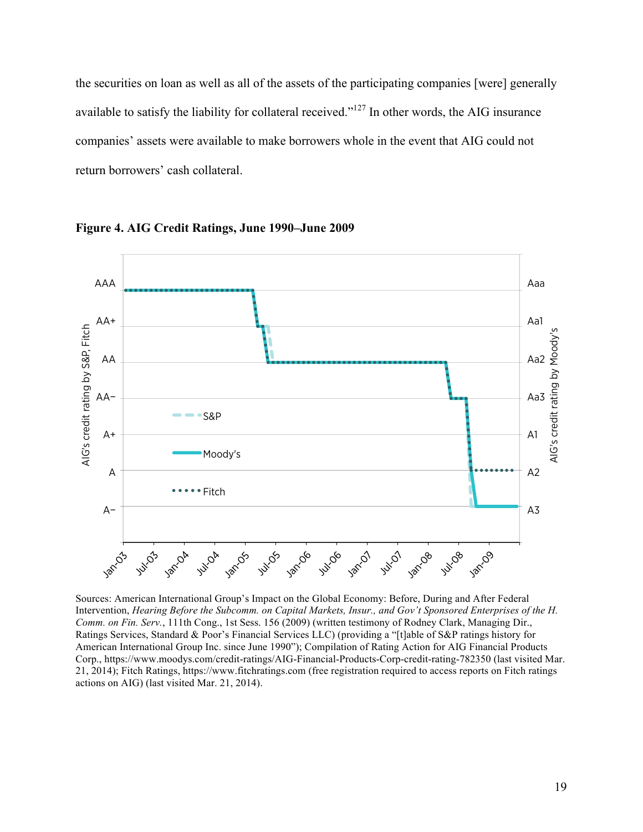the securities on loan as well as all of the assets of the participating companies [were] generally available to satisfy the liability for collateral received."<sup>127</sup> In other words, the AIG insurance companies' assets were available to make borrowers whole in the event that AIG could not return borrowers' cash collateral.



**Figure 4. AIG Credit Ratings, June 1990–June 2009**

Sources: American International Group's Impact on the Global Economy: Before, During and After Federal Intervention, *Hearing Before the Subcomm. on Capital Markets, Insur., and Gov't Sponsored Enterprises of the H. Comm. on Fin. Serv.*, 111th Cong., 1st Sess. 156 (2009) (written testimony of Rodney Clark, Managing Dir., Ratings Services, Standard & Poor's Financial Services LLC) (providing a "[t]able of S&P ratings history for American International Group Inc. since June 1990"); Compilation of Rating Action for AIG Financial Products Corp.,<https://www.moodys.com/credit-ratings/AIG-Financial-Products-Corp-credit-rating-782350> (last visited Mar. 21, 2014); Fitch Ratings,<https://www.fitchratings.com> (free registration required to access reports on Fitch ratings actions on AIG) (last visited Mar. 21, 2014).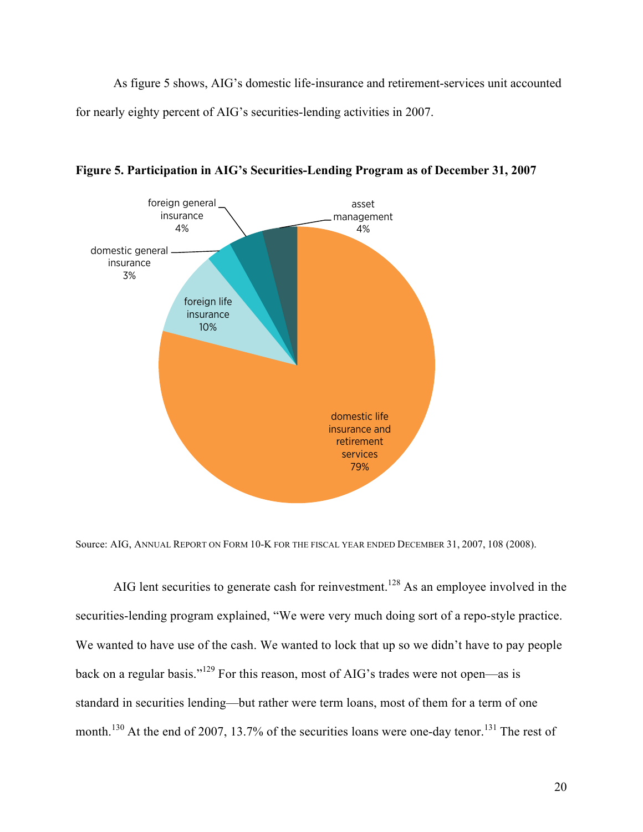As figure 5 shows, AIG's domestic life-insurance and retirement-services unit accounted for nearly eighty percent of AIG's securities-lending activities in 2007.



**Figure 5. Participation in AIG's Securities-Lending Program as of December 31, 2007**

Source: AIG, ANNUAL REPORT ON FORM 10-K FOR THE FISCAL YEAR ENDED DECEMBER 31, 2007, 108 (2008).

AIG lent securities to generate cash for reinvestment.<sup>128</sup> As an employee involved in the securities-lending program explained, "We were very much doing sort of a repo-style practice. We wanted to have use of the cash. We wanted to lock that up so we didn't have to pay people back on a regular basis."<sup>129</sup> For this reason, most of AIG's trades were not open—as is standard in securities lending—but rather were term loans, most of them for a term of one month.<sup>130</sup> At the end of 2007, 13.7% of the securities loans were one-day tenor.<sup>131</sup> The rest of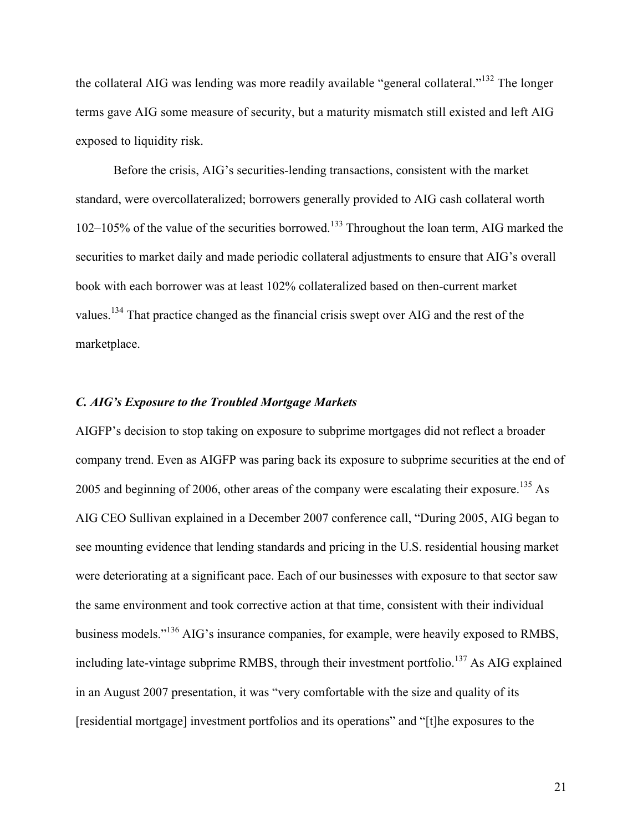the collateral AIG was lending was more readily available "general collateral."<sup>132</sup> The longer terms gave AIG some measure of security, but a maturity mismatch still existed and left AIG exposed to liquidity risk.

Before the crisis, AIG's securities-lending transactions, consistent with the market standard, were overcollateralized; borrowers generally provided to AIG cash collateral worth 102–105% of the value of the securities borrowed.<sup>133</sup> Throughout the loan term, AIG marked the securities to market daily and made periodic collateral adjustments to ensure that AIG's overall book with each borrower was at least 102% collateralized based on then-current market values.<sup>134</sup> That practice changed as the financial crisis swept over AIG and the rest of the marketplace.

## *C. AIG's Exposure to the Troubled Mortgage Markets*

AIGFP's decision to stop taking on exposure to subprime mortgages did not reflect a broader company trend. Even as AIGFP was paring back its exposure to subprime securities at the end of 2005 and beginning of 2006, other areas of the company were escalating their exposure.<sup>135</sup> As AIG CEO Sullivan explained in a December 2007 conference call, "During 2005, AIG began to see mounting evidence that lending standards and pricing in the U.S. residential housing market were deteriorating at a significant pace. Each of our businesses with exposure to that sector saw the same environment and took corrective action at that time, consistent with their individual business models."<sup>136</sup> AIG's insurance companies, for example, were heavily exposed to RMBS, including late-vintage subprime RMBS, through their investment portfolio.<sup>137</sup> As AIG explained in an August 2007 presentation, it was "very comfortable with the size and quality of its [residential mortgage] investment portfolios and its operations" and "[t]he exposures to the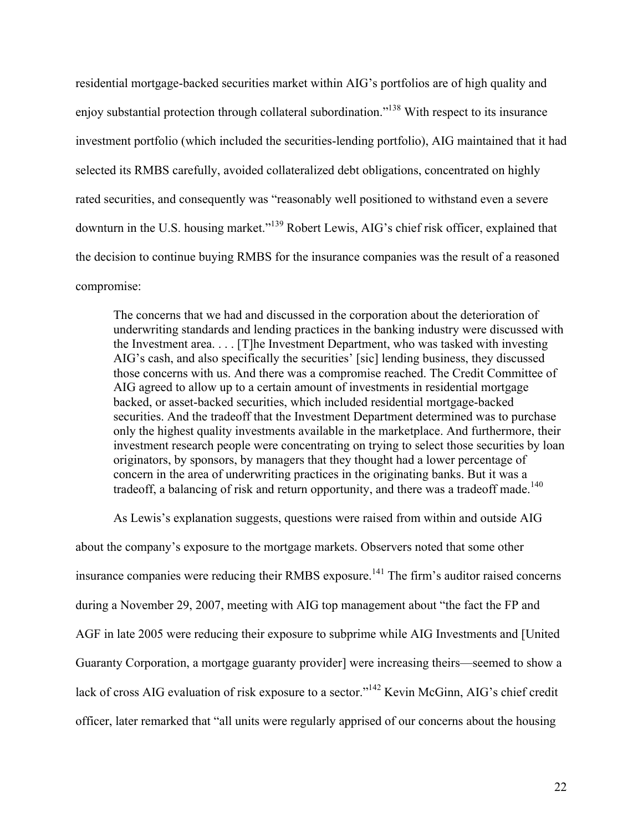residential mortgage-backed securities market within AIG's portfolios are of high quality and enjoy substantial protection through collateral subordination."<sup>138</sup> With respect to its insurance investment portfolio (which included the securities-lending portfolio), AIG maintained that it had selected its RMBS carefully, avoided collateralized debt obligations, concentrated on highly rated securities, and consequently was "reasonably well positioned to withstand even a severe downturn in the U.S. housing market."<sup>139</sup> Robert Lewis, AIG's chief risk officer, explained that the decision to continue buying RMBS for the insurance companies was the result of a reasoned compromise:

The concerns that we had and discussed in the corporation about the deterioration of underwriting standards and lending practices in the banking industry were discussed with the Investment area. . . . [T]he Investment Department, who was tasked with investing AIG's cash, and also specifically the securities' [sic] lending business, they discussed those concerns with us. And there was a compromise reached. The Credit Committee of AIG agreed to allow up to a certain amount of investments in residential mortgage backed, or asset-backed securities, which included residential mortgage-backed securities. And the tradeoff that the Investment Department determined was to purchase only the highest quality investments available in the marketplace. And furthermore, their investment research people were concentrating on trying to select those securities by loan originators, by sponsors, by managers that they thought had a lower percentage of concern in the area of underwriting practices in the originating banks. But it was a tradeoff, a balancing of risk and return opportunity, and there was a tradeoff made.<sup>140</sup>

As Lewis's explanation suggests, questions were raised from within and outside AIG about the company's exposure to the mortgage markets. Observers noted that some other insurance companies were reducing their RMBS exposure.<sup>141</sup> The firm's auditor raised concerns during a November 29, 2007, meeting with AIG top management about "the fact the FP and AGF in late 2005 were reducing their exposure to subprime while AIG Investments and [United Guaranty Corporation, a mortgage guaranty provider] were increasing theirs—seemed to show a lack of cross AIG evaluation of risk exposure to a sector."<sup>142</sup> Kevin McGinn, AIG's chief credit officer, later remarked that "all units were regularly apprised of our concerns about the housing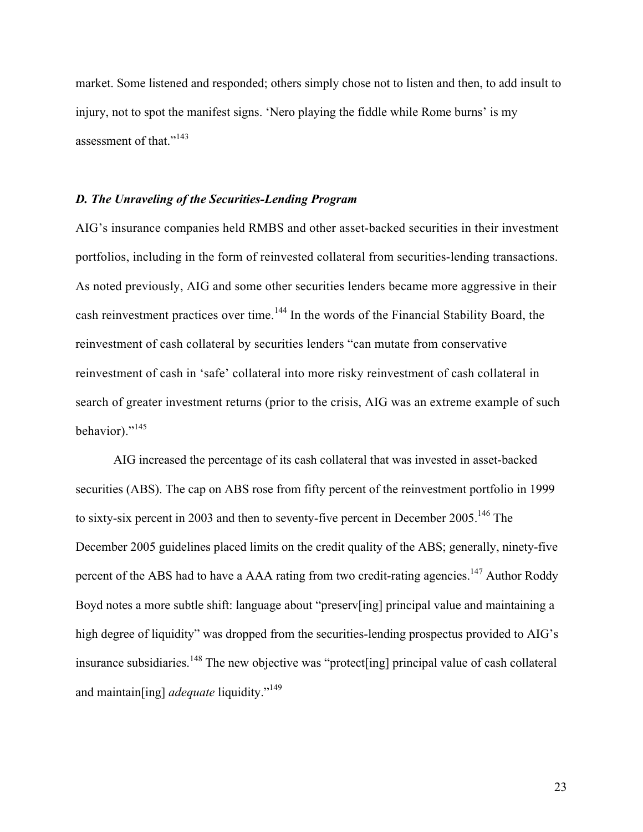market. Some listened and responded; others simply chose not to listen and then, to add insult to injury, not to spot the manifest signs. 'Nero playing the fiddle while Rome burns' is my assessment of that."<sup>143</sup>

## *D. The Unraveling of the Securities-Lending Program*

AIG's insurance companies held RMBS and other asset-backed securities in their investment portfolios, including in the form of reinvested collateral from securities-lending transactions. As noted previously, AIG and some other securities lenders became more aggressive in their cash reinvestment practices over time.<sup>144</sup> In the words of the Financial Stability Board, the reinvestment of cash collateral by securities lenders "can mutate from conservative reinvestment of cash in 'safe' collateral into more risky reinvestment of cash collateral in search of greater investment returns (prior to the crisis, AIG was an extreme example of such behavior)."<sup>145</sup>

AIG increased the percentage of its cash collateral that was invested in asset-backed securities (ABS). The cap on ABS rose from fifty percent of the reinvestment portfolio in 1999 to sixty-six percent in 2003 and then to seventy-five percent in December 2005.<sup>146</sup> The December 2005 guidelines placed limits on the credit quality of the ABS; generally, ninety-five percent of the ABS had to have a AAA rating from two credit-rating agencies.<sup>147</sup> Author Roddy Boyd notes a more subtle shift: language about "preserv[ing] principal value and maintaining a high degree of liquidity" was dropped from the securities-lending prospectus provided to AIG's insurance subsidiaries.<sup>148</sup> The new objective was "protect [ing] principal value of cash collateral and maintain[ing] *adequate* liquidity."<sup>149</sup>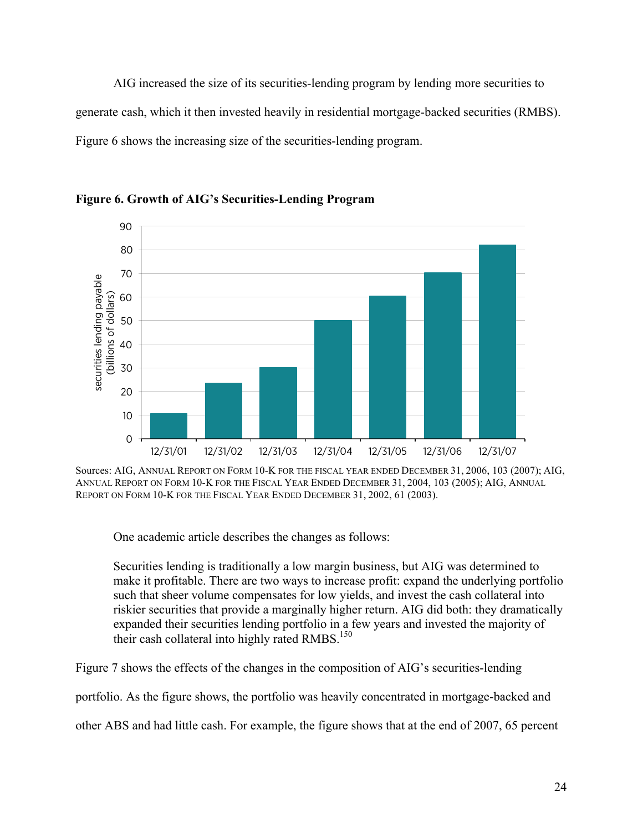AIG increased the size of its securities-lending program by lending more securities to generate cash, which it then invested heavily in residential mortgage-backed securities (RMBS). Figure 6 shows the increasing size of the securities-lending program.



**Figure 6. Growth of AIG's Securities-Lending Program**

Sources: AIG, ANNUAL REPORT ON FORM 10-K FOR THE FISCAL YEAR ENDED DECEMBER 31, 2006, 103 (2007); AIG, ANNUAL REPORT ON FORM 10-K FOR THE FISCAL YEAR ENDED DECEMBER 31, 2004, 103 (2005); AIG, ANNUAL REPORT ON FORM 10-K FOR THE FISCAL YEAR ENDED DECEMBER 31, 2002, 61 (2003).

One academic article describes the changes as follows:

Securities lending is traditionally a low margin business, but AIG was determined to make it profitable. There are two ways to increase profit: expand the underlying portfolio such that sheer volume compensates for low yields, and invest the cash collateral into riskier securities that provide a marginally higher return. AIG did both: they dramatically expanded their securities lending portfolio in a few years and invested the majority of their cash collateral into highly rated RMBS.<sup>150</sup>

Figure 7 shows the effects of the changes in the composition of AIG's securities-lending

portfolio. As the figure shows, the portfolio was heavily concentrated in mortgage-backed and

other ABS and had little cash. For example, the figure shows that at the end of 2007, 65 percent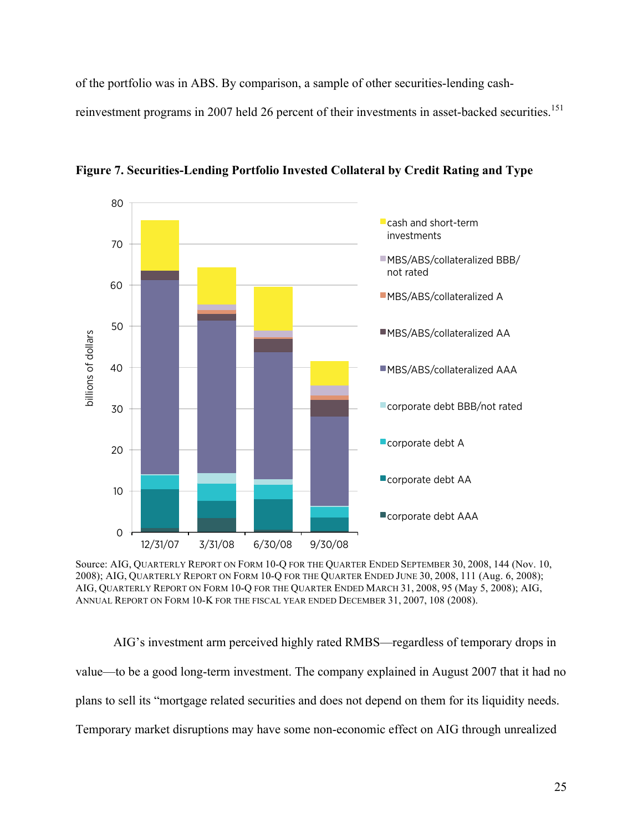of the portfolio was in ABS. By comparison, a sample of other securities-lending cashreinvestment programs in 2007 held 26 percent of their investments in asset-backed securities.<sup>151</sup>



**Figure 7. Securities-Lending Portfolio Invested Collateral by Credit Rating and Type**

Source: AIG, QUARTERLY REPORT ON FORM 10-Q FOR THE QUARTER ENDED SEPTEMBER 30, 2008, 144 (Nov. 10, 2008); AIG, QUARTERLY REPORT ON FORM 10-Q FOR THE QUARTER ENDED JUNE 30, 2008, 111 (Aug. 6, 2008); AIG, QUARTERLY REPORT ON FORM 10-Q FOR THE QUARTER ENDED MARCH 31, 2008, 95 (May 5, 2008); AIG, ANNUAL REPORT ON FORM 10-K FOR THE FISCAL YEAR ENDED DECEMBER 31, 2007, 108 (2008).

AIG's investment arm perceived highly rated RMBS—regardless of temporary drops in value—to be a good long-term investment. The company explained in August 2007 that it had no plans to sell its "mortgage related securities and does not depend on them for its liquidity needs. Temporary market disruptions may have some non-economic effect on AIG through unrealized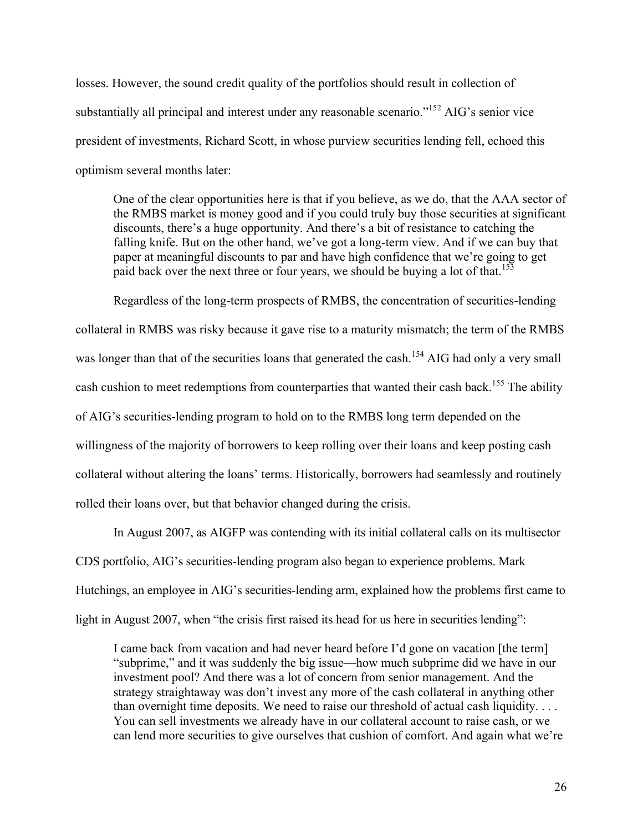losses. However, the sound credit quality of the portfolios should result in collection of substantially all principal and interest under any reasonable scenario."<sup>152</sup> AIG's senior vice president of investments, Richard Scott, in whose purview securities lending fell, echoed this optimism several months later:

One of the clear opportunities here is that if you believe, as we do, that the AAA sector of the RMBS market is money good and if you could truly buy those securities at significant discounts, there's a huge opportunity. And there's a bit of resistance to catching the falling knife. But on the other hand, we've got a long-term view. And if we can buy that paper at meaningful discounts to par and have high confidence that we're going to get paid back over the next three or four years, we should be buying a lot of that.<sup>153</sup>

Regardless of the long-term prospects of RMBS, the concentration of securities-lending collateral in RMBS was risky because it gave rise to a maturity mismatch; the term of the RMBS was longer than that of the securities loans that generated the cash.<sup>154</sup> AIG had only a very small cash cushion to meet redemptions from counterparties that wanted their cash back.<sup>155</sup> The ability of AIG's securities-lending program to hold on to the RMBS long term depended on the willingness of the majority of borrowers to keep rolling over their loans and keep posting cash collateral without altering the loans' terms. Historically, borrowers had seamlessly and routinely rolled their loans over, but that behavior changed during the crisis.

In August 2007, as AIGFP was contending with its initial collateral calls on its multisector CDS portfolio, AIG's securities-lending program also began to experience problems. Mark Hutchings, an employee in AIG's securities-lending arm, explained how the problems first came to light in August 2007, when "the crisis first raised its head for us here in securities lending":

I came back from vacation and had never heard before I'd gone on vacation [the term] "subprime," and it was suddenly the big issue—how much subprime did we have in our investment pool? And there was a lot of concern from senior management. And the strategy straightaway was don't invest any more of the cash collateral in anything other than overnight time deposits. We need to raise our threshold of actual cash liquidity. . . . You can sell investments we already have in our collateral account to raise cash, or we can lend more securities to give ourselves that cushion of comfort. And again what we're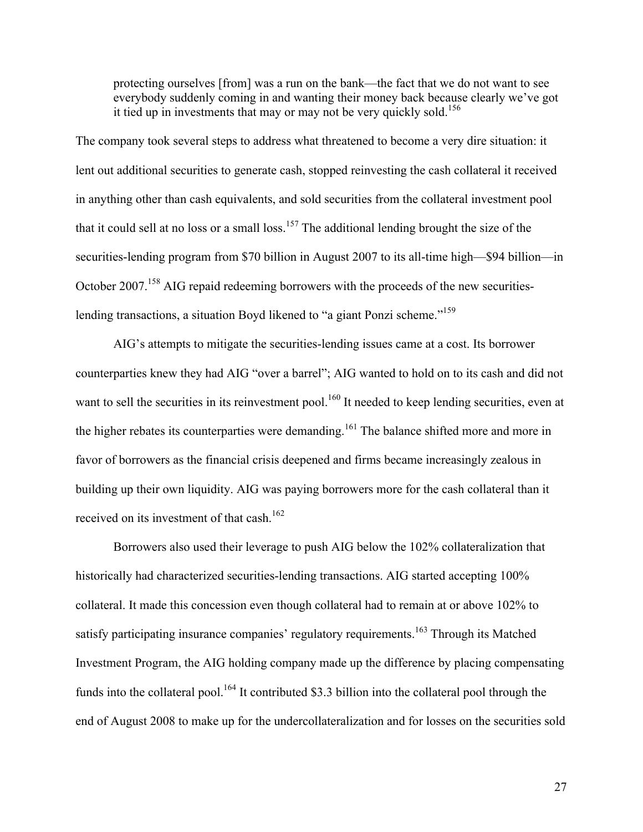protecting ourselves [from] was a run on the bank—the fact that we do not want to see everybody suddenly coming in and wanting their money back because clearly we've got it tied up in investments that may or may not be very quickly sold.<sup>156</sup>

The company took several steps to address what threatened to become a very dire situation: it lent out additional securities to generate cash, stopped reinvesting the cash collateral it received in anything other than cash equivalents, and sold securities from the collateral investment pool that it could sell at no loss or a small loss.<sup>157</sup> The additional lending brought the size of the securities-lending program from \$70 billion in August 2007 to its all-time high—\$94 billion—in October 2007.<sup>158</sup> AIG repaid redeeming borrowers with the proceeds of the new securitieslending transactions, a situation Boyd likened to "a giant Ponzi scheme."<sup>159</sup>

AIG's attempts to mitigate the securities-lending issues came at a cost. Its borrower counterparties knew they had AIG "over a barrel"; AIG wanted to hold on to its cash and did not want to sell the securities in its reinvestment pool.<sup>160</sup> It needed to keep lending securities, even at the higher rebates its counterparties were demanding.<sup>161</sup> The balance shifted more and more in favor of borrowers as the financial crisis deepened and firms became increasingly zealous in building up their own liquidity. AIG was paying borrowers more for the cash collateral than it received on its investment of that cash.<sup>162</sup>

Borrowers also used their leverage to push AIG below the 102% collateralization that historically had characterized securities-lending transactions. AIG started accepting 100% collateral. It made this concession even though collateral had to remain at or above 102% to satisfy participating insurance companies' regulatory requirements.<sup>163</sup> Through its Matched Investment Program, the AIG holding company made up the difference by placing compensating funds into the collateral pool.<sup>164</sup> It contributed \$3.3 billion into the collateral pool through the end of August 2008 to make up for the undercollateralization and for losses on the securities sold

27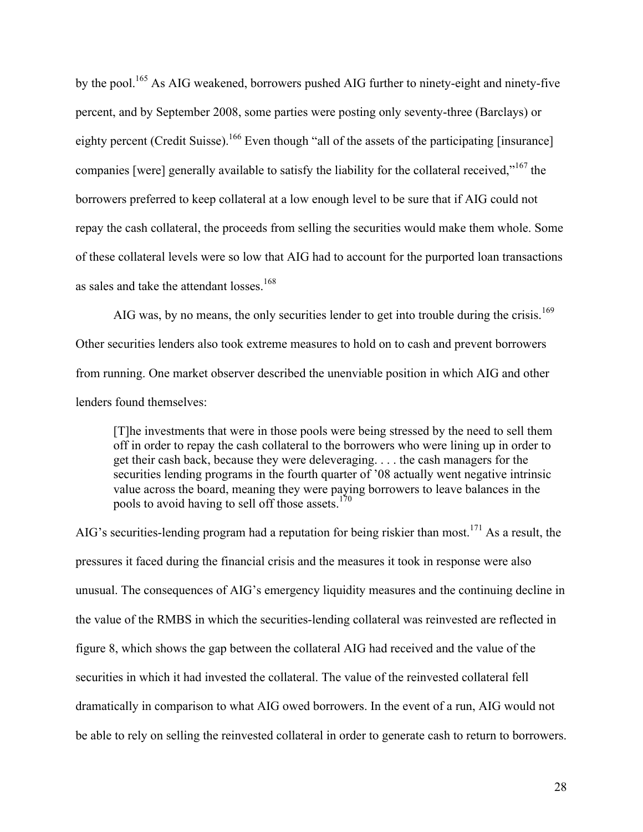by the pool.<sup>165</sup> As AIG weakened, borrowers pushed AIG further to ninety-eight and ninety-five percent, and by September 2008, some parties were posting only seventy-three (Barclays) or eighty percent (Credit Suisse).<sup>166</sup> Even though "all of the assets of the participating [insurance] companies [were] generally available to satisfy the liability for the collateral received,"<sup>167</sup> the borrowers preferred to keep collateral at a low enough level to be sure that if AIG could not repay the cash collateral, the proceeds from selling the securities would make them whole. Some of these collateral levels were so low that AIG had to account for the purported loan transactions as sales and take the attendant losses.<sup>168</sup>

AIG was, by no means, the only securities lender to get into trouble during the crisis.<sup>169</sup> Other securities lenders also took extreme measures to hold on to cash and prevent borrowers from running. One market observer described the unenviable position in which AIG and other lenders found themselves:

[T]he investments that were in those pools were being stressed by the need to sell them off in order to repay the cash collateral to the borrowers who were lining up in order to get their cash back, because they were deleveraging. . . . the cash managers for the securities lending programs in the fourth quarter of '08 actually went negative intrinsic value across the board, meaning they were paying borrowers to leave balances in the pools to avoid having to sell off those assets.<sup>170</sup>

AIG's securities-lending program had a reputation for being riskier than most.<sup>171</sup> As a result, the pressures it faced during the financial crisis and the measures it took in response were also unusual. The consequences of AIG's emergency liquidity measures and the continuing decline in the value of the RMBS in which the securities-lending collateral was reinvested are reflected in figure 8, which shows the gap between the collateral AIG had received and the value of the securities in which it had invested the collateral. The value of the reinvested collateral fell dramatically in comparison to what AIG owed borrowers. In the event of a run, AIG would not be able to rely on selling the reinvested collateral in order to generate cash to return to borrowers.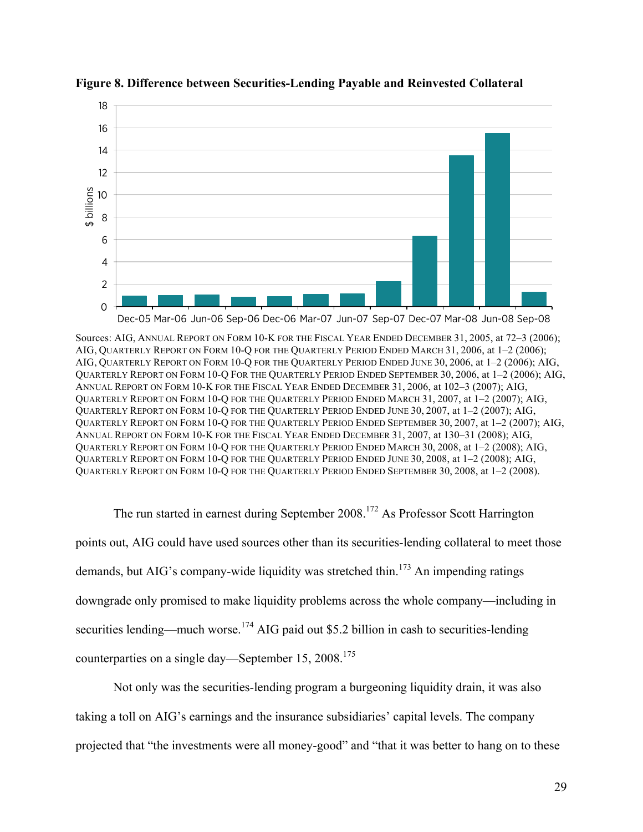

**Figure 8. Difference between Securities-Lending Payable and Reinvested Collateral**

Sources: AIG, ANNUAL REPORT ON FORM 10-K FOR THE FISCAL YEAR ENDED DECEMBER 31, 2005, at 72–3 (2006); AIG, QUARTERLY REPORT ON FORM 10-Q FOR THE QUARTERLY PERIOD ENDED MARCH 31, 2006, at 1–2 (2006); AIG, QUARTERLY REPORT ON FORM 10-Q FOR THE QUARTERLY PERIOD ENDED JUNE 30, 2006, at 1–2 (2006); AIG, QUARTERLY REPORT ON FORM 10-Q FOR THE QUARTERLY PERIOD ENDED SEPTEMBER 30, 2006, at 1–2 (2006); AIG, ANNUAL REPORT ON FORM 10-K FOR THE FISCAL YEAR ENDED DECEMBER 31, 2006, at 102–3 (2007); AIG, QUARTERLY REPORT ON FORM 10-Q FOR THE QUARTERLY PERIOD ENDED MARCH 31, 2007, at 1–2 (2007); AIG, QUARTERLY REPORT ON FORM 10-Q FOR THE QUARTERLY PERIOD ENDED JUNE 30, 2007, at 1–2 (2007); AIG, QUARTERLY REPORT ON FORM 10-Q FOR THE QUARTERLY PERIOD ENDED SEPTEMBER 30, 2007, at 1–2 (2007); AIG, ANNUAL REPORT ON FORM 10-K FOR THE FISCAL YEAR ENDED DECEMBER 31, 2007, at 130–31 (2008); AIG, QUARTERLY REPORT ON FORM 10-Q FOR THE QUARTERLY PERIOD ENDED MARCH 30, 2008, at 1–2 (2008); AIG, QUARTERLY REPORT ON FORM 10-Q FOR THE QUARTERLY PERIOD ENDED JUNE 30, 2008, at 1–2 (2008); AIG, QUARTERLY REPORT ON FORM 10-Q FOR THE QUARTERLY PERIOD ENDED SEPTEMBER 30, 2008, at 1–2 (2008).

The run started in earnest during September  $2008$ <sup>172</sup> As Professor Scott Harrington points out, AIG could have used sources other than its securities-lending collateral to meet those demands, but AIG's company-wide liquidity was stretched thin.<sup>173</sup> An impending ratings downgrade only promised to make liquidity problems across the whole company—including in securities lending—much worse.<sup>174</sup> AIG paid out \$5.2 billion in cash to securities-lending counterparties on a single day—September 15,  $2008$ <sup>175</sup>

Not only was the securities-lending program a burgeoning liquidity drain, it was also taking a toll on AIG's earnings and the insurance subsidiaries' capital levels. The company projected that "the investments were all money-good" and "that it was better to hang on to these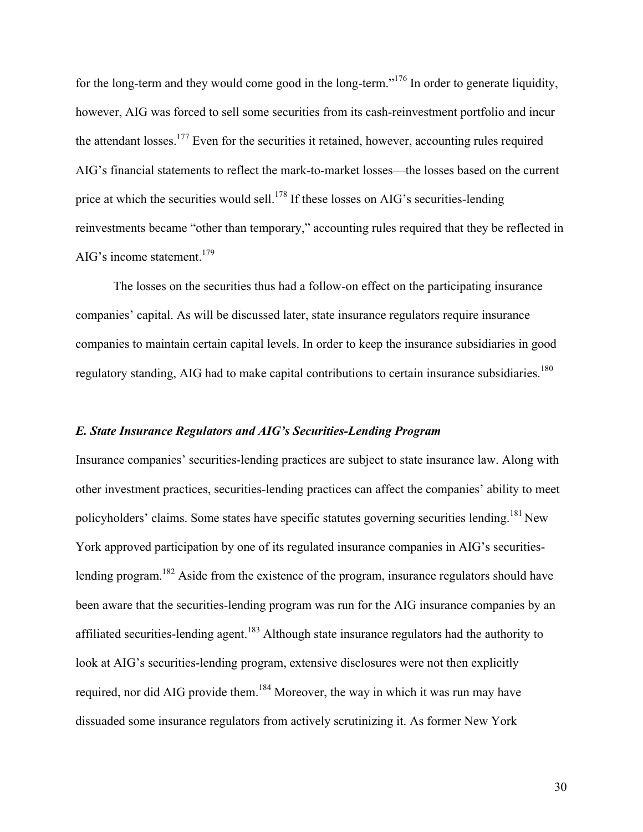for the long-term and they would come good in the long-term."<sup>176</sup> In order to generate liquidity, however, AIG was forced to sell some securities from its cash-reinvestment portfolio and incur the attendant losses.<sup>177</sup> Even for the securities it retained, however, accounting rules required AIG's financial statements to reflect the mark-to-market losses—the losses based on the current price at which the securities would sell.<sup>178</sup> If these losses on AIG's securities-lending reinvestments became "other than temporary," accounting rules required that they be reflected in AIG's income statement.<sup>179</sup>

The losses on the securities thus had a follow-on effect on the participating insurance companies' capital. As will be discussed later, state insurance regulators require insurance companies to maintain certain capital levels. In order to keep the insurance subsidiaries in good regulatory standing, AIG had to make capital contributions to certain insurance subsidiaries.<sup>180</sup>

#### *E. State Insurance Regulators and AIG's Securities-Lending Program*

Insurance companies' securities-lending practices are subject to state insurance law. Along with other investment practices, securities-lending practices can affect the companies' ability to meet policyholders' claims. Some states have specific statutes governing securities lending.<sup>181</sup> New York approved participation by one of its regulated insurance companies in AIG's securitieslending program.<sup>182</sup> Aside from the existence of the program, insurance regulators should have been aware that the securities-lending program was run for the AIG insurance companies by an affiliated securities-lending agent.<sup>183</sup> Although state insurance regulators had the authority to look at AIG's securities-lending program, extensive disclosures were not then explicitly required, nor did AIG provide them.<sup>184</sup> Moreover, the way in which it was run may have dissuaded some insurance regulators from actively scrutinizing it. As former New York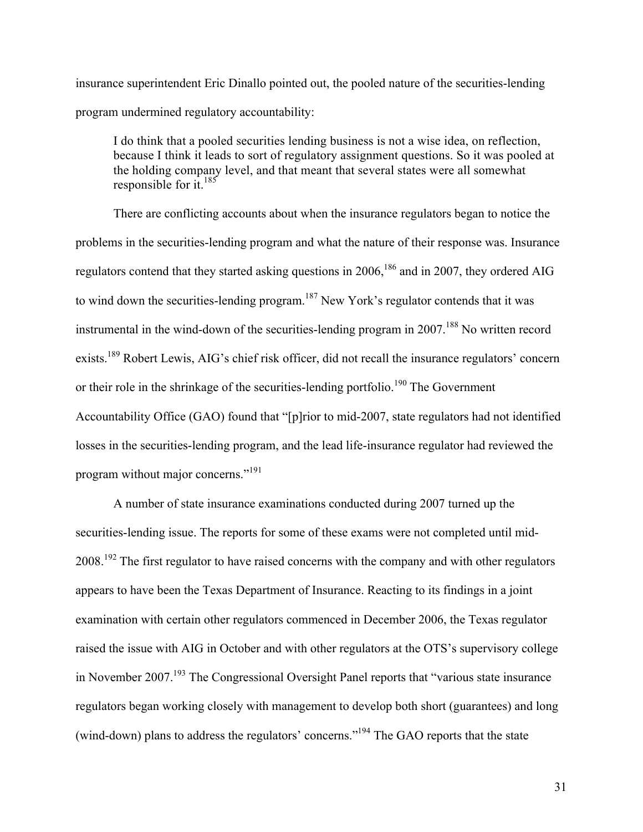insurance superintendent Eric Dinallo pointed out, the pooled nature of the securities-lending program undermined regulatory accountability:

I do think that a pooled securities lending business is not a wise idea, on reflection, because I think it leads to sort of regulatory assignment questions. So it was pooled at the holding company level, and that meant that several states were all somewhat responsible for it.<sup>185</sup>

There are conflicting accounts about when the insurance regulators began to notice the problems in the securities-lending program and what the nature of their response was. Insurance regulators contend that they started asking questions in  $2006$ ,  $^{186}$  and in 2007, they ordered AIG to wind down the securities-lending program.<sup>187</sup> New York's regulator contends that it was instrumental in the wind-down of the securities-lending program in  $2007$ <sup>188</sup> No written record exists.<sup>189</sup> Robert Lewis, AIG's chief risk officer, did not recall the insurance regulators' concern or their role in the shrinkage of the securities-lending portfolio.<sup>190</sup> The Government Accountability Office (GAO) found that "[p]rior to mid-2007, state regulators had not identified losses in the securities-lending program, and the lead life-insurance regulator had reviewed the program without major concerns."<sup>191</sup>

A number of state insurance examinations conducted during 2007 turned up the securities-lending issue. The reports for some of these exams were not completed until mid-2008.<sup>192</sup> The first regulator to have raised concerns with the company and with other regulators appears to have been the Texas Department of Insurance. Reacting to its findings in a joint examination with certain other regulators commenced in December 2006, the Texas regulator raised the issue with AIG in October and with other regulators at the OTS's supervisory college in November 2007.<sup>193</sup> The Congressional Oversight Panel reports that "various state insurance" regulators began working closely with management to develop both short (guarantees) and long (wind-down) plans to address the regulators' concerns."<sup>194</sup> The GAO reports that the state

31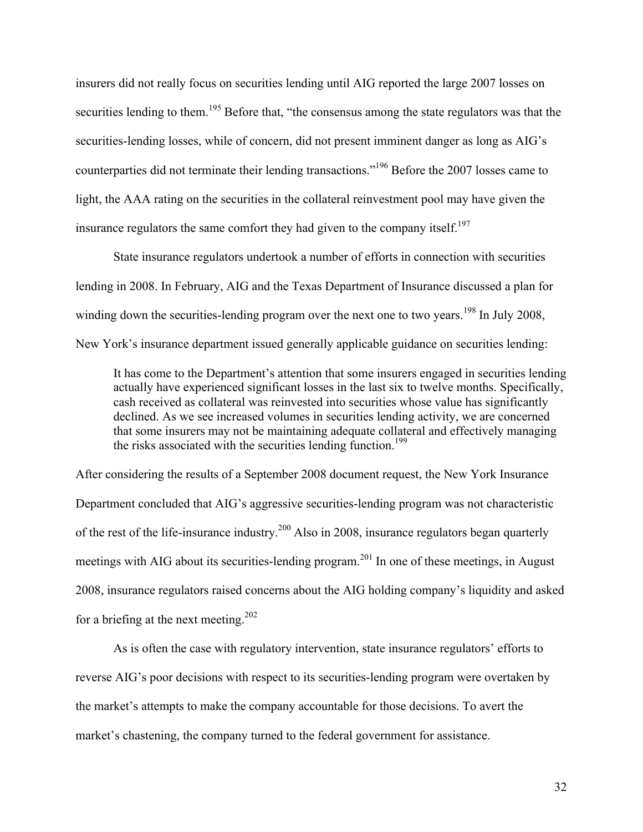insurers did not really focus on securities lending until AIG reported the large 2007 losses on securities lending to them.<sup>195</sup> Before that, "the consensus among the state regulators was that the securities-lending losses, while of concern, did not present imminent danger as long as AIG's counterparties did not terminate their lending transactions." <sup>196</sup> Before the 2007 losses came to light, the AAA rating on the securities in the collateral reinvestment pool may have given the insurance regulators the same comfort they had given to the company itself.<sup>197</sup>

State insurance regulators undertook a number of efforts in connection with securities lending in 2008. In February, AIG and the Texas Department of Insurance discussed a plan for winding down the securities-lending program over the next one to two years.<sup>198</sup> In July 2008, New York's insurance department issued generally applicable guidance on securities lending:

It has come to the Department's attention that some insurers engaged in securities lending actually have experienced significant losses in the last six to twelve months. Specifically, cash received as collateral was reinvested into securities whose value has significantly declined. As we see increased volumes in securities lending activity, we are concerned that some insurers may not be maintaining adequate collateral and effectively managing the risks associated with the securities lending function.<sup>199</sup>

After considering the results of a September 2008 document request, the New York Insurance Department concluded that AIG's aggressive securities-lending program was not characteristic of the rest of the life-insurance industry.<sup>200</sup> Also in 2008, insurance regulators began quarterly meetings with AIG about its securities-lending program.<sup>201</sup> In one of these meetings, in August 2008, insurance regulators raised concerns about the AIG holding company's liquidity and asked for a briefing at the next meeting.<sup>202</sup>

As is often the case with regulatory intervention, state insurance regulators' efforts to reverse AIG's poor decisions with respect to its securities-lending program were overtaken by the market's attempts to make the company accountable for those decisions. To avert the market's chastening, the company turned to the federal government for assistance.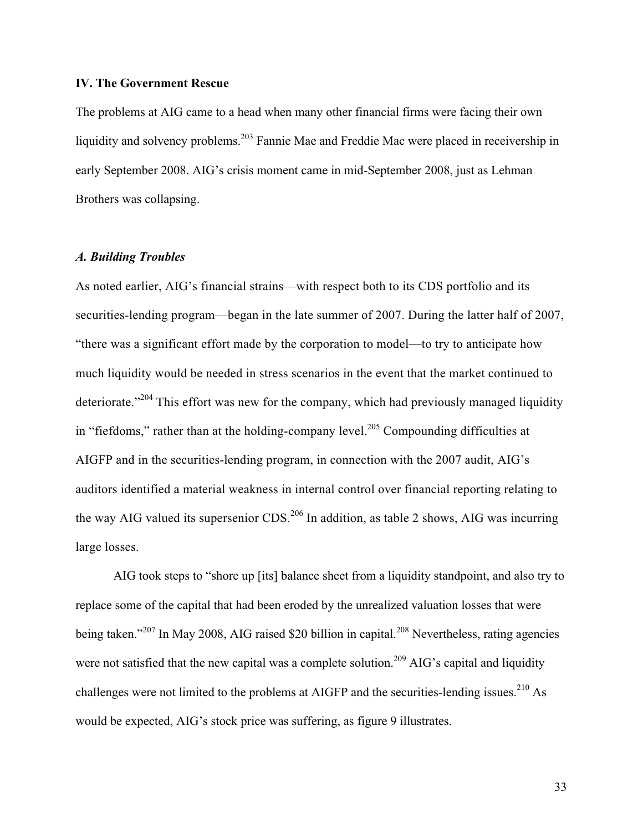### **IV. The Government Rescue**

The problems at AIG came to a head when many other financial firms were facing their own liquidity and solvency problems.<sup>203</sup> Fannie Mae and Freddie Mac were placed in receivership in early September 2008. AIG's crisis moment came in mid-September 2008, just as Lehman Brothers was collapsing.

## *A. Building Troubles*

As noted earlier, AIG's financial strains—with respect both to its CDS portfolio and its securities-lending program—began in the late summer of 2007. During the latter half of 2007, "there was a significant effort made by the corporation to model—to try to anticipate how much liquidity would be needed in stress scenarios in the event that the market continued to deteriorate."<sup>204</sup> This effort was new for the company, which had previously managed liquidity in "fiefdoms," rather than at the holding-company level.<sup>205</sup> Compounding difficulties at AIGFP and in the securities-lending program, in connection with the 2007 audit, AIG's auditors identified a material weakness in internal control over financial reporting relating to the way AIG valued its supersenior  $CDS<sup>206</sup>$  In addition, as table 2 shows, AIG was incurring large losses.

AIG took steps to "shore up [its] balance sheet from a liquidity standpoint, and also try to replace some of the capital that had been eroded by the unrealized valuation losses that were being taken."<sup>207</sup> In May 2008, AIG raised \$20 billion in capital.<sup>208</sup> Nevertheless, rating agencies were not satisfied that the new capital was a complete solution.<sup>209</sup> AIG's capital and liquidity challenges were not limited to the problems at AIGFP and the securities-lending issues.<sup>210</sup> As would be expected, AIG's stock price was suffering, as figure 9 illustrates.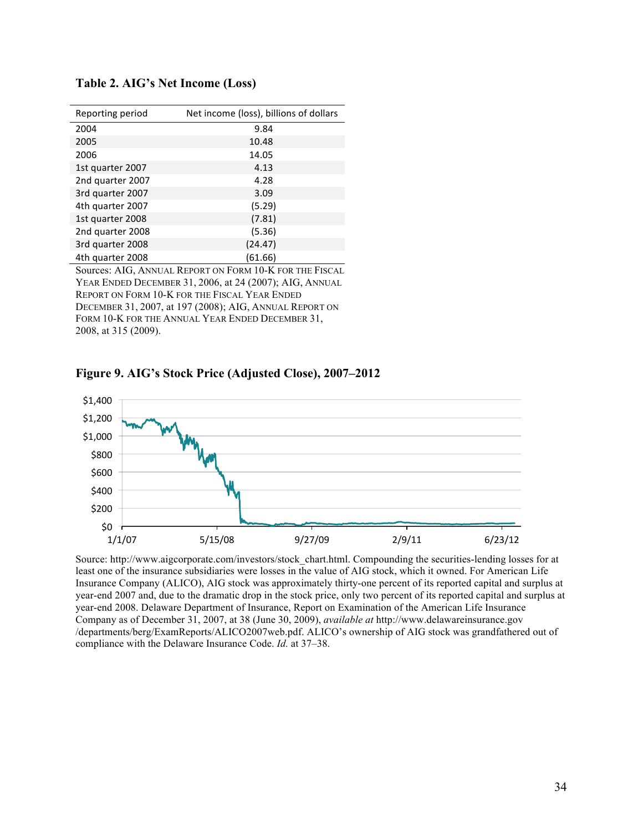|  |  |  |  | Table 2. AIG's Net Income (Loss) |  |  |
|--|--|--|--|----------------------------------|--|--|
|--|--|--|--|----------------------------------|--|--|

| Reporting period | Net income (loss), billions of dollars |
|------------------|----------------------------------------|
| 2004             | 9.84                                   |
| 2005             | 10.48                                  |
| 2006             | 14.05                                  |
| 1st quarter 2007 | 4.13                                   |
| 2nd quarter 2007 | 4.28                                   |
| 3rd quarter 2007 | 3.09                                   |
| 4th quarter 2007 | (5.29)                                 |
| 1st quarter 2008 | (7.81)                                 |
| 2nd quarter 2008 | (5.36)                                 |
| 3rd quarter 2008 | (24.47)                                |
| 4th quarter 2008 | (61.66)                                |

Sources: AIG, ANNUAL REPORT ON FORM 10-K FOR THE FISCAL YEAR ENDED DECEMBER 31, 2006, at 24 (2007); AIG, ANNUAL REPORT ON FORM 10-K FOR THE FISCAL YEAR ENDED DECEMBER 31, 2007, at 197 (2008); AIG, ANNUAL REPORT ON FORM 10-K FOR THE ANNUAL YEAR ENDED DECEMBER 31, 2008, at 315 (2009).

**Figure 9. AIG's Stock Price (Adjusted Close), 2007–2012**



Source: [http://www.aigcorporate.com/investors/stock\\_chart.html.](http://www.aigcorporate.com/investors/stock_chart.html) Compounding the securities-lending losses for at least one of the insurance subsidiaries were losses in the value of AIG stock, which it owned. For American Life Insurance Company (ALICO), AIG stock was approximately thirty-one percent of its reported capital and surplus at year-end 2007 and, due to the dramatic drop in the stock price, only two percent of its reported capital and surplus at year-end 2008. Delaware Department of Insurance, Report on Examination of the American Life Insurance Company as of December 31, 2007, at 38 (June 30, 2009), *available at* [http://www.delawareinsurance.gov](http://www.delawareinsurance.gov/departments/berg/ExamReports/ALICO2007web.pdf) [/departments/berg/ExamReports/ALICO2007web.pdf.](http://www.delawareinsurance.gov/departments/berg/ExamReports/ALICO2007web.pdf) ALICO's ownership of AIG stock was grandfathered out of compliance with the Delaware Insurance Code. *Id.* at 37–38.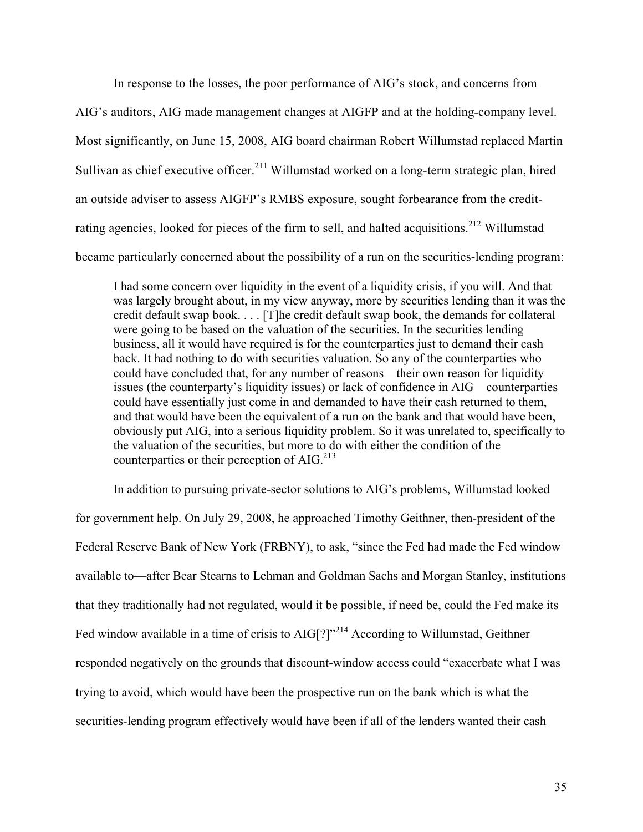In response to the losses, the poor performance of AIG's stock, and concerns from

AIG's auditors, AIG made management changes at AIGFP and at the holding-company level. Most significantly, on June 15, 2008, AIG board chairman Robert Willumstad replaced Martin Sullivan as chief executive officer.<sup>211</sup> Willumstad worked on a long-term strategic plan, hired an outside adviser to assess AIGFP's RMBS exposure, sought forbearance from the creditrating agencies, looked for pieces of the firm to sell, and halted acquisitions.<sup>212</sup> Willumstad became particularly concerned about the possibility of a run on the securities-lending program:

I had some concern over liquidity in the event of a liquidity crisis, if you will. And that was largely brought about, in my view anyway, more by securities lending than it was the credit default swap book. . . . [T]he credit default swap book, the demands for collateral were going to be based on the valuation of the securities. In the securities lending business, all it would have required is for the counterparties just to demand their cash back. It had nothing to do with securities valuation. So any of the counterparties who could have concluded that, for any number of reasons—their own reason for liquidity issues (the counterparty's liquidity issues) or lack of confidence in AIG—counterparties could have essentially just come in and demanded to have their cash returned to them, and that would have been the equivalent of a run on the bank and that would have been, obviously put AIG, into a serious liquidity problem. So it was unrelated to, specifically to the valuation of the securities, but more to do with either the condition of the counterparties or their perception of  $AIG.<sup>213</sup>$ 

In addition to pursuing private-sector solutions to AIG's problems, Willumstad looked for government help. On July 29, 2008, he approached Timothy Geithner, then-president of the Federal Reserve Bank of New York (FRBNY), to ask, "since the Fed had made the Fed window available to—after Bear Stearns to Lehman and Goldman Sachs and Morgan Stanley, institutions that they traditionally had not regulated, would it be possible, if need be, could the Fed make its Fed window available in a time of crisis to AIG[?]"<sup>214</sup> According to Willumstad, Geithner responded negatively on the grounds that discount-window access could "exacerbate what I was trying to avoid, which would have been the prospective run on the bank which is what the securities-lending program effectively would have been if all of the lenders wanted their cash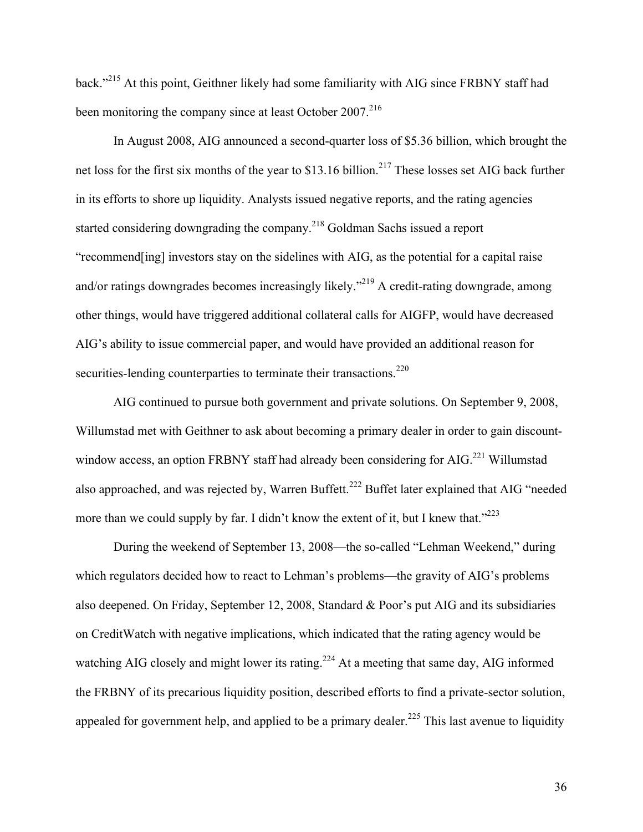back."<sup>215</sup> At this point, Geithner likely had some familiarity with AIG since FRBNY staff had been monitoring the company since at least October 2007.<sup>216</sup>

In August 2008, AIG announced a second-quarter loss of \$5.36 billion, which brought the net loss for the first six months of the year to \$13.16 billion.<sup>217</sup> These losses set AIG back further in its efforts to shore up liquidity. Analysts issued negative reports, and the rating agencies started considering downgrading the company.<sup>218</sup> Goldman Sachs issued a report "recommend[ing] investors stay on the sidelines with AIG, as the potential for a capital raise and/or ratings downgrades becomes increasingly likely."<sup>219</sup> A credit-rating downgrade, among other things, would have triggered additional collateral calls for AIGFP, would have decreased AIG's ability to issue commercial paper, and would have provided an additional reason for securities-lending counterparties to terminate their transactions.<sup>220</sup>

AIG continued to pursue both government and private solutions. On September 9, 2008, Willumstad met with Geithner to ask about becoming a primary dealer in order to gain discountwindow access, an option FRBNY staff had already been considering for AIG.<sup>221</sup> Willumstad also approached, and was rejected by, Warren Buffett.<sup>222</sup> Buffet later explained that AIG "needed" more than we could supply by far. I didn't know the extent of it, but I knew that."<sup>223</sup>

During the weekend of September 13, 2008—the so-called "Lehman Weekend," during which regulators decided how to react to Lehman's problems—the gravity of AIG's problems also deepened. On Friday, September 12, 2008, Standard & Poor's put AIG and its subsidiaries on CreditWatch with negative implications, which indicated that the rating agency would be watching AIG closely and might lower its rating.<sup>224</sup> At a meeting that same day, AIG informed the FRBNY of its precarious liquidity position, described efforts to find a private-sector solution, appealed for government help, and applied to be a primary dealer.<sup>225</sup> This last avenue to liquidity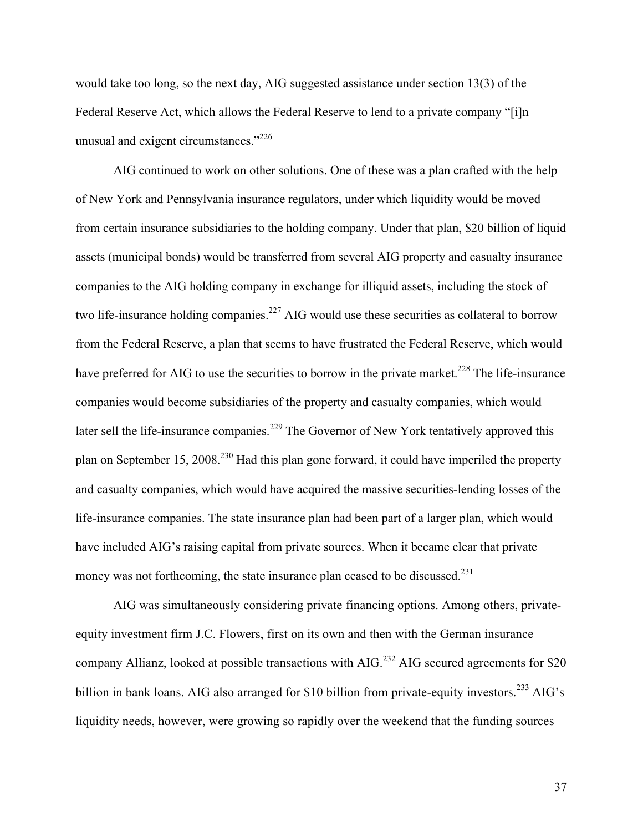would take too long, so the next day, AIG suggested assistance under section 13(3) of the Federal Reserve Act, which allows the Federal Reserve to lend to a private company "[i]n unusual and exigent circumstances."<sup>226</sup>

AIG continued to work on other solutions. One of these was a plan crafted with the help of New York and Pennsylvania insurance regulators, under which liquidity would be moved from certain insurance subsidiaries to the holding company. Under that plan, \$20 billion of liquid assets (municipal bonds) would be transferred from several AIG property and casualty insurance companies to the AIG holding company in exchange for illiquid assets, including the stock of two life-insurance holding companies.<sup>227</sup> AIG would use these securities as collateral to borrow from the Federal Reserve, a plan that seems to have frustrated the Federal Reserve, which would have preferred for AIG to use the securities to borrow in the private market.<sup>228</sup> The life-insurance companies would become subsidiaries of the property and casualty companies, which would later sell the life-insurance companies.<sup>229</sup> The Governor of New York tentatively approved this plan on September 15,  $2008<sup>230</sup>$  Had this plan gone forward, it could have imperiled the property and casualty companies, which would have acquired the massive securities-lending losses of the life-insurance companies. The state insurance plan had been part of a larger plan, which would have included AIG's raising capital from private sources. When it became clear that private money was not forthcoming, the state insurance plan ceased to be discussed.<sup>231</sup>

AIG was simultaneously considering private financing options. Among others, privateequity investment firm J.C. Flowers, first on its own and then with the German insurance company Allianz, looked at possible transactions with AIG.<sup>232</sup> AIG secured agreements for \$20 billion in bank loans. AIG also arranged for \$10 billion from private-equity investors.<sup>233</sup> AIG's liquidity needs, however, were growing so rapidly over the weekend that the funding sources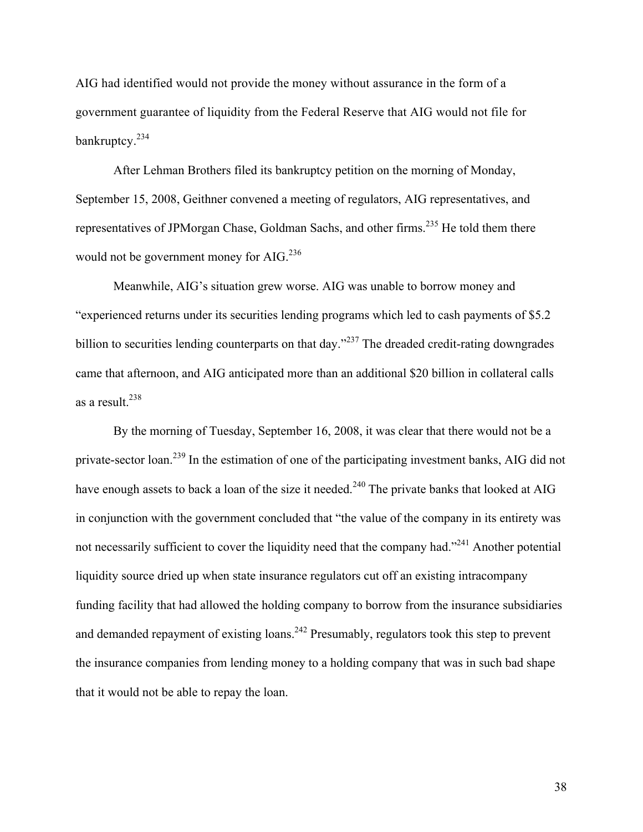AIG had identified would not provide the money without assurance in the form of a government guarantee of liquidity from the Federal Reserve that AIG would not file for bankruptcy.<sup>234</sup>

After Lehman Brothers filed its bankruptcy petition on the morning of Monday, September 15, 2008, Geithner convened a meeting of regulators, AIG representatives, and representatives of JPMorgan Chase, Goldman Sachs, and other firms.<sup>235</sup> He told them there would not be government money for AIG.<sup>236</sup>

Meanwhile, AIG's situation grew worse. AIG was unable to borrow money and "experienced returns under its securities lending programs which led to cash payments of \$5.2 billion to securities lending counterparts on that day."<sup>237</sup> The dreaded credit-rating downgrades came that afternoon, and AIG anticipated more than an additional \$20 billion in collateral calls as a result.<sup>238</sup>

By the morning of Tuesday, September 16, 2008, it was clear that there would not be a private-sector loan.<sup>239</sup> In the estimation of one of the participating investment banks, AIG did not have enough assets to back a loan of the size it needed.<sup>240</sup> The private banks that looked at AIG in conjunction with the government concluded that "the value of the company in its entirety was not necessarily sufficient to cover the liquidity need that the company had."<sup>241</sup> Another potential liquidity source dried up when state insurance regulators cut off an existing intracompany funding facility that had allowed the holding company to borrow from the insurance subsidiaries and demanded repayment of existing loans.<sup>242</sup> Presumably, regulators took this step to prevent the insurance companies from lending money to a holding company that was in such bad shape that it would not be able to repay the loan.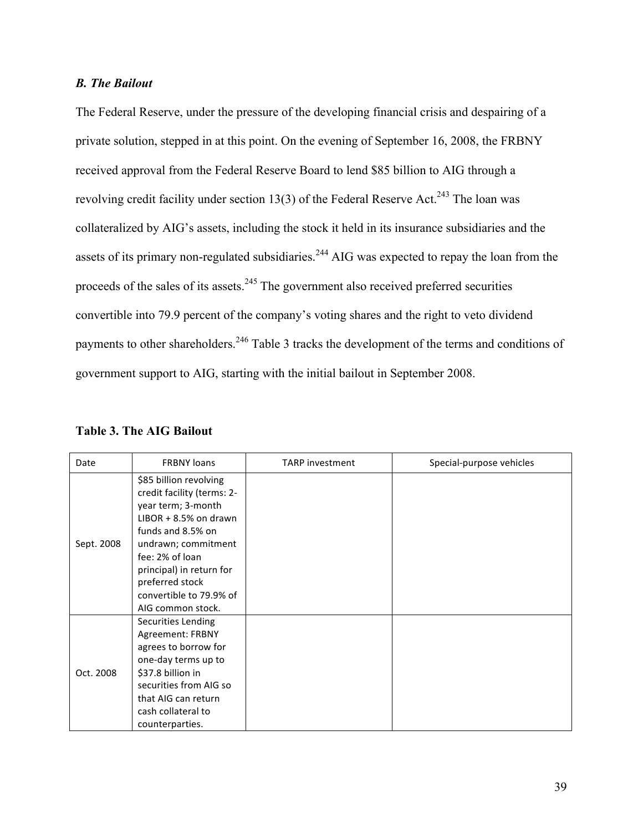## *B. The Bailout*

The Federal Reserve, under the pressure of the developing financial crisis and despairing of a private solution, stepped in at this point. On the evening of September 16, 2008, the FRBNY received approval from the Federal Reserve Board to lend \$85 billion to AIG through a revolving credit facility under section 13(3) of the Federal Reserve Act.<sup>243</sup> The loan was collateralized by AIG's assets, including the stock it held in its insurance subsidiaries and the assets of its primary non-regulated subsidiaries.<sup>244</sup> AIG was expected to repay the loan from the proceeds of the sales of its assets.<sup>245</sup> The government also received preferred securities convertible into 79.9 percent of the company's voting shares and the right to veto dividend payments to other shareholders.<sup>246</sup> Table 3 tracks the development of the terms and conditions of government support to AIG, starting with the initial bailout in September 2008.

| Date       | <b>FRBNY loans</b>                                                                                                                                                                                                                                                  | <b>TARP</b> investment | Special-purpose vehicles |
|------------|---------------------------------------------------------------------------------------------------------------------------------------------------------------------------------------------------------------------------------------------------------------------|------------------------|--------------------------|
| Sept. 2008 | \$85 billion revolving<br>credit facility (terms: 2-<br>year term; 3-month<br>$LIBOR + 8.5%$ on drawn<br>funds and 8.5% on<br>undrawn; commitment<br>fee: 2% of loan<br>principal) in return for<br>preferred stock<br>convertible to 79.9% of<br>AIG common stock. |                        |                          |
| Oct. 2008  | Securities Lending<br>Agreement: FRBNY<br>agrees to borrow for<br>one-day terms up to<br>\$37.8 billion in<br>securities from AIG so<br>that AIG can return<br>cash collateral to<br>counterparties.                                                                |                        |                          |

#### **Table 3. The AIG Bailout**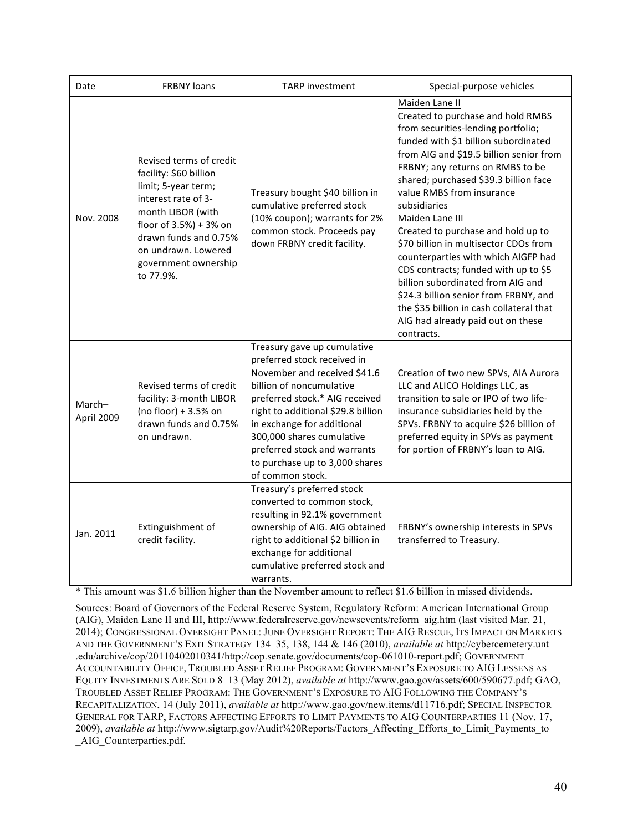| Date                 | <b>FRBNY loans</b>                                                                                                                                                                                                                  | <b>TARP</b> investment                                                                                                                                                                                                                                                                                                                          | Special-purpose vehicles                                                                                                                                                                                                                                                                                                                                                                                                                                                                                                                                                                                                                                             |  |  |
|----------------------|-------------------------------------------------------------------------------------------------------------------------------------------------------------------------------------------------------------------------------------|-------------------------------------------------------------------------------------------------------------------------------------------------------------------------------------------------------------------------------------------------------------------------------------------------------------------------------------------------|----------------------------------------------------------------------------------------------------------------------------------------------------------------------------------------------------------------------------------------------------------------------------------------------------------------------------------------------------------------------------------------------------------------------------------------------------------------------------------------------------------------------------------------------------------------------------------------------------------------------------------------------------------------------|--|--|
| Nov. 2008            | Revised terms of credit<br>facility: \$60 billion<br>limit; 5-year term;<br>interest rate of 3-<br>month LIBOR (with<br>floor of 3.5%) + 3% on<br>drawn funds and 0.75%<br>on undrawn. Lowered<br>government ownership<br>to 77.9%. | Treasury bought \$40 billion in<br>cumulative preferred stock<br>(10% coupon); warrants for 2%<br>common stock. Proceeds pay<br>down FRBNY credit facility.                                                                                                                                                                                     | Maiden Lane II<br>Created to purchase and hold RMBS<br>from securities-lending portfolio;<br>funded with \$1 billion subordinated<br>from AIG and \$19.5 billion senior from<br>FRBNY; any returns on RMBS to be<br>shared; purchased \$39.3 billion face<br>value RMBS from insurance<br>subsidiaries<br>Maiden Lane III<br>Created to purchase and hold up to<br>\$70 billion in multisector CDOs from<br>counterparties with which AIGFP had<br>CDS contracts; funded with up to \$5<br>billion subordinated from AIG and<br>\$24.3 billion senior from FRBNY, and<br>the \$35 billion in cash collateral that<br>AIG had already paid out on these<br>contracts. |  |  |
| March-<br>April 2009 | Revised terms of credit<br>facility: 3-month LIBOR<br>(no floor) + $3.5%$ on<br>drawn funds and 0.75%<br>on undrawn.                                                                                                                | Treasury gave up cumulative<br>preferred stock received in<br>November and received \$41.6<br>billion of noncumulative<br>preferred stock.* AIG received<br>right to additional \$29.8 billion<br>in exchange for additional<br>300,000 shares cumulative<br>preferred stock and warrants<br>to purchase up to 3,000 shares<br>of common stock. | Creation of two new SPVs, AIA Aurora<br>LLC and ALICO Holdings LLC, as<br>transition to sale or IPO of two life-<br>insurance subsidiaries held by the<br>SPVs. FRBNY to acquire \$26 billion of<br>preferred equity in SPVs as payment<br>for portion of FRBNY's loan to AIG.                                                                                                                                                                                                                                                                                                                                                                                       |  |  |
| Jan. 2011            | Extinguishment of<br>credit facility.                                                                                                                                                                                               | Treasury's preferred stock<br>converted to common stock,<br>resulting in 92.1% government<br>ownership of AIG. AIG obtained<br>right to additional \$2 billion in<br>exchange for additional<br>cumulative preferred stock and<br>warrants.                                                                                                     | FRBNY's ownership interests in SPVs<br>transferred to Treasury.                                                                                                                                                                                                                                                                                                                                                                                                                                                                                                                                                                                                      |  |  |

\* This amount was \$1.6 billion higher than the November amount to reflect \$1.6 billion in missed dividends.

Sources: Board of Governors of the Federal Reserve System, Regulatory Reform: American International Group (AIG), Maiden Lane II and III, [http://www.federalreserve.gov/newsevents/reform\\_aig.htm](http://www.federalreserve.gov/newsevents/reform_aig.htm) (last visited Mar. 21, 2014); CONGRESSIONAL OVERSIGHT PANEL: JUNE OVERSIGHT REPORT: THE AIG RESCUE, ITS IMPACT ON MARKETS AND THE GOVERNMENT'S EXIT STRATEGY 134–35, 138, 144 & 146 (2010), *available at* [http://cybercemetery.unt](http://cybercemetery.unt.edu/archive/cop/20110402010341/http://cop.senate.gov/documents/cop-061010-report.pdf) [.edu/archive/cop/20110402010341/http://cop.senate.gov/documents/cop-061010-report.pdf;](http://cybercemetery.unt.edu/archive/cop/20110402010341/http://cop.senate.gov/documents/cop-061010-report.pdf) GOVERNMENT ACCOUNTABILITY OFFICE, TROUBLED ASSET RELIEF PROGRAM: GOVERNMENT'S EXPOSURE TO AIG LESSENS AS EQUITY INVESTMENTS ARE SOLD 8–13 (May 2012), *available at* [http://www.gao.gov/assets/600/590677.pdf;](http://www.gao.gov/assets/600/590677.pdf) GAO, TROUBLED ASSET RELIEF PROGRAM: THE GOVERNMENT'S EXPOSURE TO AIG FOLLOWING THE COMPANY'S RECAPITALIZATION, 14 (July 2011), *available at* [http://www.gao.gov/new.items/d11716.pdf;](http://www.gao.gov/new.items/d11716.pdf) SPECIAL INSPECTOR GENERAL FOR TARP, FACTORS AFFECTING EFFORTS TO LIMIT PAYMENTS TO AIG COUNTERPARTIES 11 (Nov. 17, 2009), *available at* [http://www.sigtarp.gov/Audit%20Reports/Factors\\_Affecting\\_Efforts\\_to\\_Limit\\_Payments\\_to](http://www.sigtarp.gov/Audit%20Reports/Factors_Affecting_Efforts_to_Limit_Payments_to_AIG_Counterparties.pdf) AIG Counterparties.pdf.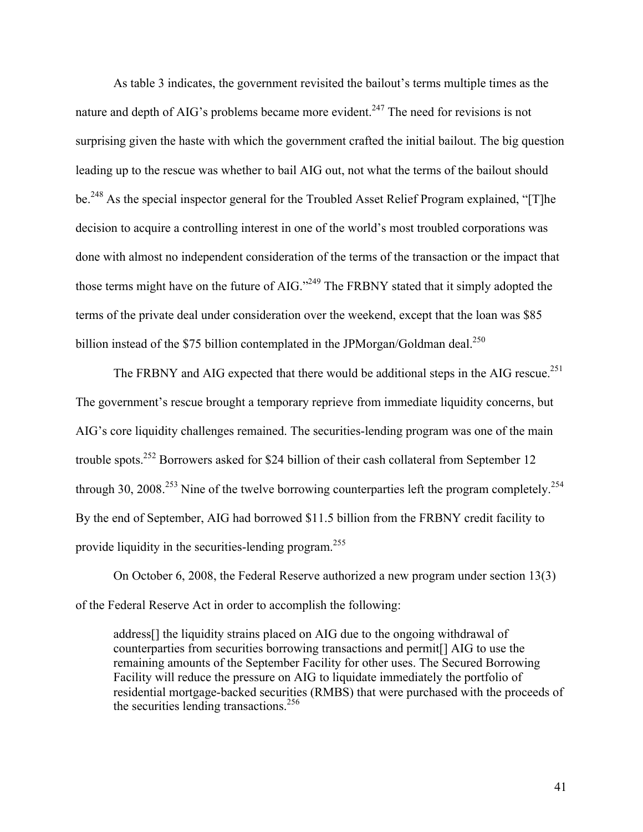As table 3 indicates, the government revisited the bailout's terms multiple times as the nature and depth of AIG's problems became more evident.<sup>247</sup> The need for revisions is not surprising given the haste with which the government crafted the initial bailout. The big question leading up to the rescue was whether to bail AIG out, not what the terms of the bailout should be.<sup>248</sup> As the special inspector general for the Troubled Asset Relief Program explained, "[T]he decision to acquire a controlling interest in one of the world's most troubled corporations was done with almost no independent consideration of the terms of the transaction or the impact that those terms might have on the future of AIG."<sup>249</sup> The FRBNY stated that it simply adopted the terms of the private deal under consideration over the weekend, except that the loan was \$85 billion instead of the \$75 billion contemplated in the JPMorgan/Goldman deal.<sup>250</sup>

The FRBNY and AIG expected that there would be additional steps in the AIG rescue.<sup>251</sup> The government's rescue brought a temporary reprieve from immediate liquidity concerns, but AIG's core liquidity challenges remained. The securities-lending program was one of the main trouble spots.<sup>252</sup> Borrowers asked for \$24 billion of their cash collateral from September 12 through 30, 2008.<sup>253</sup> Nine of the twelve borrowing counterparties left the program completely.<sup>254</sup> By the end of September, AIG had borrowed \$11.5 billion from the FRBNY credit facility to provide liquidity in the securities-lending program.<sup>255</sup>

On October 6, 2008, the Federal Reserve authorized a new program under section 13(3) of the Federal Reserve Act in order to accomplish the following:

address[] the liquidity strains placed on AIG due to the ongoing withdrawal of counterparties from securities borrowing transactions and permit[] AIG to use the remaining amounts of the September Facility for other uses. The Secured Borrowing Facility will reduce the pressure on AIG to liquidate immediately the portfolio of residential mortgage-backed securities (RMBS) that were purchased with the proceeds of the securities lending transactions.<sup>256</sup>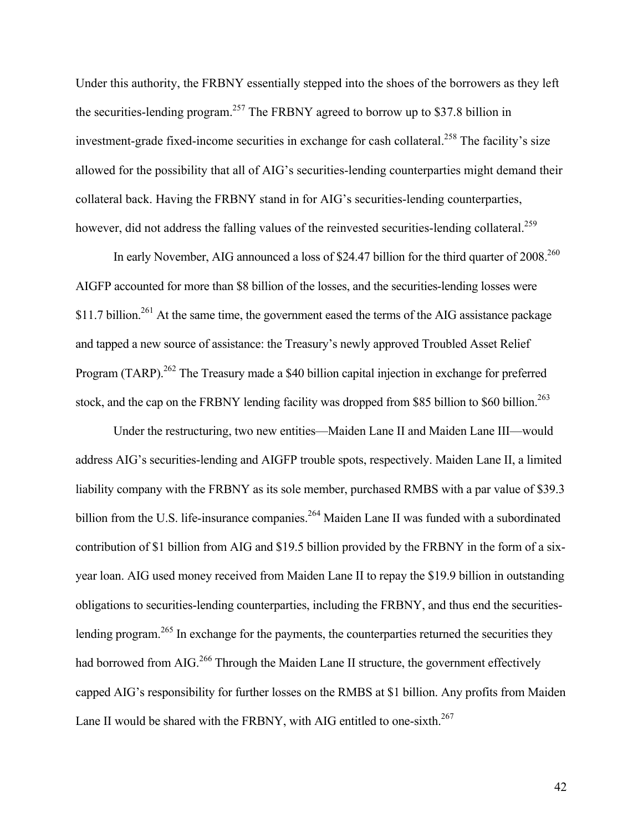Under this authority, the FRBNY essentially stepped into the shoes of the borrowers as they left the securities-lending program.<sup>257</sup> The FRBNY agreed to borrow up to \$37.8 billion in investment-grade fixed-income securities in exchange for cash collateral.<sup>258</sup> The facility's size allowed for the possibility that all of AIG's securities-lending counterparties might demand their collateral back. Having the FRBNY stand in for AIG's securities-lending counterparties, however, did not address the falling values of the reinvested securities-lending collateral.<sup>259</sup>

In early November, AIG announced a loss of \$24.47 billion for the third quarter of 2008.<sup>260</sup> AIGFP accounted for more than \$8 billion of the losses, and the securities-lending losses were  $$11.7$  billion.<sup>261</sup> At the same time, the government eased the terms of the AIG assistance package and tapped a new source of assistance: the Treasury's newly approved Troubled Asset Relief Program (TARP).<sup>262</sup> The Treasury made a \$40 billion capital injection in exchange for preferred stock, and the cap on the FRBNY lending facility was dropped from \$85 billion to \$60 billion.<sup>263</sup>

Under the restructuring, two new entities—Maiden Lane II and Maiden Lane III—would address AIG's securities-lending and AIGFP trouble spots, respectively. Maiden Lane II, a limited liability company with the FRBNY as its sole member, purchased RMBS with a par value of \$39.3 billion from the U.S. life-insurance companies.<sup>264</sup> Maiden Lane II was funded with a subordinated contribution of \$1 billion from AIG and \$19.5 billion provided by the FRBNY in the form of a sixyear loan. AIG used money received from Maiden Lane II to repay the \$19.9 billion in outstanding obligations to securities-lending counterparties, including the FRBNY, and thus end the securitieslending program.<sup>265</sup> In exchange for the payments, the counterparties returned the securities they had borrowed from AIG.<sup>266</sup> Through the Maiden Lane II structure, the government effectively capped AIG's responsibility for further losses on the RMBS at \$1 billion. Any profits from Maiden Lane II would be shared with the FRBNY, with AIG entitled to one-sixth.<sup>267</sup>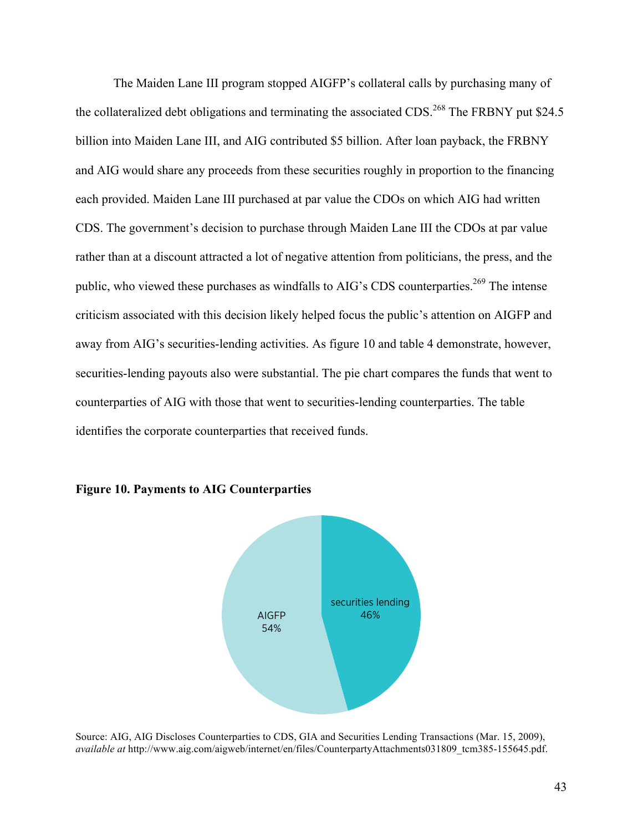The Maiden Lane III program stopped AIGFP's collateral calls by purchasing many of the collateralized debt obligations and terminating the associated CDS.<sup>268</sup> The FRBNY put \$24.5 billion into Maiden Lane III, and AIG contributed \$5 billion. After loan payback, the FRBNY and AIG would share any proceeds from these securities roughly in proportion to the financing each provided. Maiden Lane III purchased at par value the CDOs on which AIG had written CDS. The government's decision to purchase through Maiden Lane III the CDOs at par value rather than at a discount attracted a lot of negative attention from politicians, the press, and the public, who viewed these purchases as windfalls to AIG's CDS counterparties.<sup>269</sup> The intense criticism associated with this decision likely helped focus the public's attention on AIGFP and away from AIG's securities-lending activities. As figure 10 and table 4 demonstrate, however, securities-lending payouts also were substantial. The pie chart compares the funds that went to counterparties of AIG with those that went to securities-lending counterparties. The table identifies the corporate counterparties that received funds.



## **Figure 10. Payments to AIG Counterparties**

Source: AIG, AIG Discloses Counterparties to CDS, GIA and Securities Lending Transactions (Mar. 15, 2009), *available at* [http://www.aig.com/aigweb/internet/en/files/CounterpartyAttachments031809\\_tcm385-155645.pdf.](http://www.aig.com/aigweb/internet/en/files/CounterpartyAttachments031809_tcm385-155645.pdf)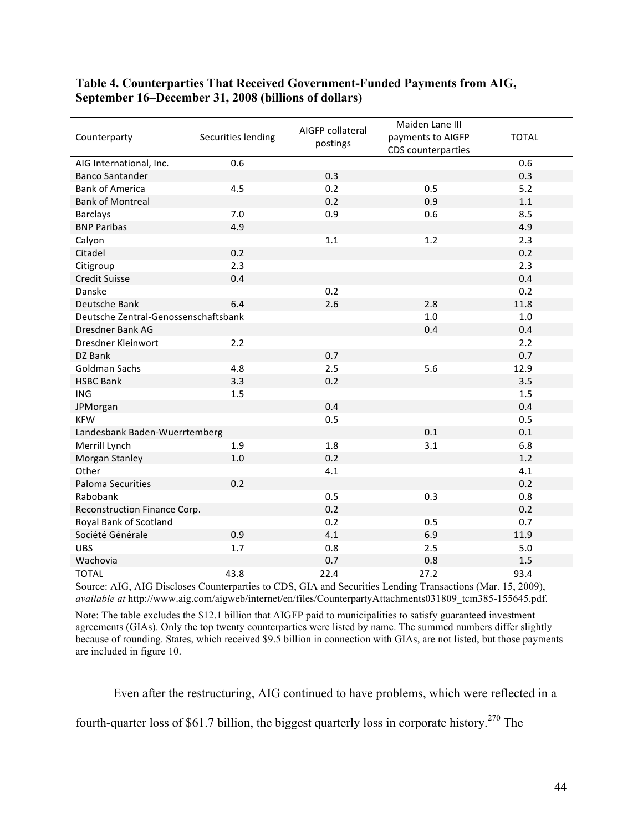## **Table 4. Counterparties That Received Government-Funded Payments from AIG, September 16–December 31, 2008 (billions of dollars)**

| Counterparty                         | Securities lending | AIGFP collateral<br>postings | Maiden Lane III<br>payments to AIGFP<br>CDS counterparties | <b>TOTAL</b> |  |
|--------------------------------------|--------------------|------------------------------|------------------------------------------------------------|--------------|--|
| AIG International, Inc.              | 0.6                |                              |                                                            | 0.6          |  |
| <b>Banco Santander</b>               |                    | 0.3                          |                                                            | 0.3          |  |
| <b>Bank of America</b>               | 4.5                | 0.2                          | 0.5                                                        | 5.2          |  |
| <b>Bank of Montreal</b>              |                    | 0.2                          | 0.9                                                        | 1.1          |  |
| <b>Barclays</b>                      | 7.0                | 0.9                          | 0.6                                                        | 8.5          |  |
| <b>BNP Paribas</b>                   | 4.9                |                              |                                                            | 4.9          |  |
| Calyon                               |                    | 1.1                          | 1.2                                                        | 2.3          |  |
| Citadel                              | 0.2                |                              |                                                            | 0.2          |  |
| Citigroup                            | 2.3                |                              |                                                            | 2.3          |  |
| <b>Credit Suisse</b>                 | 0.4                |                              |                                                            | 0.4          |  |
| Danske                               |                    | 0.2                          |                                                            | 0.2          |  |
| Deutsche Bank                        | 6.4                | 2.6                          | 2.8                                                        | 11.8         |  |
| Deutsche Zentral-Genossenschaftsbank |                    |                              | 1.0                                                        | 1.0          |  |
| Dresdner Bank AG                     |                    |                              | 0.4                                                        | 0.4          |  |
| Dresdner Kleinwort                   | 2.2                |                              |                                                            | 2.2          |  |
| DZ Bank                              |                    | 0.7                          |                                                            | 0.7          |  |
| <b>Goldman Sachs</b>                 | 4.8                | 2.5                          | 5.6                                                        | 12.9         |  |
| <b>HSBC Bank</b>                     | 3.3                | 0.2                          |                                                            | 3.5          |  |
| ING                                  | 1.5                |                              |                                                            | 1.5          |  |
| JPMorgan                             |                    | 0.4                          |                                                            | 0.4          |  |
| <b>KFW</b>                           |                    | 0.5                          |                                                            | 0.5          |  |
| Landesbank Baden-Wuerrtemberg        |                    |                              | 0.1                                                        | 0.1          |  |
| Merrill Lynch                        | 1.9                | 1.8                          | 3.1                                                        | 6.8          |  |
| Morgan Stanley                       | $1.0\,$            | 0.2                          |                                                            | 1.2          |  |
| Other                                |                    | 4.1                          |                                                            | 4.1          |  |
| <b>Paloma Securities</b>             | 0.2                |                              |                                                            | 0.2          |  |
| Rabobank                             |                    | 0.5                          | 0.3                                                        | 0.8          |  |
| Reconstruction Finance Corp.         |                    | 0.2                          |                                                            | 0.2          |  |
| Royal Bank of Scotland               |                    | 0.2                          | 0.5                                                        | 0.7          |  |
| Société Générale                     | 0.9                | 4.1                          | 6.9                                                        | 11.9         |  |
| <b>UBS</b>                           | 1.7                | 0.8                          | 2.5                                                        | 5.0          |  |
| Wachovia                             |                    | 0.7                          | 0.8                                                        | 1.5          |  |
| <b>TOTAL</b>                         | 43.8               | 22.4                         | 27.2                                                       | 93.4         |  |

Source: AIG, AIG Discloses Counterparties to CDS, GIA and Securities Lending Transactions (Mar. 15, 2009), *available at* [http://www.aig.com/aigweb/internet/en/files/CounterpartyAttachments031809\\_tcm385-155645.pdf.](http://www.aig.com/aigweb/internet/en/files/CounterpartyAttachments031809_tcm385-155645.pdf)

Note: The table excludes the \$12.1 billion that AIGFP paid to municipalities to satisfy guaranteed investment agreements (GIAs). Only the top twenty counterparties were listed by name. The summed numbers differ slightly because of rounding. States, which received \$9.5 billion in connection with GIAs, are not listed, but those payments are included in figure 10.

Even after the restructuring, AIG continued to have problems, which were reflected in a

fourth-quarter loss of \$61.7 billion, the biggest quarterly loss in corporate history.<sup>270</sup> The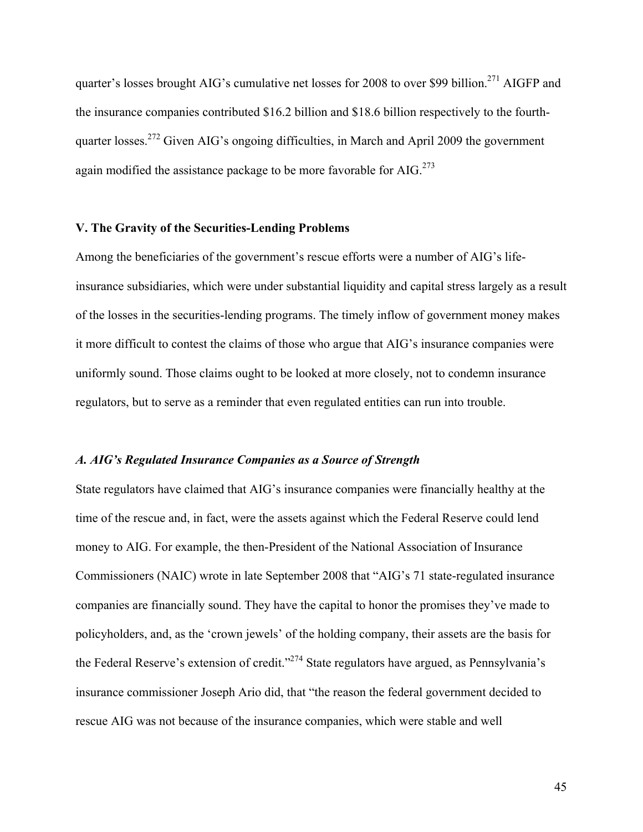quarter's losses brought AIG's cumulative net losses for 2008 to over \$99 billion.<sup>271</sup> AIGFP and the insurance companies contributed \$16.2 billion and \$18.6 billion respectively to the fourthquarter losses.272 Given AIG's ongoing difficulties, in March and April 2009 the government again modified the assistance package to be more favorable for  $AIG.<sup>273</sup>$ 

### **V. The Gravity of the Securities-Lending Problems**

Among the beneficiaries of the government's rescue efforts were a number of AIG's lifeinsurance subsidiaries, which were under substantial liquidity and capital stress largely as a result of the losses in the securities-lending programs. The timely inflow of government money makes it more difficult to contest the claims of those who argue that AIG's insurance companies were uniformly sound. Those claims ought to be looked at more closely, not to condemn insurance regulators, but to serve as a reminder that even regulated entities can run into trouble.

#### *A. AIG's Regulated Insurance Companies as a Source of Strength*

State regulators have claimed that AIG's insurance companies were financially healthy at the time of the rescue and, in fact, were the assets against which the Federal Reserve could lend money to AIG. For example, the then-President of the National Association of Insurance Commissioners (NAIC) wrote in late September 2008 that "AIG's 71 state-regulated insurance companies are financially sound. They have the capital to honor the promises they've made to policyholders, and, as the 'crown jewels' of the holding company, their assets are the basis for the Federal Reserve's extension of credit."<sup>274</sup> State regulators have argued, as Pennsylvania's insurance commissioner Joseph Ario did, that "the reason the federal government decided to rescue AIG was not because of the insurance companies, which were stable and well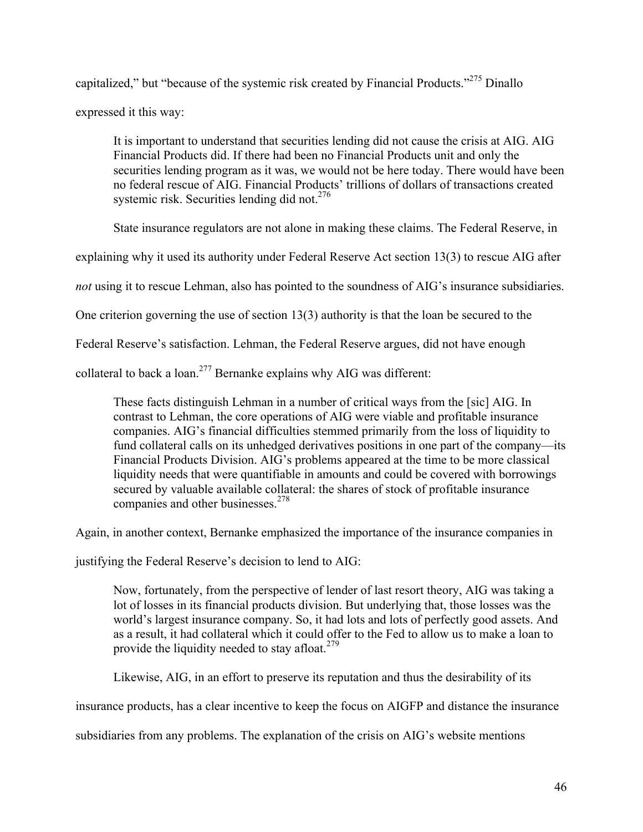capitalized," but "because of the systemic risk created by Financial Products."<sup>275</sup> Dinallo expressed it this way:

It is important to understand that securities lending did not cause the crisis at AIG. AIG Financial Products did. If there had been no Financial Products unit and only the securities lending program as it was, we would not be here today. There would have been no federal rescue of AIG. Financial Products' trillions of dollars of transactions created systemic risk. Securities lending did not.  $276$ 

State insurance regulators are not alone in making these claims. The Federal Reserve, in

explaining why it used its authority under Federal Reserve Act section 13(3) to rescue AIG after

*not* using it to rescue Lehman, also has pointed to the soundness of AIG's insurance subsidiaries.

One criterion governing the use of section 13(3) authority is that the loan be secured to the

Federal Reserve's satisfaction. Lehman, the Federal Reserve argues, did not have enough

collateral to back a loan.277 Bernanke explains why AIG was different:

These facts distinguish Lehman in a number of critical ways from the [sic] AIG. In contrast to Lehman, the core operations of AIG were viable and profitable insurance companies. AIG's financial difficulties stemmed primarily from the loss of liquidity to fund collateral calls on its unhedged derivatives positions in one part of the company—its Financial Products Division. AIG's problems appeared at the time to be more classical liquidity needs that were quantifiable in amounts and could be covered with borrowings secured by valuable available collateral: the shares of stock of profitable insurance companies and other businesses.<sup>278</sup>

Again, in another context, Bernanke emphasized the importance of the insurance companies in

justifying the Federal Reserve's decision to lend to AIG:

Now, fortunately, from the perspective of lender of last resort theory, AIG was taking a lot of losses in its financial products division. But underlying that, those losses was the world's largest insurance company. So, it had lots and lots of perfectly good assets. And as a result, it had collateral which it could offer to the Fed to allow us to make a loan to provide the liquidity needed to stay afloat.<sup>279</sup>

Likewise, AIG, in an effort to preserve its reputation and thus the desirability of its

insurance products, has a clear incentive to keep the focus on AIGFP and distance the insurance

subsidiaries from any problems. The explanation of the crisis on AIG's website mentions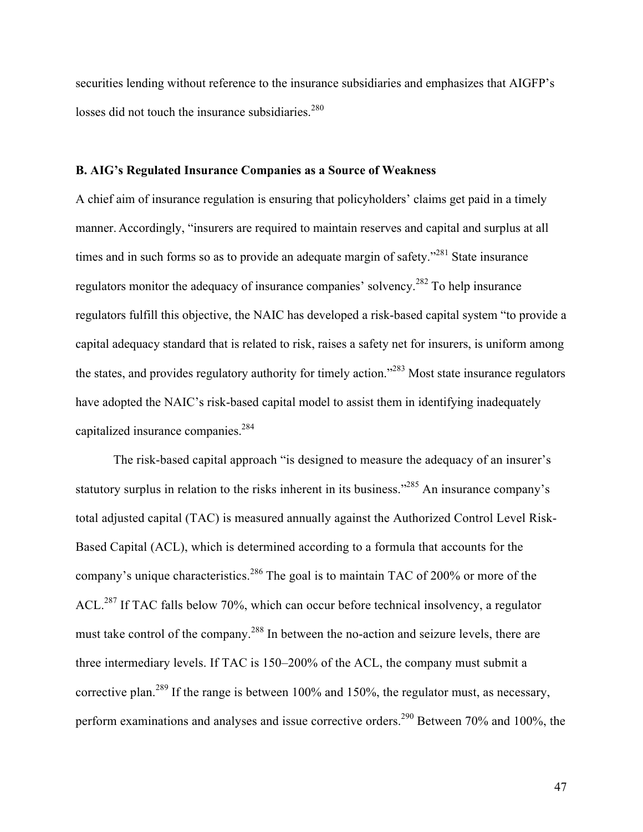securities lending without reference to the insurance subsidiaries and emphasizes that AIGFP's losses did not touch the insurance subsidiaries.<sup>280</sup>

### **B. AIG's Regulated Insurance Companies as a Source of Weakness**

A chief aim of insurance regulation is ensuring that policyholders' claims get paid in a timely manner. Accordingly, "insurers are required to maintain reserves and capital and surplus at all times and in such forms so as to provide an adequate margin of safety."<sup>281</sup> State insurance regulators monitor the adequacy of insurance companies' solvency.<sup>282</sup> To help insurance regulators fulfill this objective, the NAIC has developed a risk-based capital system "to provide a capital adequacy standard that is related to risk, raises a safety net for insurers, is uniform among the states, and provides regulatory authority for timely action."<sup>283</sup> Most state insurance regulators have adopted the NAIC's risk-based capital model to assist them in identifying inadequately capitalized insurance companies.<sup>284</sup>

The risk-based capital approach "is designed to measure the adequacy of an insurer's statutory surplus in relation to the risks inherent in its business."<sup>285</sup> An insurance company's total adjusted capital (TAC) is measured annually against the Authorized Control Level Risk-Based Capital (ACL), which is determined according to a formula that accounts for the company's unique characteristics.<sup>286</sup> The goal is to maintain TAC of 200% or more of the ACL.<sup>287</sup> If TAC falls below 70%, which can occur before technical insolvency, a regulator must take control of the company.<sup>288</sup> In between the no-action and seizure levels, there are three intermediary levels. If TAC is 150–200% of the ACL, the company must submit a corrective plan.<sup>289</sup> If the range is between 100% and 150%, the regulator must, as necessary, perform examinations and analyses and issue corrective orders.<sup>290</sup> Between 70% and 100%, the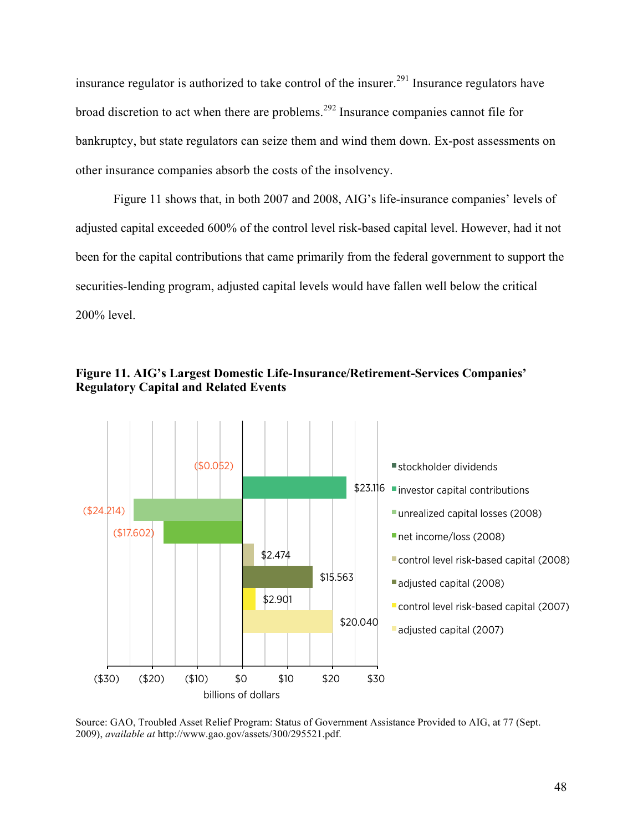insurance regulator is authorized to take control of the insurer.<sup>291</sup> Insurance regulators have broad discretion to act when there are problems.<sup>292</sup> Insurance companies cannot file for bankruptcy, but state regulators can seize them and wind them down. Ex-post assessments on other insurance companies absorb the costs of the insolvency.

Figure 11 shows that, in both 2007 and 2008, AIG's life-insurance companies' levels of adjusted capital exceeded 600% of the control level risk-based capital level. However, had it not been for the capital contributions that came primarily from the federal government to support the securities-lending program, adjusted capital levels would have fallen well below the critical 200% level.



**Figure 11. AIG's Largest Domestic Life-Insurance/Retirement-Services Companies'** 



Source: GAO, Troubled Asset Relief Program: Status of Government Assistance Provided to AIG, at 77 (Sept. 2009), *available at* [http://www.gao.gov/assets/300/295521.pdf.](http://www.gao.gov/assets/300/295521.pdf)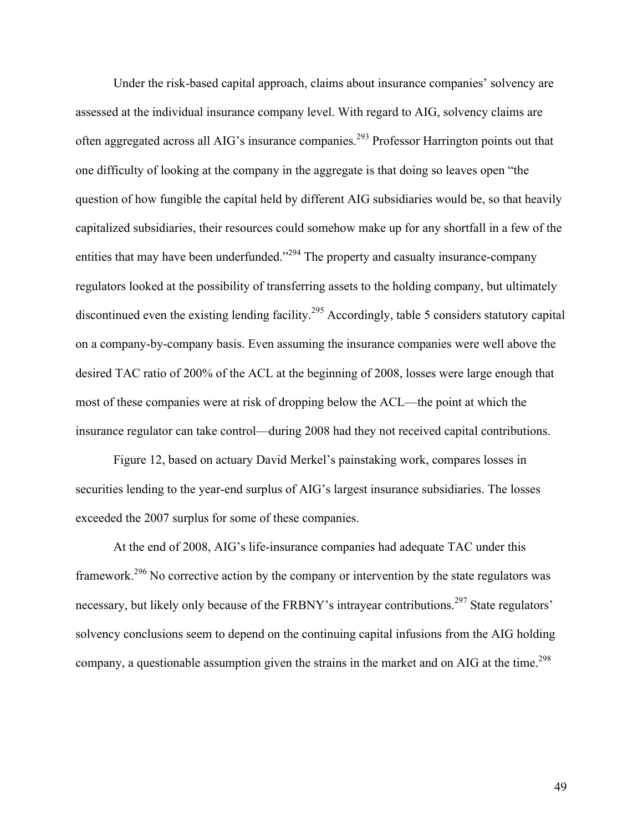Under the risk-based capital approach, claims about insurance companies' solvency are assessed at the individual insurance company level. With regard to AIG, solvency claims are often aggregated across all AIG's insurance companies.<sup>293</sup> Professor Harrington points out that one difficulty of looking at the company in the aggregate is that doing so leaves open "the question of how fungible the capital held by different AIG subsidiaries would be, so that heavily capitalized subsidiaries, their resources could somehow make up for any shortfall in a few of the entities that may have been underfunded.<sup>3294</sup> The property and casualty insurance-company regulators looked at the possibility of transferring assets to the holding company, but ultimately discontinued even the existing lending facility.<sup>295</sup> Accordingly, table 5 considers statutory capital on a company-by-company basis. Even assuming the insurance companies were well above the desired TAC ratio of 200% of the ACL at the beginning of 2008, losses were large enough that most of these companies were at risk of dropping below the ACL—the point at which the insurance regulator can take control—during 2008 had they not received capital contributions.

Figure 12, based on actuary David Merkel's painstaking work, compares losses in securities lending to the year-end surplus of AIG's largest insurance subsidiaries. The losses exceeded the 2007 surplus for some of these companies.

At the end of 2008, AIG's life-insurance companies had adequate TAC under this framework.<sup>296</sup> No corrective action by the company or intervention by the state regulators was necessary, but likely only because of the FRBNY's intrayear contributions.<sup>297</sup> State regulators' solvency conclusions seem to depend on the continuing capital infusions from the AIG holding company, a questionable assumption given the strains in the market and on AIG at the time.<sup>298</sup>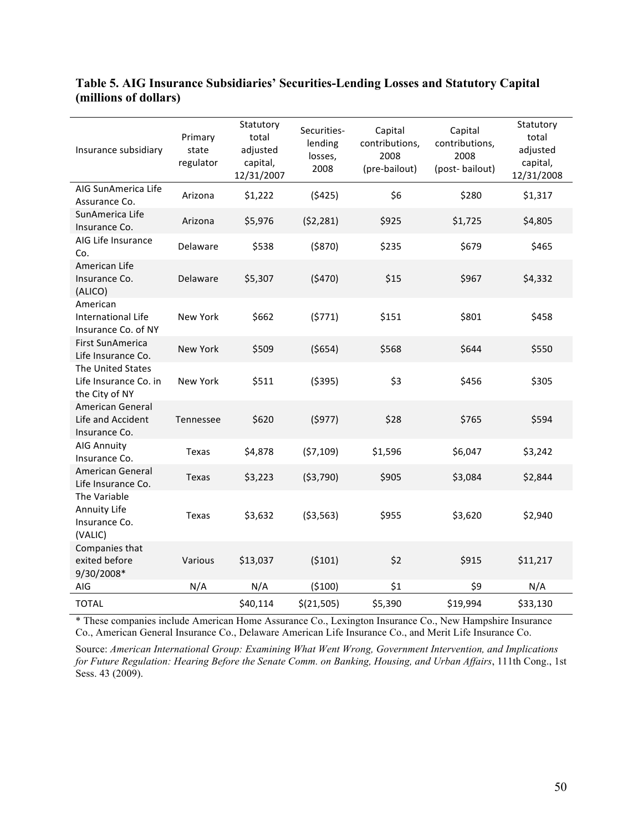# **Table 5. AIG Insurance Subsidiaries' Securities-Lending Losses and Statutory Capital (millions of dollars)**

| Insurance subsidiary                                          | Primary<br>state<br>regulator | Statutory<br>total<br>adjusted<br>capital,<br>12/31/2007 | Securities-<br>lending<br>losses,<br>2008 | Capital<br>contributions,<br>2008<br>(pre-bailout) | Capital<br>contributions,<br>2008<br>(post-bailout) | Statutory<br>total<br>adjusted<br>capital,<br>12/31/2008 |
|---------------------------------------------------------------|-------------------------------|----------------------------------------------------------|-------------------------------------------|----------------------------------------------------|-----------------------------------------------------|----------------------------------------------------------|
| AIG SunAmerica Life<br>Assurance Co.                          | Arizona                       | \$1,222                                                  | (5425)                                    | \$6                                                | \$280                                               | \$1,317                                                  |
| SunAmerica Life<br>Insurance Co.                              | Arizona                       | \$5,976                                                  | (52, 281)                                 | \$925                                              | \$1,725                                             | \$4,805                                                  |
| AIG Life Insurance<br>Co.                                     | Delaware                      | \$538                                                    | (5870)                                    | \$235                                              | \$679                                               | \$465                                                    |
| American Life<br>Insurance Co.<br>(ALICO)                     | Delaware                      | \$5,307                                                  | (5470)                                    | \$15                                               | \$967                                               | \$4,332                                                  |
| American<br><b>International Life</b><br>Insurance Co. of NY  | New York                      | \$662                                                    | (5771)                                    | \$151                                              | \$801                                               | \$458                                                    |
| <b>First SunAmerica</b><br>Life Insurance Co.                 | <b>New York</b>               | \$509                                                    | (5654)                                    | \$568                                              | \$644                                               | \$550                                                    |
| The United States<br>Life Insurance Co. in<br>the City of NY  | New York                      | \$511                                                    | ( \$395)                                  | \$3                                                | \$456                                               | \$305                                                    |
| <b>American General</b><br>Life and Accident<br>Insurance Co. | Tennessee                     | \$620                                                    | (5977)                                    | \$28                                               | \$765                                               | \$594                                                    |
| <b>AIG Annuity</b><br>Insurance Co.                           | Texas                         | \$4,878                                                  | (57, 109)                                 | \$1,596                                            | \$6,047                                             | \$3,242                                                  |
| <b>American General</b><br>Life Insurance Co.                 | Texas                         | \$3,223                                                  | ( \$3,790)                                | \$905                                              | \$3,084                                             | \$2,844                                                  |
| The Variable<br>Annuity Life<br>Insurance Co.<br>(VALIC)      | Texas                         | \$3,632                                                  | ( \$3,563)                                | \$955                                              | \$3,620                                             | \$2,940                                                  |
| Companies that<br>exited before<br>9/30/2008*                 | Various                       | \$13,037                                                 | (5101)                                    | \$2                                                | \$915                                               | \$11,217                                                 |
| AIG                                                           | N/A                           | N/A                                                      | (5100)                                    | \$1                                                | \$9                                                 | N/A                                                      |
| <b>TOTAL</b>                                                  |                               | \$40,114                                                 | \$(21,505)                                | \$5,390                                            | \$19,994                                            | \$33,130                                                 |

\* These companies include American Home Assurance Co., Lexington Insurance Co., New Hampshire Insurance Co., American General Insurance Co., Delaware American Life Insurance Co., and Merit Life Insurance Co.

Source: *American International Group: Examining What Went Wrong, Government Intervention, and Implications for Future Regulation: Hearing Before the Senate Comm. on Banking, Housing, and Urban Affairs*, 111th Cong., 1st Sess. 43 (2009).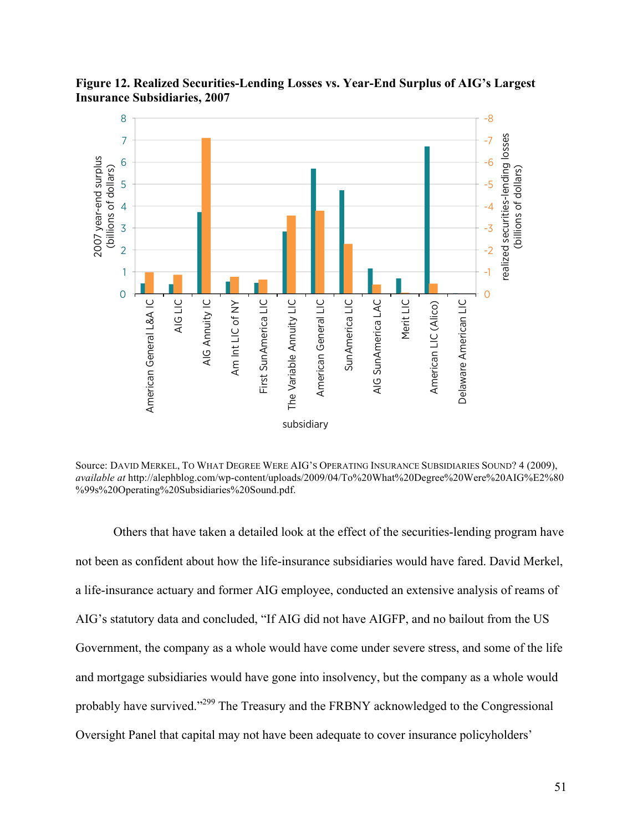

**Figure 12. Realized Securities-Lending Losses vs. Year-End Surplus of AIG's Largest Insurance Subsidiaries, 2007**

Source: DAVID MERKEL, TO WHAT DEGREE WERE AIG'S OPERATING INSURANCE SUBSIDIARIES SOUND? 4 (2009), *available at* [http://alephblog.com/wp-content/uploads/2009/04/To%20What%20Degree%20Were%20AIG%E2%80](http://alephblog.com/wp-content/uploads/2009/04/To%20What%20Degree%20Were%20AIG%E2%80%99s%20Operating%20Subsidiaries%20Sound.pdf) [%99s%20Operating%20Subsidiaries%20Sound.pdf.](http://alephblog.com/wp-content/uploads/2009/04/To%20What%20Degree%20Were%20AIG%E2%80%99s%20Operating%20Subsidiaries%20Sound.pdf)

Others that have taken a detailed look at the effect of the securities-lending program have not been as confident about how the life-insurance subsidiaries would have fared. David Merkel, a life-insurance actuary and former AIG employee, conducted an extensive analysis of reams of AIG's statutory data and concluded, "If AIG did not have AIGFP, and no bailout from the US Government, the company as a whole would have come under severe stress, and some of the life and mortgage subsidiaries would have gone into insolvency, but the company as a whole would probably have survived."<sup>299</sup> The Treasury and the FRBNY acknowledged to the Congressional Oversight Panel that capital may not have been adequate to cover insurance policyholders'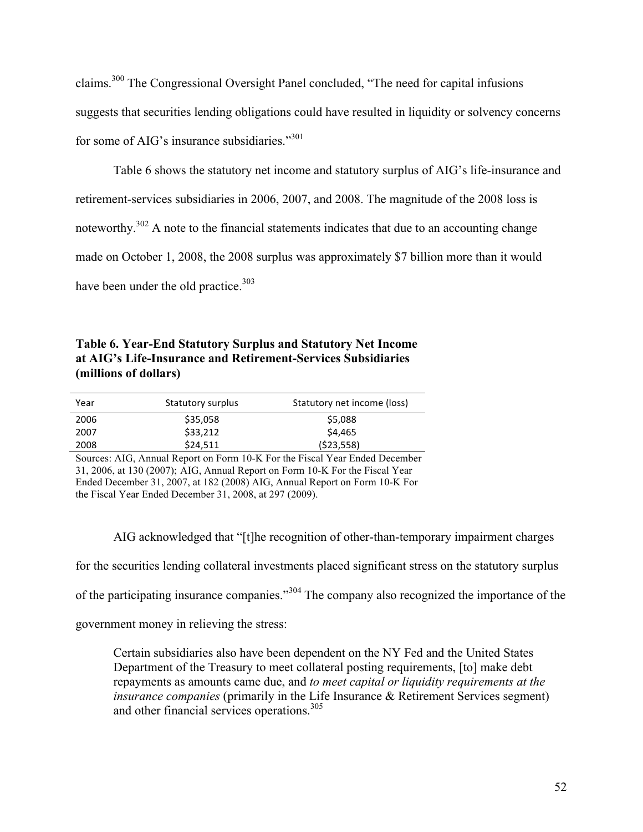claims.<sup>300</sup> The Congressional Oversight Panel concluded, "The need for capital infusions suggests that securities lending obligations could have resulted in liquidity or solvency concerns for some of AIG's insurance subsidiaries."<sup>301</sup>

Table 6 shows the statutory net income and statutory surplus of AIG's life-insurance and retirement-services subsidiaries in 2006, 2007, and 2008. The magnitude of the 2008 loss is noteworthy.302 A note to the financial statements indicates that due to an accounting change made on October 1, 2008, the 2008 surplus was approximately \$7 billion more than it would have been under the old practice.<sup>303</sup>

**Table 6. Year-End Statutory Surplus and Statutory Net Income at AIG's Life-Insurance and Retirement-Services Subsidiaries (millions of dollars)**

| Year | Statutory surplus | Statutory net income (loss) |
|------|-------------------|-----------------------------|
| 2006 | \$35,058          | \$5,088                     |
| 2007 | \$33,212          | \$4,465                     |
| 2008 | \$24,511          | (523,558)                   |
|      |                   |                             |

Sources: AIG, Annual Report on Form 10-K For the Fiscal Year Ended December 31, 2006, at 130 (2007); AIG, Annual Report on Form 10-K For the Fiscal Year Ended December 31, 2007, at 182 (2008) AIG, Annual Report on Form 10-K For the Fiscal Year Ended December 31, 2008, at 297 (2009).

AIG acknowledged that "[t]he recognition of other-than-temporary impairment charges

for the securities lending collateral investments placed significant stress on the statutory surplus

of the participating insurance companies."<sup>304</sup> The company also recognized the importance of the

government money in relieving the stress:

Certain subsidiaries also have been dependent on the NY Fed and the United States Department of the Treasury to meet collateral posting requirements, [to] make debt repayments as amounts came due, and *to meet capital or liquidity requirements at the insurance companies* (primarily in the Life Insurance & Retirement Services segment) and other financial services operations.<sup>305</sup>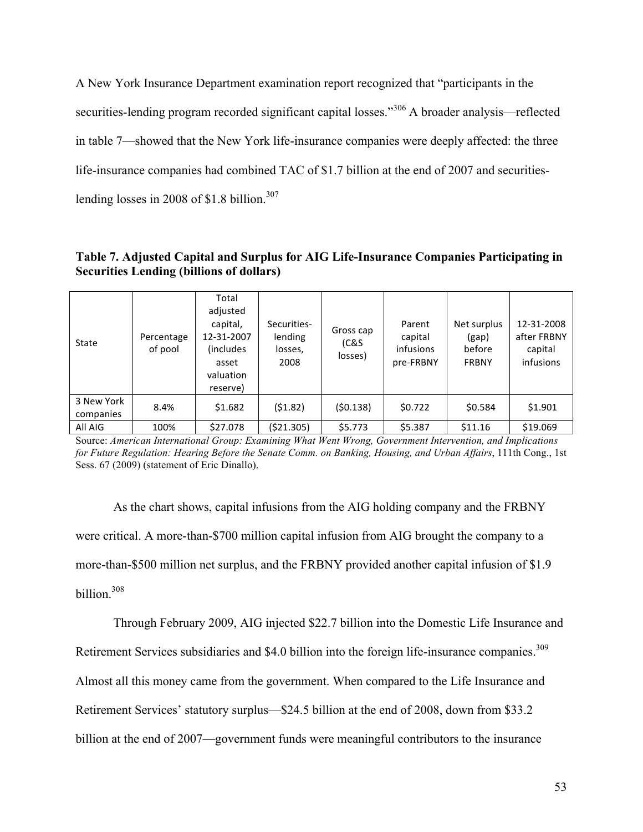A New York Insurance Department examination report recognized that "participants in the securities-lending program recorded significant capital losses."<sup>306</sup> A broader analysis—reflected in table 7—showed that the New York life-insurance companies were deeply affected: the three life-insurance companies had combined TAC of \$1.7 billion at the end of 2007 and securitieslending losses in 2008 of \$1.8 billion.<sup>307</sup>

**Table 7. Adjusted Capital and Surplus for AIG Life-Insurance Companies Participating in Securities Lending (billions of dollars)**

| State                   | Percentage<br>of pool | Total<br>adjusted<br>capital,<br>12-31-2007<br>(includes)<br>asset<br>valuation<br>reserve) | Securities-<br>lending<br>losses,<br>2008 | Gross cap<br>(C&S<br>losses) | Parent<br>capital<br>infusions<br>pre-FRBNY | Net surplus<br>(gap)<br>before<br><b>FRBNY</b> | 12-31-2008<br>after FRBNY<br>capital<br>infusions |
|-------------------------|-----------------------|---------------------------------------------------------------------------------------------|-------------------------------------------|------------------------------|---------------------------------------------|------------------------------------------------|---------------------------------------------------|
| 3 New York<br>companies | 8.4%                  | \$1.682                                                                                     | (51.82)                                   | (50.138)                     | \$0.722                                     | \$0.584                                        | \$1.901                                           |
| All AIG                 | 100%                  | \$27.078                                                                                    | (\$21.305)                                | \$5.773                      | \$5.387                                     | \$11.16                                        | \$19.069                                          |

Source: *American International Group: Examining What Went Wrong, Government Intervention, and Implications for Future Regulation: Hearing Before the Senate Comm. on Banking, Housing, and Urban Affairs*, 111th Cong., 1st Sess. 67 (2009) (statement of Eric Dinallo).

As the chart shows, capital infusions from the AIG holding company and the FRBNY were critical. A more-than-\$700 million capital infusion from AIG brought the company to a more-than-\$500 million net surplus, and the FRBNY provided another capital infusion of \$1.9 billion.308

Through February 2009, AIG injected \$22.7 billion into the Domestic Life Insurance and Retirement Services subsidiaries and \$4.0 billion into the foreign life-insurance companies.<sup>309</sup> Almost all this money came from the government. When compared to the Life Insurance and Retirement Services' statutory surplus—\$24.5 billion at the end of 2008, down from \$33.2 billion at the end of 2007—government funds were meaningful contributors to the insurance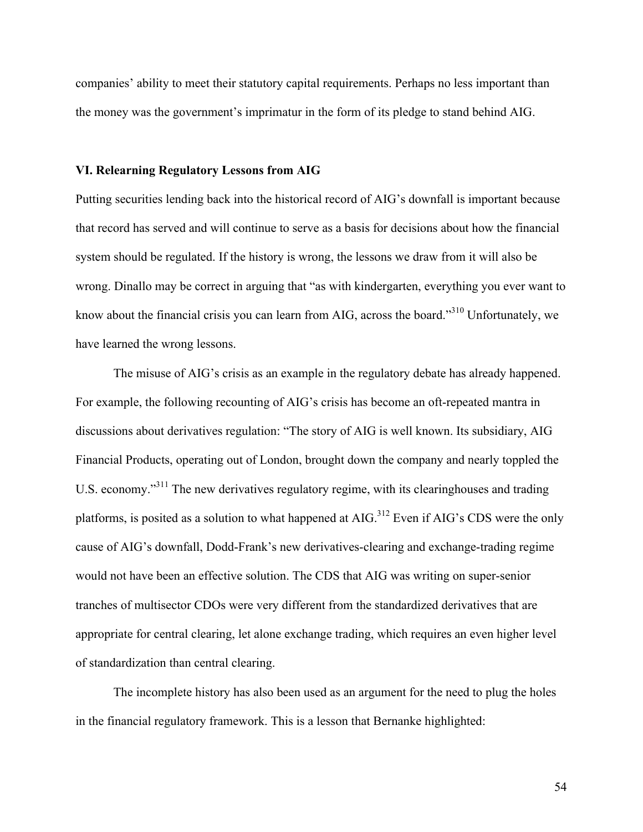companies' ability to meet their statutory capital requirements. Perhaps no less important than the money was the government's imprimatur in the form of its pledge to stand behind AIG.

### **VI. Relearning Regulatory Lessons from AIG**

Putting securities lending back into the historical record of AIG's downfall is important because that record has served and will continue to serve as a basis for decisions about how the financial system should be regulated. If the history is wrong, the lessons we draw from it will also be wrong. Dinallo may be correct in arguing that "as with kindergarten, everything you ever want to know about the financial crisis you can learn from AIG, across the board."<sup>310</sup> Unfortunately, we have learned the wrong lessons.

The misuse of AIG's crisis as an example in the regulatory debate has already happened. For example, the following recounting of AIG's crisis has become an oft-repeated mantra in discussions about derivatives regulation: "The story of AIG is well known. Its subsidiary, AIG Financial Products, operating out of London, brought down the company and nearly toppled the U.S. economy."<sup>311</sup> The new derivatives regulatory regime, with its clearinghouses and trading platforms, is posited as a solution to what happened at AIG.<sup>312</sup> Even if AIG's CDS were the only cause of AIG's downfall, Dodd-Frank's new derivatives-clearing and exchange-trading regime would not have been an effective solution. The CDS that AIG was writing on super-senior tranches of multisector CDOs were very different from the standardized derivatives that are appropriate for central clearing, let alone exchange trading, which requires an even higher level of standardization than central clearing.

The incomplete history has also been used as an argument for the need to plug the holes in the financial regulatory framework. This is a lesson that Bernanke highlighted: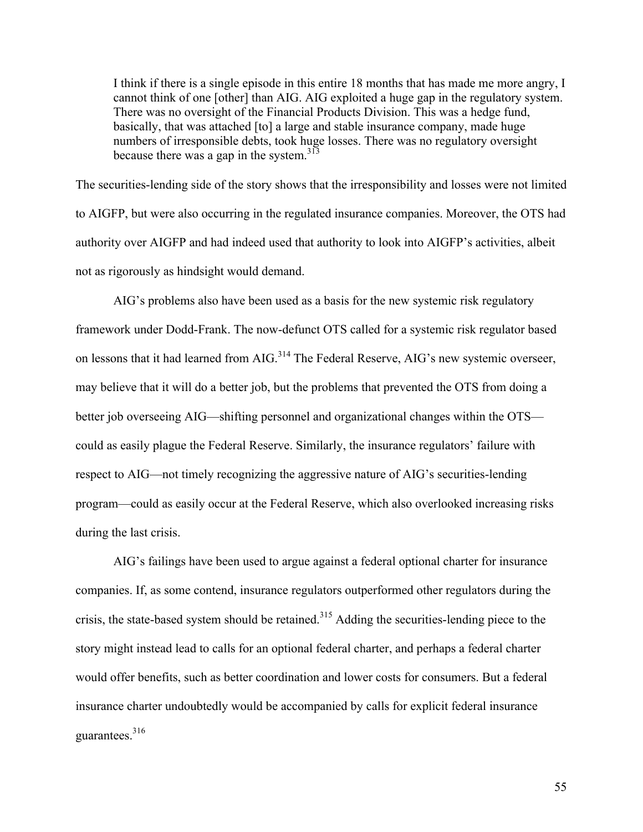I think if there is a single episode in this entire 18 months that has made me more angry, I cannot think of one [other] than AIG. AIG exploited a huge gap in the regulatory system. There was no oversight of the Financial Products Division. This was a hedge fund, basically, that was attached [to] a large and stable insurance company, made huge numbers of irresponsible debts, took huge losses. There was no regulatory oversight because there was a gap in the system. $313$ 

The securities-lending side of the story shows that the irresponsibility and losses were not limited to AIGFP, but were also occurring in the regulated insurance companies. Moreover, the OTS had authority over AIGFP and had indeed used that authority to look into AIGFP's activities, albeit not as rigorously as hindsight would demand.

AIG's problems also have been used as a basis for the new systemic risk regulatory framework under Dodd-Frank. The now-defunct OTS called for a systemic risk regulator based on lessons that it had learned from AIG.<sup>314</sup> The Federal Reserve, AIG's new systemic overseer, may believe that it will do a better job, but the problems that prevented the OTS from doing a better job overseeing AIG—shifting personnel and organizational changes within the OTS could as easily plague the Federal Reserve. Similarly, the insurance regulators' failure with respect to AIG—not timely recognizing the aggressive nature of AIG's securities-lending program—could as easily occur at the Federal Reserve, which also overlooked increasing risks during the last crisis.

AIG's failings have been used to argue against a federal optional charter for insurance companies. If, as some contend, insurance regulators outperformed other regulators during the crisis, the state-based system should be retained.<sup>315</sup> Adding the securities-lending piece to the story might instead lead to calls for an optional federal charter, and perhaps a federal charter would offer benefits, such as better coordination and lower costs for consumers. But a federal insurance charter undoubtedly would be accompanied by calls for explicit federal insurance guarantees.<sup>316</sup>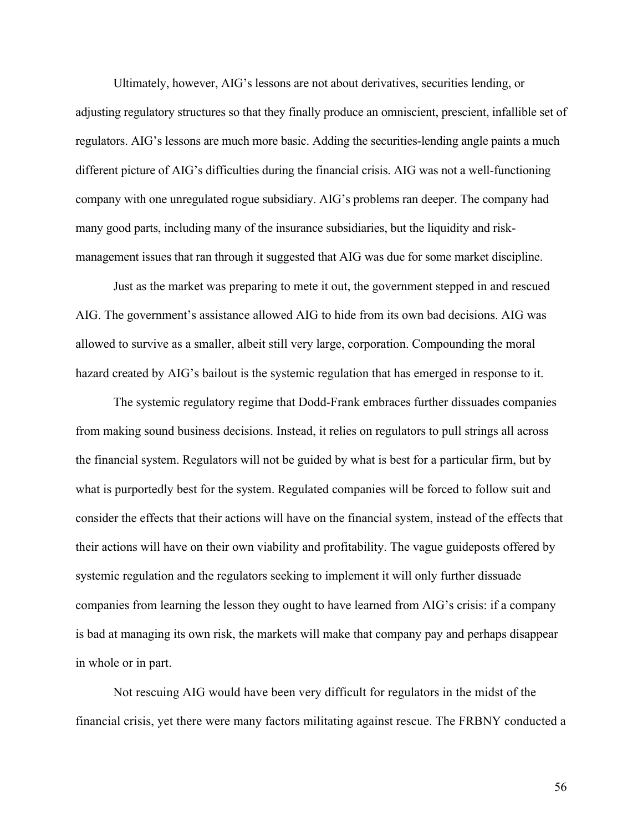Ultimately, however, AIG's lessons are not about derivatives, securities lending, or adjusting regulatory structures so that they finally produce an omniscient, prescient, infallible set of regulators. AIG's lessons are much more basic. Adding the securities-lending angle paints a much different picture of AIG's difficulties during the financial crisis. AIG was not a well-functioning company with one unregulated rogue subsidiary. AIG's problems ran deeper. The company had many good parts, including many of the insurance subsidiaries, but the liquidity and riskmanagement issues that ran through it suggested that AIG was due for some market discipline.

Just as the market was preparing to mete it out, the government stepped in and rescued AIG. The government's assistance allowed AIG to hide from its own bad decisions. AIG was allowed to survive as a smaller, albeit still very large, corporation. Compounding the moral hazard created by AIG's bailout is the systemic regulation that has emerged in response to it.

The systemic regulatory regime that Dodd-Frank embraces further dissuades companies from making sound business decisions. Instead, it relies on regulators to pull strings all across the financial system. Regulators will not be guided by what is best for a particular firm, but by what is purportedly best for the system. Regulated companies will be forced to follow suit and consider the effects that their actions will have on the financial system, instead of the effects that their actions will have on their own viability and profitability. The vague guideposts offered by systemic regulation and the regulators seeking to implement it will only further dissuade companies from learning the lesson they ought to have learned from AIG's crisis: if a company is bad at managing its own risk, the markets will make that company pay and perhaps disappear in whole or in part.

Not rescuing AIG would have been very difficult for regulators in the midst of the financial crisis, yet there were many factors militating against rescue. The FRBNY conducted a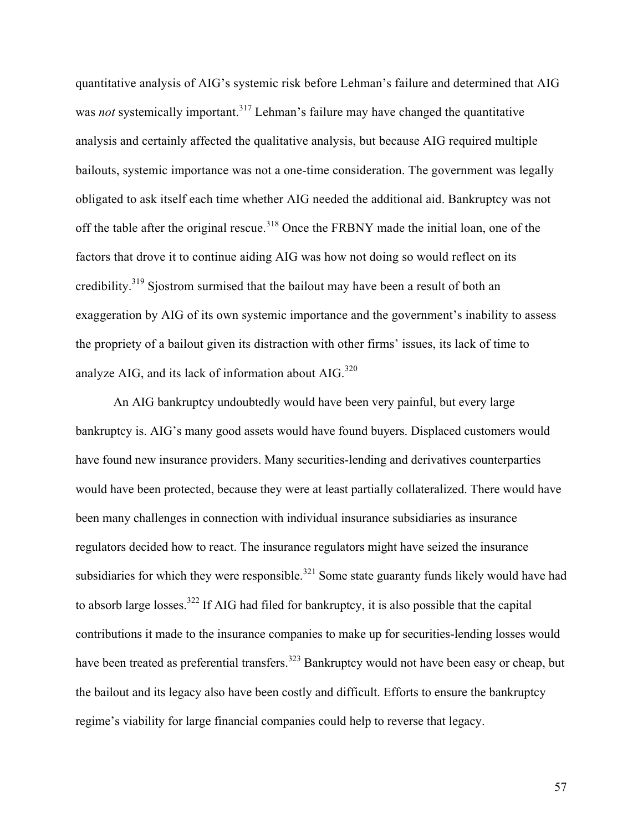quantitative analysis of AIG's systemic risk before Lehman's failure and determined that AIG was *not* systemically important.<sup>317</sup> Lehman's failure may have changed the quantitative analysis and certainly affected the qualitative analysis, but because AIG required multiple bailouts, systemic importance was not a one-time consideration. The government was legally obligated to ask itself each time whether AIG needed the additional aid. Bankruptcy was not off the table after the original rescue.<sup>318</sup> Once the FRBNY made the initial loan, one of the factors that drove it to continue aiding AIG was how not doing so would reflect on its credibility.<sup>319</sup> Sjostrom surmised that the bailout may have been a result of both an exaggeration by AIG of its own systemic importance and the government's inability to assess the propriety of a bailout given its distraction with other firms' issues, its lack of time to analyze AIG, and its lack of information about  $AIG.<sup>320</sup>$ 

An AIG bankruptcy undoubtedly would have been very painful, but every large bankruptcy is. AIG's many good assets would have found buyers. Displaced customers would have found new insurance providers. Many securities-lending and derivatives counterparties would have been protected, because they were at least partially collateralized. There would have been many challenges in connection with individual insurance subsidiaries as insurance regulators decided how to react. The insurance regulators might have seized the insurance subsidiaries for which they were responsible.<sup>321</sup> Some state guaranty funds likely would have had to absorb large losses.<sup>322</sup> If AIG had filed for bankruptcy, it is also possible that the capital contributions it made to the insurance companies to make up for securities-lending losses would have been treated as preferential transfers.<sup>323</sup> Bankruptcy would not have been easy or cheap, but the bailout and its legacy also have been costly and difficult. Efforts to ensure the bankruptcy regime's viability for large financial companies could help to reverse that legacy.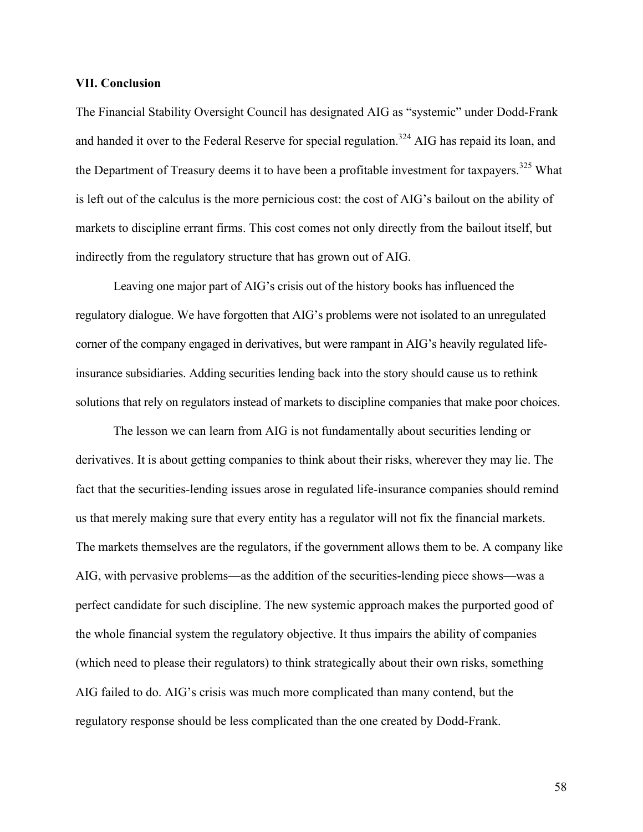#### **VII. Conclusion**

The Financial Stability Oversight Council has designated AIG as "systemic" under Dodd-Frank and handed it over to the Federal Reserve for special regulation.<sup>324</sup> AIG has repaid its loan, and the Department of Treasury deems it to have been a profitable investment for taxpayers.<sup>325</sup> What is left out of the calculus is the more pernicious cost: the cost of AIG's bailout on the ability of markets to discipline errant firms. This cost comes not only directly from the bailout itself, but indirectly from the regulatory structure that has grown out of AIG.

Leaving one major part of AIG's crisis out of the history books has influenced the regulatory dialogue. We have forgotten that AIG's problems were not isolated to an unregulated corner of the company engaged in derivatives, but were rampant in AIG's heavily regulated lifeinsurance subsidiaries. Adding securities lending back into the story should cause us to rethink solutions that rely on regulators instead of markets to discipline companies that make poor choices.

The lesson we can learn from AIG is not fundamentally about securities lending or derivatives. It is about getting companies to think about their risks, wherever they may lie. The fact that the securities-lending issues arose in regulated life-insurance companies should remind us that merely making sure that every entity has a regulator will not fix the financial markets. The markets themselves are the regulators, if the government allows them to be. A company like AIG, with pervasive problems—as the addition of the securities-lending piece shows—was a perfect candidate for such discipline. The new systemic approach makes the purported good of the whole financial system the regulatory objective. It thus impairs the ability of companies (which need to please their regulators) to think strategically about their own risks, something AIG failed to do. AIG's crisis was much more complicated than many contend, but the regulatory response should be less complicated than the one created by Dodd-Frank.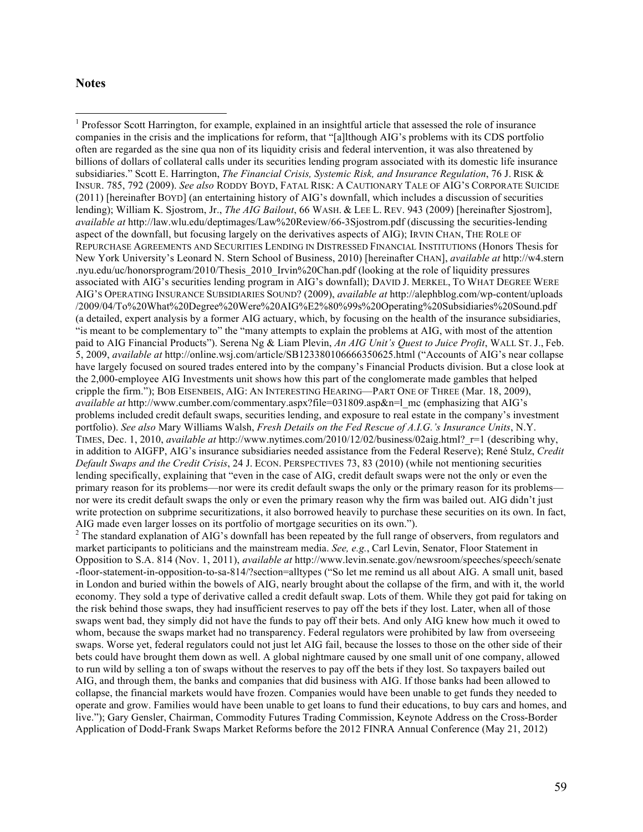#### **Notes**

<sup>1</sup> Professor Scott Harrington, for example, explained in an insightful article that assessed the role of insurance companies in the crisis and the implications for reform, that "[a]lthough AIG's problems with its CDS portfolio often are regarded as the sine qua non of its liquidity crisis and federal intervention, it was also threatened by billions of dollars of collateral calls under its securities lending program associated with its domestic life insurance subsidiaries." Scott E. Harrington, *The Financial Crisis, Systemic Risk, and Insurance Regulation*, 76 J. RISK & INSUR. 785, 792 (2009). *See also* RODDY BOYD, FATAL RISK: A CAUTIONARY TALE OF AIG'S CORPORATE SUICIDE (2011) [hereinafter BOYD] (an entertaining history of AIG's downfall, which includes a discussion of securities lending); William K. Sjostrom, Jr., *The AIG Bailout*, 66 WASH. & LEE L. REV. 943 (2009) [hereinafter Sjostrom], *available at* <http://law.wlu.edu/deptimages/Law%20Review/66-3Sjostrom.pdf>(discussing the securities-lending aspect of the downfall, but focusing largely on the derivatives aspects of AIG); IRVIN CHAN, THE ROLE OF REPURCHASE AGREEMENTS AND SECURITIES LENDING IN DISTRESSED FINANCIAL INSTITUTIONS (Honors Thesis for New York University's Leonard N. Stern School of Business, 2010) [hereinafter CHAN], *available at* [http://w4.stern](http://w4.stern.nyu.edu/uc/honorsprogram/2010/Thesis_2010_Irvin%20Chan.pdf) [.nyu.edu/uc/honorsprogram/2010/Thesis\\_2010\\_Irvin%20Chan.pdf](http://w4.stern.nyu.edu/uc/honorsprogram/2010/Thesis_2010_Irvin%20Chan.pdf) (looking at the role of liquidity pressures associated with AIG's securities lending program in AIG's downfall); DAVID J. MERKEL, TO WHAT DEGREE WERE AIG'S OPERATING INSURANCE SUBSIDIARIES SOUND? (2009), *available at* [http://alephblog.com/wp-content/uploads](http://alephblog.com/wp-content/uploads/2009/04/To%20What%20Degree%20Were%20AIG%E2%80%99s%20Operating%20Subsidiaries%20Sound.pdf) [/2009/04/To%20What%20Degree%20Were%20AIG%E2%80%99s%20Operating%20Subsidiaries%20Sound.pdf](http://alephblog.com/wp-content/uploads/2009/04/To%20What%20Degree%20Were%20AIG%E2%80%99s%20Operating%20Subsidiaries%20Sound.pdf)  (a detailed, expert analysis by a former AIG actuary, which, by focusing on the health of the insurance subsidiaries, "is meant to be complementary to" the "many attempts to explain the problems at AIG, with most of the attention paid to AIG Financial Products"). Serena Ng & Liam Plevin, *An AIG Unit's Quest to Juice Profit*, WALL ST. J., Feb. 5, 2009, *available at* <http://online.wsj.com/article/SB123380106666350625.html>("Accounts of AIG's near collapse have largely focused on soured trades entered into by the company's Financial Products division. But a close look at the 2,000-employee AIG Investments unit shows how this part of the conglomerate made gambles that helped cripple the firm."); BOB EISENBEIS, AIG: AN INTERESTING HEARING—PART ONE OF THREE (Mar. 18, 2009), *available at* [http://www.cumber.com/commentary.aspx?file=031809.asp&n=l\\_mc](http://www.cumber.com/commentary.aspx?file=031809.asp&n=l_mc) (emphasizing that AIG's problems included credit default swaps, securities lending, and exposure to real estate in the company's investment portfolio). *See also* Mary Williams Walsh, *Fresh Details on the Fed Rescue of A.I.G.'s Insurance Units*, N.Y. TIMES, Dec. 1, 2010, *available at* [http://www.nytimes.com/2010/12/02/business/02aig.html?\\_r=1](http://www.nytimes.com/2010/12/02/business/02aig.html?_r=1) (describing why, in addition to AIGFP, AIG's insurance subsidiaries needed assistance from the Federal Reserve); René Stulz, *Credit Default Swaps and the Credit Crisis*, 24 J. ECON. PERSPECTIVES 73, 83 (2010) (while not mentioning securities lending specifically, explaining that "even in the case of AIG, credit default swaps were not the only or even the primary reason for its problems—nor were its credit default swaps the only or the primary reason for its problems nor were its credit default swaps the only or even the primary reason why the firm was bailed out. AIG didn't just write protection on subprime securitizations, it also borrowed heavily to purchase these securities on its own. In fact, AIG made even larger losses on its portfolio of mortgage securities on its own.").

<sup>2</sup> The standard explanation of AIG's downfall has been repeated by the full range of observers, from regulators and market participants to politicians and the mainstream media. *See, e.g.*, Carl Levin, Senator, Floor Statement in Opposition to S.A. 814 (Nov. 1, 2011), *available at* [http://www.levin.senate.gov/newsroom/speeches/speech/senate](http://www.levin.senate.gov/newsroom/speeches/speech/senate-floor-statement-in-opposition-to-sa-814/?section=alltypes) [-floor-statement-in-opposition-to-sa-814/?section=alltypes](http://www.levin.senate.gov/newsroom/speeches/speech/senate-floor-statement-in-opposition-to-sa-814/?section=alltypes) ("So let me remind us all about AIG. A small unit, based in London and buried within the bowels of AIG, nearly brought about the collapse of the firm, and with it, the world economy. They sold a type of derivative called a credit default swap. Lots of them. While they got paid for taking on the risk behind those swaps, they had insufficient reserves to pay off the bets if they lost. Later, when all of those swaps went bad, they simply did not have the funds to pay off their bets. And only AIG knew how much it owed to whom, because the swaps market had no transparency. Federal regulators were prohibited by law from overseeing swaps. Worse yet, federal regulators could not just let AIG fail, because the losses to those on the other side of their bets could have brought them down as well. A global nightmare caused by one small unit of one company, allowed to run wild by selling a ton of swaps without the reserves to pay off the bets if they lost. So taxpayers bailed out AIG, and through them, the banks and companies that did business with AIG. If those banks had been allowed to collapse, the financial markets would have frozen. Companies would have been unable to get funds they needed to operate and grow. Families would have been unable to get loans to fund their educations, to buy cars and homes, and live."); Gary Gensler, Chairman, Commodity Futures Trading Commission, Keynote Address on the Cross-Border Application of Dodd-Frank Swaps Market Reforms before the 2012 FINRA Annual Conference (May 21, 2012)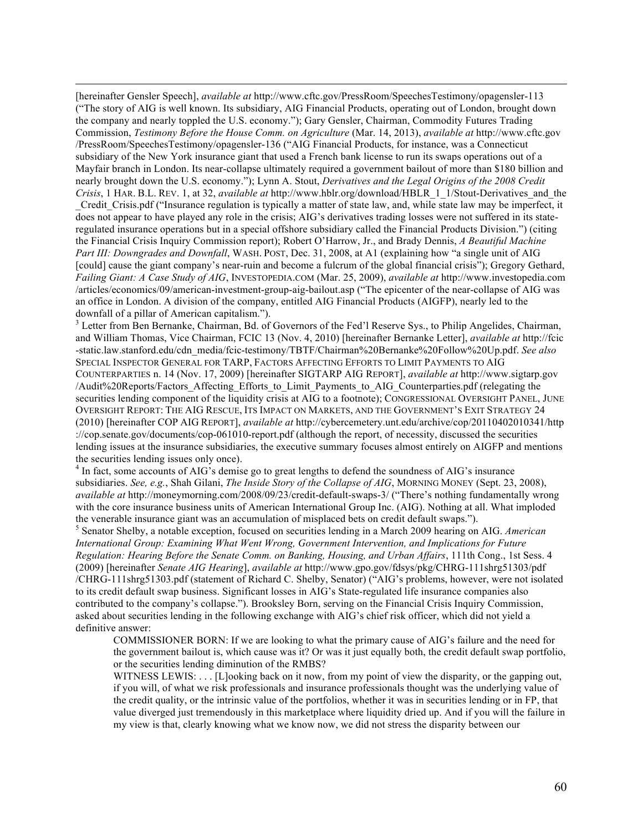[hereinafter Gensler Speech], *available at* <http://www.cftc.gov/PressRoom/SpeechesTestimony/opagensler-113> ("The story of AIG is well known. Its subsidiary, AIG Financial Products, operating out of London, brought down the company and nearly toppled the U.S. economy."); Gary Gensler, Chairman, Commodity Futures Trading Commission, *Testimony Before the House Comm. on Agriculture* (Mar. 14, 2013), *available at* [http://www.cftc.gov](http://www.cftc.gov/PressRoom/SpeechesTestimony/opagensler-136) [/PressRoom/SpeechesTestimony/opagensler-136](http://www.cftc.gov/PressRoom/SpeechesTestimony/opagensler-136) ("AIG Financial Products, for instance, was a Connecticut subsidiary of the New York insurance giant that used a French bank license to run its swaps operations out of a Mayfair branch in London. Its near-collapse ultimately required a government bailout of more than \$180 billion and nearly brought down the U.S. economy."); Lynn A. Stout, *Derivatives and the Legal Origins of the 2008 Credit Crisis*, 1 HAR. B.L. REV. 1, at 32, *available at* [http://www.hblr.org/download/HBLR\\_1\\_1/Stout-Derivatives\\_and\\_the](http://www.hblr.org/download/HBLR_1_1/Stout-Derivatives_and_the_Credit_Crisis.pdf) [\\_Credit\\_Crisis.pdf](http://www.hblr.org/download/HBLR_1_1/Stout-Derivatives_and_the_Credit_Crisis.pdf) ("Insurance regulation is typically a matter of state law, and, while state law may be imperfect, it does not appear to have played any role in the crisis; AIG's derivatives trading losses were not suffered in its stateregulated insurance operations but in a special offshore subsidiary called the Financial Products Division.") (citing the Financial Crisis Inquiry Commission report); Robert O'Harrow, Jr., and Brady Dennis, *A Beautiful Machine Part III: Downgrades and Downfall*, WASH. POST, Dec. 31, 2008, at A1 (explaining how "a single unit of AIG [could] cause the giant company's near-ruin and become a fulcrum of the global financial crisis"); Gregory Gethard, *Failing Giant: A Case Study of AIG*, INVESTOPEDIA.COM (Mar. 25, 2009), *available at* [http://www.investopedia.com](http://www.investopedia.com/articles/economics/09/american-investment-group-aig-bailout.asp) [/articles/economics/09/american-investment-group-aig-bailout.asp](http://www.investopedia.com/articles/economics/09/american-investment-group-aig-bailout.asp) ("The epicenter of the near-collapse of AIG was an office in London. A division of the company, entitled AIG Financial Products (AIGFP), nearly led to the downfall of a pillar of American capitalism.").

<sup>3</sup> Letter from Ben Bernanke, Chairman, Bd. of Governors of the Fed'l Reserve Sys., to Philip Angelides, Chairman, and William Thomas, Vice Chairman, FCIC 13 (Nov. 4, 2010) [hereinafter Bernanke Letter], *available at* [http://fcic](http://fcic-static.law.stanford.edu/cdn_media/fcic-testimony/TBTF/Chairman%20Bernanke%20Follow%20Up.pdf) [-static.law.stanford.edu/cdn\\_media/fcic-testimony/TBTF/Chairman%20Bernanke%20Follow%20Up.pdf.](http://fcic-static.law.stanford.edu/cdn_media/fcic-testimony/TBTF/Chairman%20Bernanke%20Follow%20Up.pdf) *See also* SPECIAL INSPECTOR GENERAL FOR TARP, FACTORS AFFECTING EFFORTS TO LIMIT PAYMENTS TO AIG COUNTERPARTIES n. 14 (Nov. 17, 2009) [hereinafter SIGTARP AIG REPORT], *available at* [http://www.sigtarp.gov](http://www.sigtarp.gov/Audit%20Reports/Factors_Affecting_Efforts_to_Limit_Payments_to_AIG_Counterparties.pdf) [/Audit%20Reports/Factors\\_Affecting\\_Efforts\\_to\\_Limit\\_Payments\\_to\\_AIG\\_Counterparties.pdf](http://www.sigtarp.gov/Audit%20Reports/Factors_Affecting_Efforts_to_Limit_Payments_to_AIG_Counterparties.pdf) (relegating the securities lending component of the liquidity crisis at AIG to a footnote); CONGRESSIONAL OVERSIGHT PANEL, JUNE OVERSIGHT REPORT: THE AIG RESCUE, ITS IMPACT ON MARKETS, AND THE GOVERNMENT'S EXIT STRATEGY 24 (2010) [hereinafter COP AIG REPORT], *available at* [http://cybercemetery.unt.edu/archive/cop/20110402010341/http](http://cybercemetery.unt.edu/archive/cop/20110402010341/http://cop.senate.gov/documents/cop-061010-report.pdf) [://cop.senate.gov/documents/cop-061010-report.pdf](http://cybercemetery.unt.edu/archive/cop/20110402010341/http://cop.senate.gov/documents/cop-061010-report.pdf) (although the report, of necessity, discussed the securities lending issues at the insurance subsidiaries, the executive summary focuses almost entirely on AIGFP and mentions the securities lending issues only once).

<sup>4</sup> In fact, some accounts of AIG's demise go to great lengths to defend the soundness of AIG's insurance subsidiaries. *See, e.g.*, Shah Gilani, *The Inside Story of the Collapse of AIG*, MORNING MONEY (Sept. 23, 2008), *available at* <http://moneymorning.com/2008/09/23/credit-default-swaps-3/>("There's nothing fundamentally wrong with the core insurance business units of American International Group Inc. (AIG). Nothing at all. What imploded the venerable insurance giant was an accumulation of misplaced bets on credit default swaps.").

<sup>5</sup> Senator Shelby, a notable exception, focused on securities lending in a March 2009 hearing on AIG. *American International Group: Examining What Went Wrong, Government Intervention, and Implications for Future Regulation: Hearing Before the Senate Comm. on Banking, Housing, and Urban Affairs*, 111th Cong., 1st Sess. 4 (2009) [hereinafter *Senate AIG Hearing*], *available at* [http://www.gpo.gov/fdsys/pkg/CHRG-111shrg51303/pdf](http://www.gpo.gov/fdsys/pkg/CHRG-111shrg51303/pdf/CHRG-111shrg51303.pdf) [/CHRG-111shrg51303.pdf](http://www.gpo.gov/fdsys/pkg/CHRG-111shrg51303/pdf/CHRG-111shrg51303.pdf) (statement of Richard C. Shelby, Senator) ("AIG's problems, however, were not isolated to its credit default swap business. Significant losses in AIG's State-regulated life insurance companies also contributed to the company's collapse."). Brooksley Born, serving on the Financial Crisis Inquiry Commission, asked about securities lending in the following exchange with AIG's chief risk officer, which did not yield a definitive answer:

COMMISSIONER BORN: If we are looking to what the primary cause of AIG's failure and the need for the government bailout is, which cause was it? Or was it just equally both, the credit default swap portfolio, or the securities lending diminution of the RMBS?

WITNESS LEWIS: . . . [L]ooking back on it now, from my point of view the disparity, or the gapping out, if you will, of what we risk professionals and insurance professionals thought was the underlying value of the credit quality, or the intrinsic value of the portfolios, whether it was in securities lending or in FP, that value diverged just tremendously in this marketplace where liquidity dried up. And if you will the failure in my view is that, clearly knowing what we know now, we did not stress the disparity between our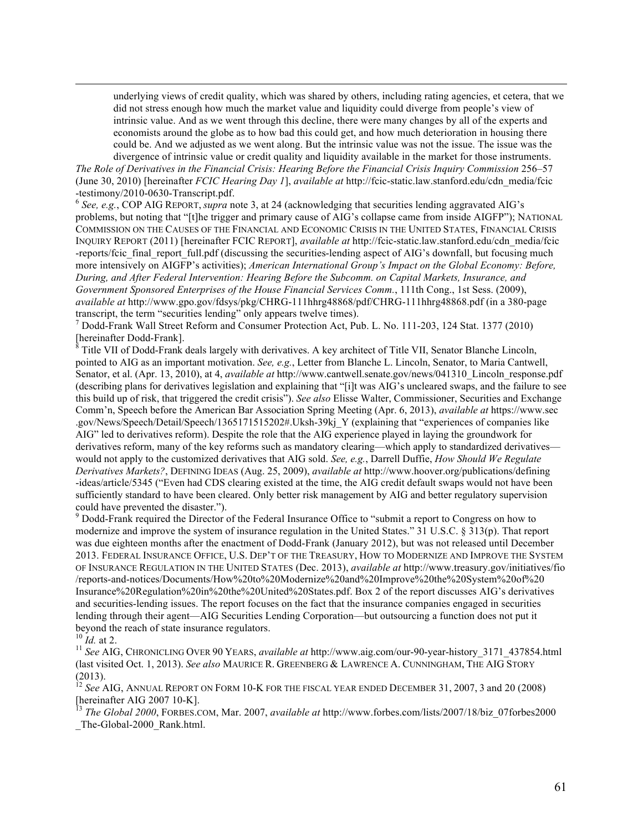underlying views of credit quality, which was shared by others, including rating agencies, et cetera, that we did not stress enough how much the market value and liquidity could diverge from people's view of intrinsic value. And as we went through this decline, there were many changes by all of the experts and economists around the globe as to how bad this could get, and how much deterioration in housing there could be. And we adjusted as we went along. But the intrinsic value was not the issue. The issue was the divergence of intrinsic value or credit quality and liquidity available in the market for those instruments.

*The Role of Derivatives in the Financial Crisis: Hearing Before the Financial Crisis Inquiry Commission* 256–57 (June 30, 2010) [hereinafter *FCIC Hearing Day 1*], *available at* [http://fcic-static.law.stanford.edu/cdn\\_media/fcic](http://fcic-static.law.stanford.edu/cdn_media/fcic-testimony/2010-0630-Transcript.pdf) [-testimony/2010-0630-Transcript.pdf.](http://fcic-static.law.stanford.edu/cdn_media/fcic-testimony/2010-0630-Transcript.pdf) <sup>6</sup> *See, e.g.*, COP AIG REPORT, *supra* note 3, at 24 (acknowledging that securities lending aggravated AIG's

problems, but noting that "[t]he trigger and primary cause of AIG's collapse came from inside AIGFP"); NATIONAL COMMISSION ON THE CAUSES OF THE FINANCIAL AND ECONOMIC CRISIS IN THE UNITED STATES, FINANCIAL CRISIS INQUIRY REPORT (2011) [hereinafter FCIC REPORT], *available at* [http://fcic-static.law.stanford.edu/cdn\\_media/fcic](http://fcic-static.law.stanford.edu/cdn_media/fcic-reports/fcic_final_report_full.pdf) [-reports/fcic\\_final\\_report\\_full.pdf](http://fcic-static.law.stanford.edu/cdn_media/fcic-reports/fcic_final_report_full.pdf) (discussing the securities-lending aspect of AIG's downfall, but focusing much more intensively on AIGFP's activities); *American International Group's Impact on the Global Economy: Before, During, and After Federal Intervention: Hearing Before the Subcomm. on Capital Markets, Insurance, and Government Sponsored Enterprises of the House Financial Services Comm.*, 111th Cong., 1st Sess. (2009), *available at* <http://www.gpo.gov/fdsys/pkg/CHRG-111hhrg48868/pdf/CHRG-111hhrg48868.pdf>(in a 380-page transcript, the term "securities lending" only appears twelve times).

 $^7$  Dodd-Frank Wall Street Reform and Consumer Protection Act, Pub. L. No. 111-203, 124 Stat. 1377 (2010) [hereinafter Dodd-Frank].

<sup>8</sup> Title VII of Dodd-Frank deals largely with derivatives. A key architect of Title VII, Senator Blanche Lincoln, pointed to AIG as an important motivation. *See, e.g.*, Letter from Blanche L. Lincoln, Senator, to Maria Cantwell, Senator, et al. (Apr. 13, 2010), at 4, *available at* [http://www.cantwell.senate.gov/news/041310\\_Lincoln\\_response.pdf](http://www.cantwell.senate.gov/news/041310_Lincoln_response.pdf)  (describing plans for derivatives legislation and explaining that "[i]t was AIG's uncleared swaps, and the failure to see this build up of risk, that triggered the credit crisis"). *See also* Elisse Walter, Commissioner, Securities and Exchange Comm'n, Speech before the American Bar Association Spring Meeting (Apr. 6, 2013), *available at* [https://www.sec](https://www.sec.gov/News/Speech/Detail/Speech/1365171515202#.Uksh-39kj_Y) [.gov/News/Speech/Detail/Speech/1365171515202#.Uksh-39kj\\_Y](https://www.sec.gov/News/Speech/Detail/Speech/1365171515202#.Uksh-39kj_Y) (explaining that "experiences of companies like AIG" led to derivatives reform). Despite the role that the AIG experience played in laying the groundwork for derivatives reform, many of the key reforms such as mandatory clearing—which apply to standardized derivatives would not apply to the customized derivatives that AIG sold. *See, e.g.*, Darrell Duffie, *How Should We Regulate Derivatives Markets?*, DEFINING IDEAS (Aug. 25, 2009), *available at* [http://www.hoover.org/publications/defining](http://www.hoover.org/publications/defining-ideas/article/5345) [-ideas/article/5345](http://www.hoover.org/publications/defining-ideas/article/5345) ("Even had CDS clearing existed at the time, the AIG credit default swaps would not have been sufficiently standard to have been cleared. Only better risk management by AIG and better regulatory supervision could have prevented the disaster.").

<sup>9</sup> Dodd-Frank required the Director of the Federal Insurance Office to "submit a report to Congress on how to modernize and improve the system of insurance regulation in the United States." 31 U.S.C. § 313(p). That report was due eighteen months after the enactment of Dodd-Frank (January 2012), but was not released until December 2013. FEDERAL INSURANCE OFFICE, U.S. DEP'T OF THE TREASURY, HOW TO MODERNIZE AND IMPROVE THE SYSTEM OF INSURANCE REGULATION IN THE UNITED STATES (Dec. 2013), *available at* [http://www.treasury.gov/initiatives/fio](http://www.treasury.gov/initiatives/fio/reports-and-notices/Documents/How%20to%20Modernize%20and%20Improve%20the%20System%20of%20Insurance%20Regulation%20in%20the%20United%20States.pdf) [/reports-and-notices/Documents/How%20to%20Modernize%20and%20Improve%20the%20System%20of%20](http://www.treasury.gov/initiatives/fio/reports-and-notices/Documents/How%20to%20Modernize%20and%20Improve%20the%20System%20of%20Insurance%20Regulation%20in%20the%20United%20States.pdf) [Insurance%20Regulation%20in%20the%20United%20States.pdf.](http://www.treasury.gov/initiatives/fio/reports-and-notices/Documents/How%20to%20Modernize%20and%20Improve%20the%20System%20of%20Insurance%20Regulation%20in%20the%20United%20States.pdf) Box 2 of the report discusses AIG's derivatives and securities-lending issues. The report focuses on the fact that the insurance companies engaged in securities lending through their agent—AIG Securities Lending Corporation—but outsourcing a function does not put it beyond the reach of state insurance regulators.

<sup>10</sup> *Id.* at 2.<br><sup>11</sup> *See* AIG, CHRONICLING OVER 90 YEARS, *available at* [http://www.aig.com/our-90-year-history\\_3171\\_437854.html](http://www.aig.com/our-90-year-history_3171_437854.html) (last visited Oct. 1, 2013). *See also* MAURICE R. GREENBERG & LAWRENCE A. CUNNINGHAM, THE AIG STORY

(2013).<br><sup>12</sup> *See* AIG, ANNUAL REPORT ON FORM 10-K FOR THE FISCAL YEAR ENDED DECEMBER 31, 2007, 3 and 20 (2008)<br>[hereinafter AIG 2007 10-K].

[hereinafter AIG 2007 10-K]. <sup>13</sup> *The Global 2000*, FORBES.COM, Mar. 2007, *available at* [http://www.forbes.com/lists/2007/18/biz\\_07forbes2000](http://www.forbes.com/lists/2007/18/biz_07forbes2000_The-Global-2000_Rank.html) The-Global-2000 Rank.html.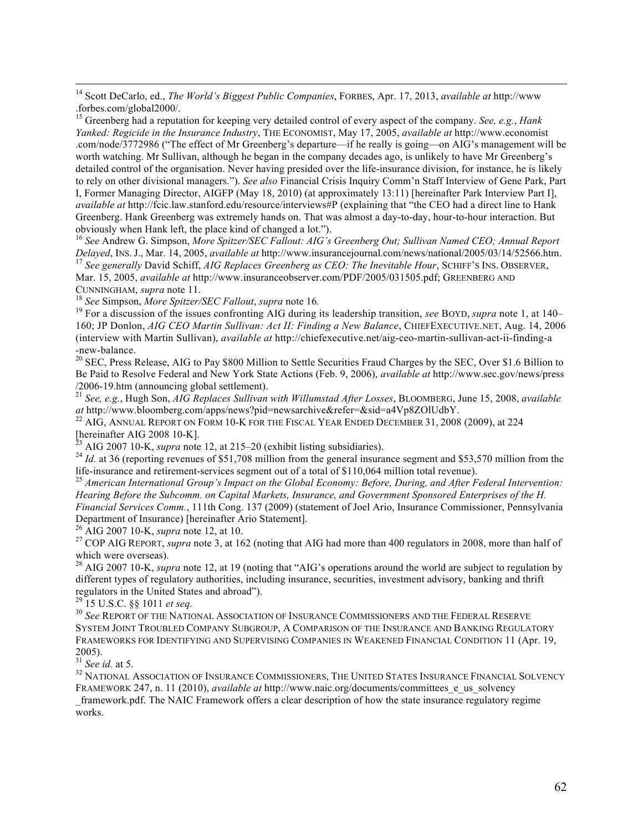14 Scott DeCarlo, ed., *The World's Biggest Public Companies*, FORBES, Apr. 17, 2013, *available at* [http://www](http://www.forbes.com/global2000/) [.forbes.com/global2000/.](http://www.forbes.com/global2000/)

<sup>15</sup> Greenberg had a reputation for keeping very detailed control of every aspect of the company. *See, e.g.*, *Hank Yanked: Regicide in the Insurance Industry*, THE ECONOMIST, May 17, 2005, *available at* [http://www.economist](http://www.economist.com/node/3772986) [.com/node/3772986](http://www.economist.com/node/3772986) ("The effect of Mr Greenberg's departure—if he really is going—on AIG's management will be worth watching. Mr Sullivan, although he began in the company decades ago, is unlikely to have Mr Greenberg's detailed control of the organisation. Never having presided over the life-insurance division, for instance, he is likely to rely on other divisional managers."). *See also* Financial Crisis Inquiry Comm'n Staff Interview of Gene Park, Part I, Former Managing Director, AIGFP (May 18, 2010) (at approximately 13:11) [hereinafter Park Interview Part I], *available at* <http://fcic.law.stanford.edu/resource/interviews#P>(explaining that "the CEO had a direct line to Hank Greenberg. Hank Greenberg was extremely hands on. That was almost a day-to-day, hour-to-hour interaction. But obviously when Hank left, the place kind of changed a lot.").

<sup>16</sup> See Andrew G. Simpson, *More Spitzer/SEC Fallout: AIG's Greenberg Out; Sullivan Named CEO; Annual Report Delayed, INS. J., Mar. 14, 2005, available at http://www.insurancejournal.com/news/national/2005/03/14/52566.htm*  $17$  See generally David Schiff, AIG Replaces Greenberg as CEO: The Inevitable Hour, SCHIFF'S INS. OBSERVER, Mar. 15, 2005, *available at* [http://www.insuranceobserver.com/PDF/2005/031505.pdf;](http://www.insuranceobserver.com/PDF/2005/031505.pdf) GREENBERG AND

<sup>18</sup> See Simpson, *More Spitzer/SEC Fallout*, *supra* note 16.<br><sup>19</sup> For a discussion of the issues confronting AIG during its leadership transition, *see* BOYD, *supra* note 1, at 140– 160; JP Donlon, *AIG CEO Martin Sullivan: Act II: Finding a New Balance*, CHIEFEXECUTIVE.NET, Aug. 14, 2006 (interview with Martin Sullivan), *available at* [http://chiefexecutive.net/aig-ceo-martin-sullivan-act-ii-finding-a](http://chiefexecutive.net/aig-ceo-martin-sullivan-act-ii-finding-a-new-balance)

[-new-balance](http://chiefexecutive.net/aig-ceo-martin-sullivan-act-ii-finding-a-new-balance).<br><sup>20</sup> SEC, Press Release, AIG to Pay \$800 Million to Settle Securities Fraud Charges by the SEC, Over \$1.6 Billion to Be Paid to Resolve Federal and New York State Actions (Feb. 9, 2006), *available at* [http://www.sec.gov/news/press](http://www.sec.gov/news/press/2006-19.htm)

[/2006-19.htm](http://www.sec.gov/news/press/2006-19.htm) (announcing global settlement). <sup>21</sup> *See, e.g.*, Hugh Son, *AIG Replaces Sullivan with Willumstad After Losses*, BLOOMBERG, June 15, 2008, *available* 

<sup>22</sup> AIG, ANNUAL REPORT ON FORM 10-K FOR THE FISCAL YEAR ENDED DECEMBER 31, 2008 (2009), at 224 [hereinafter AIG 2008 10-K].

<sup>23</sup> AIG 2007 10-K, *supra* note 12, at 215–20 (exhibit listing subsidiaries).<br><sup>24</sup> *Id.* at 36 (reporting revenues of \$51,708 million from the general insurance segment and \$53,570 million from the life-insurance and retirement-services segment out of a total of \$110,064 million total revenue). <sup>25</sup> *American International Group's Impact on the Global Economy: Before, During, and After Federal Intervention:* 

*Hearing Before the Subcomm. on Capital Markets, Insurance, and Government Sponsored Enterprises of the H. Financial Services Comm.*, 111th Cong. 137 (2009) (statement of Joel Ario, Insurance Commissioner, Pennsylvania Department of Insurance) [hereinafter Ario Statement].<br><sup>26</sup> AIG 2007 10-K, *supra* note 12, at 10.

<sup>27</sup> COP AIG REPORT, *supra* note 3, at 162 (noting that AIG had more than 400 regulators in 2008, more than half of which were overseas).

<sup>28</sup> AIG 2007 10-K, *supra* note 12, at 19 (noting that "AIG's operations around the world are subject to regulation by different types of regulatory authorities, including insurance, securities, investment advisory, banking and thrift regulators in the United States and abroad").<br> $^{29}$  15 U.S.C. §§ 1011 *et seq*.

<sup>30</sup> See REPORT OF THE NATIONAL ASSOCIATION OF INSURANCE COMMISSIONERS AND THE FEDERAL RESERVE SYSTEM JOINT TROUBLED COMPANY SUBGROUP, A COMPARISON OF THE INSURANCE AND BANKING REGULATORY FRAMEWORKS FOR IDENTIFYING AND SUPERVISING COMPANIES IN WEAKENED FINANCIAL CONDITION 11 (Apr. 19,  $2005$ ).<br><sup>31</sup> *See id.* at 5.

<sup>32</sup> NATIONAL ASSOCIATION OF INSURANCE COMMISSIONERS, THE UNITED STATES INSURANCE FINANCIAL SOLVENCY FRAMEWORK 247, n. 11 (2010), *available at* [http://www.naic.org/documents/committees\\_e\\_us\\_solvency](http://www.naic.org/documents/committees_e_us_solvency_framework.pdf) [\\_framework.pdf.](http://www.naic.org/documents/committees_e_us_solvency_framework.pdf) The NAIC Framework offers a clear description of how the state insurance regulatory regime works.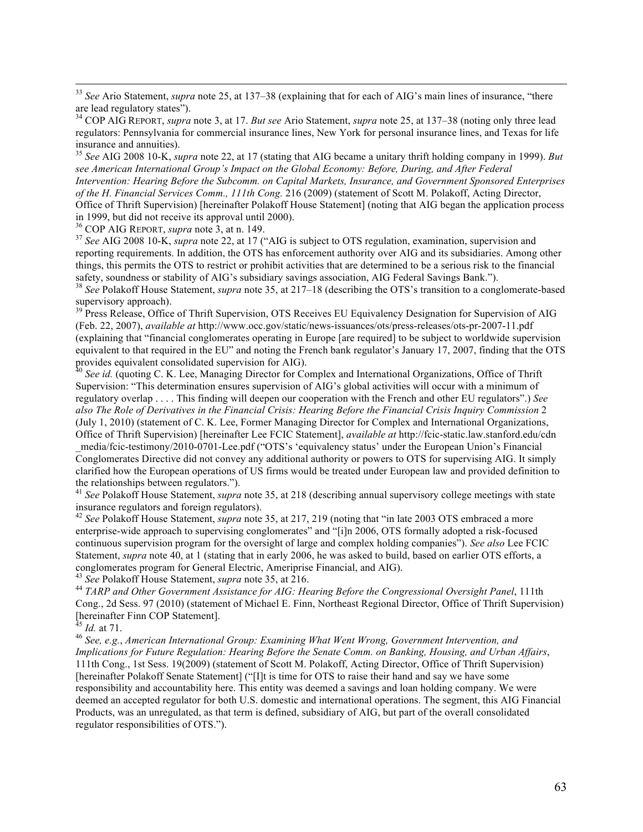33 *See* Ario Statement, *supra* note 25, at 137–38 (explaining that for each of AIG's main lines of insurance, "there are lead regulatory states").

<sup>34</sup> COP AIG REPORT, *supra* note 3, at 17. *But see* Ario Statement, *supra* note 25, at 137–38 (noting only three lead regulators: Pennsylvania for commercial insurance lines, New York for personal insurance lines, and Texas for life insurance and annuities).

<sup>35</sup> *See* AIG 2008 10-K, *supra* note 22, at 17 (stating that AIG became a unitary thrift holding company in 1999). *But see American International Group's Impact on the Global Economy: Before, During, and After Federal Intervention: Hearing Before the Subcomm. on Capital Markets, Insurance, and Government Sponsored Enterprises of the H. Financial Services Comm., 111th Cong.* 216 (2009) (statement of Scott M. Polakoff, Acting Director, Office of Thrift Supervision) [hereinafter Polakoff House Statement] (noting that AIG began the application process

in 1999, but did not receive its approval until 2000).<br><sup>36</sup> COP AIG REPORT, *supra* note 3, at n. 149.<br><sup>37</sup> See AIG 2008 10-K, *supra* note 22, at 17 ("AIG is subject to OTS regulation, examination, supervision and reporting requirements. In addition, the OTS has enforcement authority over AIG and its subsidiaries. Among other things, this permits the OTS to restrict or prohibit activities that are determined to be a serious risk to the financial safety, soundness or stability of AIG's subsidiary savings association, AIG Federal Savings Bank.").<br><sup>38</sup> See Polakoff House Statement, *supra* note 35, at 217–18 (describing the OTS's transition to a conglomerate-based

supervisory approach).

<sup>39</sup> Press Release, Office of Thrift Supervision, OTS Receives EU Equivalency Designation for Supervision of AIG (Feb. 22, 2007), *available at* <http://www.occ.gov/static/news-issuances/ots/press-releases/ots-pr-2007-11.pdf> (explaining that "financial conglomerates operating in Europe [are required] to be subject to worldwide supervision equivalent to that required in the EU" and noting the French bank regulator's January 17, 2007, finding that the OTS provides equivalent consolidated supervision for AIG).

<sup>40</sup> See id. (quoting C. K. Lee, Managing Director for Complex and International Organizations, Office of Thrift Supervision: "This determination ensures supervision of AIG's global activities will occur with a minimum of regulatory overlap . . . . This finding will deepen our cooperation with the French and other EU regulators".) *See also The Role of Derivatives in the Financial Crisis: Hearing Before the Financial Crisis Inquiry Commission* 2 (July 1, 2010) (statement of C. K. Lee, Former Managing Director for Complex and International Organizations, Office of Thrift Supervision) [hereinafter Lee FCIC Statement], *available at* [http://fcic-static.law.stanford.edu/cdn](http://fcic-static.law.stanford.edu/cdn_media/fcic-testimony/2010-0701-Lee.pdf)

[\\_media/fcic-testimony/2010-0701-Lee.pdf](http://fcic-static.law.stanford.edu/cdn_media/fcic-testimony/2010-0701-Lee.pdf) ("OTS's 'equivalency status' under the European Union's Financial Conglomerates Directive did not convey any additional authority or powers to OTS for supervising AIG. It simply clarified how the European operations of US firms would be treated under European law and provided definition to the relationships between regulators.").

<sup>41</sup> *See* Polakoff House Statement, *supra* note 35, at 218 (describing annual supervisory college meetings with state insurance regulators and foreign regulators).

<sup>42</sup> *See* Polakoff House Statement, *supra* note 35, at 217, 219 (noting that "in late 2003 OTS embraced a more enterprise-wide approach to supervising conglomerates" and "[i]n 2006, OTS formally adopted a risk-focused continuous supervision program for the oversight of large and complex holding companies"). *See also* Lee FCIC Statement, *supra* note 40, at 1 (stating that in early 2006, he was asked to build, based on earlier OTS efforts, a conglomerates program for General Electric, Ameriprise Financial, and AIG).<br><sup>43</sup> See Polakoff House Statement, *supra* note 35, at 216.

<sup>44</sup> TARP and Other Government Assistance for AIG: Hearing Before the Congressional Oversight Panel, 111th Cong., 2d Sess. 97 (2010) (statement of Michael E. Finn, Northeast Regional Director, Office of Thrift Supervision) [hereinafter Finn COP Statement].<br> $^{45}$  *Id.* at 71.

<sup>46</sup> See, e.g., American International Group: Examining What Went Wrong, Government Intervention, and *Implications for Future Regulation: Hearing Before the Senate Comm. on Banking, Housing, and Urban Affairs*, 111th Cong., 1st Sess. 19(2009) (statement of Scott M. Polakoff, Acting Director, Office of Thrift Supervision) [hereinafter Polakoff Senate Statement] ("[I]t is time for OTS to raise their hand and say we have some responsibility and accountability here. This entity was deemed a savings and loan holding company. We were deemed an accepted regulator for both U.S. domestic and international operations. The segment, this AIG Financial Products, was an unregulated, as that term is defined, subsidiary of AIG, but part of the overall consolidated regulator responsibilities of OTS.").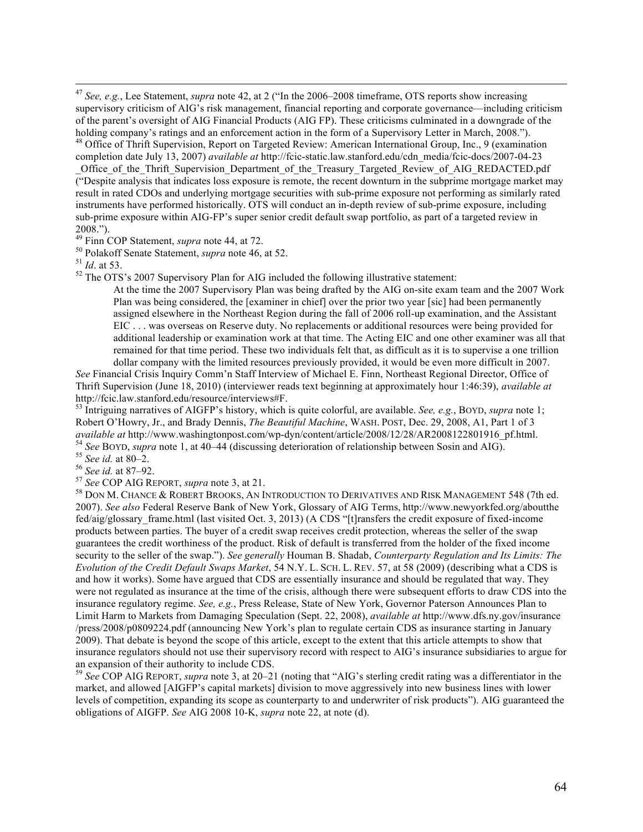47 *See, e.g.*, Lee Statement, *supra* note 42, at 2 ("In the 2006–2008 timeframe, OTS reports show increasing supervisory criticism of AIG's risk management, financial reporting and corporate governance—including criticism of the parent's oversight of AIG Financial Products (AIG FP). These criticisms culminated in a downgrade of the holding company's ratings and an enforcement action in the form of a Supervisory Letter in March, 2008."). <sup>48</sup> Office of Thrift Supervision, Report on Targeted Review: American International Group, Inc., 9 (examination

completion date July 13, 2007) *available at* [http://fcic-static.law.stanford.edu/cdn\\_media/fcic-docs/2007-04-23](http://fcic-static.law.stanford.edu/cdn_media/fcic-docs/2007-04-23_Office_of_the_Thrift_Supervision_Department_of_the_Treasury_Targeted_Review_of_AIG_REDACTED.pdf) Office of the Thrift Supervision Department of the Treasury Targeted Review of AIG REDACTED.pdf

 $\alpha$  ("Despite analysis that indicates loss exposure is remote, the recent downturn in the subprime mortgage market may result in rated CDOs and underlying mortgage securities with sub-prime exposure not performing as similarly rated instruments have performed historically. OTS will conduct an in-depth review of sub-prime exposure, including sub-prime exposure within AIG-FP's super senior credit default swap portfolio, as part of a targeted review in

2008.").<br><sup>49</sup> Finn COP Statement, *supra* note 44, at 72.

<sup>50</sup> Polakoff Senate Statement, *supra* note 46, at 52.<br><sup>51</sup> *Id*. at 53. 52 The OTS's 2007 Supervisory Plan for AIG included the following illustrative statement:

At the time the 2007 Supervisory Plan was being drafted by the AIG on-site exam team and the 2007 Work Plan was being considered, the [examiner in chief] over the prior two year [sic] had been permanently assigned elsewhere in the Northeast Region during the fall of 2006 roll-up examination, and the Assistant EIC . . . was overseas on Reserve duty. No replacements or additional resources were being provided for additional leadership or examination work at that time. The Acting EIC and one other examiner was all that remained for that time period. These two individuals felt that, as difficult as it is to supervise a one trillion dollar company with the limited resources previously provided, it would be even more difficult in 2007.

*See* Financial Crisis Inquiry Comm'n Staff Interview of Michael E. Finn, Northeast Regional Director, Office of Thrift Supervision (June 18, 2010) (interviewer reads text beginning at approximately hour 1:46:39), *available at* [http://fcic.law.stanford.edu/resource/interviews#F.](http://fcic.law.stanford.edu/resource/interviews#F)

<sup>53</sup> Intriguing narratives of AIGFP's history, which is quite colorful, are available. *See, e.g.*, BOYD, *supra* note 1; Robert O'Howry, Jr., and Brady Dennis, *The Beautiful Machine*, WASH. POST, Dec. 29, 2008, A1, Part 1 of 3 *available at [http://www.washingtonpost.com/wp-dyn/content/article/2008/12/28/AR2008122801916\\_pf.html](http://www.washingtonpost.com/wp-dyn/content/article/2008/12/28/AR2008122801916_pf.html).*<br><sup>54</sup> See BOYD, *supra* note 1, at 40–44 (discussing deterioration of relationship between Sosin and AIG).<br><sup>55</sup> See id.

2007). *See also* Federal Reserve Bank of New York, Glossary of AIG Terms, [http://www.newyorkfed.org/aboutthe](http://www.newyorkfed.org/aboutthefed/aig/glossary_frame.html) [fed/aig/glossary\\_frame.html](http://www.newyorkfed.org/aboutthefed/aig/glossary_frame.html) (last visited Oct. 3, 2013) (A CDS "[t]ransfers the credit exposure of fixed-income products between parties. The buyer of a credit swap receives credit protection, whereas the seller of the swap guarantees the credit worthiness of the product. Risk of default is transferred from the holder of the fixed income security to the seller of the swap."). *See generally* Houman B. Shadab, *Counterparty Regulation and Its Limits: The Evolution of the Credit Default Swaps Market*, 54 N.Y. L. SCH. L. REV. 57, at 58 (2009) (describing what a CDS is and how it works). Some have argued that CDS are essentially insurance and should be regulated that way. They were not regulated as insurance at the time of the crisis, although there were subsequent efforts to draw CDS into the insurance regulatory regime. *See, e.g.*, Press Release, State of New York, Governor Paterson Announces Plan to Limit Harm to Markets from Damaging Speculation (Sept. 22, 2008), *available at* [http://www.dfs.ny.gov/insurance](http://www.dfs.ny.gov/insurance/press/2008/p0809224.pdf) [/press/2008/p0809224.pdf](http://www.dfs.ny.gov/insurance/press/2008/p0809224.pdf) (announcing New York's plan to regulate certain CDS as insurance starting in January 2009). That debate is beyond the scope of this article, except to the extent that this article attempts to show that insurance regulators should not use their supervisory record with respect to AIG's insurance subsidiaries to argue for an expansion of their authority to include CDS.

<sup>59</sup> *See* COP AIG REPORT, *supra* note 3, at 20–21 (noting that "AIG's sterling credit rating was a differentiator in the market, and allowed [AIGFP's capital markets] division to move aggressively into new business lines with lower levels of competition, expanding its scope as counterparty to and underwriter of risk products"). AIG guaranteed the obligations of AIGFP. *See* AIG 2008 10-K, *supra* note 22, at note (d).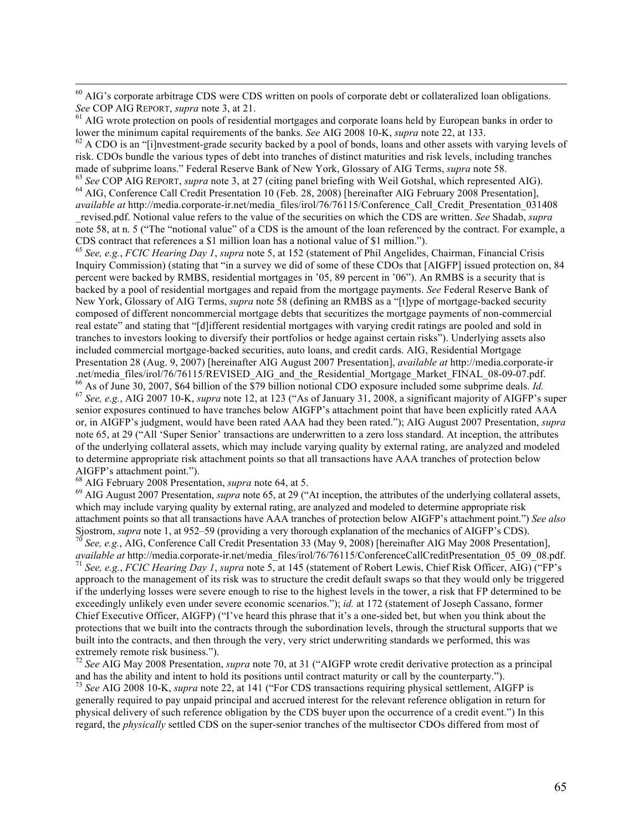<sup>60</sup> AIG's corporate arbitrage CDS were CDS written on pools of corporate debt or collateralized loan obligations. *See* COP AIG REPORT, *supra* note 3, at 21. <sup>61</sup> AIG wrote protection on pools of residential mortgages and corporate loans held by European banks in order to

lower the minimum capital requirements of the banks. See AIG 2008 10-K, *supra* note 22, at 133.<br><sup>62</sup> A CDO is an "filnvestment-grade security backed by a pool of bonds. loans and other assets with varying levels of

risk. CDOs bundle the various types of debt into tranches of distinct maturities and risk levels, including tranches

made of subprime loans." Federal Reserve Bank of New York, Glossary of AIG Terms, *supra* note 58.<br><sup>63</sup> See COP AIG REPORT, *supra* note 3, at 27 (citing panel briefing with Weil Gotshal, which represented AIG).<br><sup>64</sup> AIG, *available at* [http://media.corporate-ir.net/media\\_files/irol/76/76115/Conference\\_Call\\_Credit\\_Presentation\\_031408](http://media.corporate-ir.net/media_files/irol/76/76115/Conference_Call_Credit_Presentation_031408_revised.pdf)

[\\_revised.pdf.](http://media.corporate-ir.net/media_files/irol/76/76115/Conference_Call_Credit_Presentation_031408_revised.pdf) Notional value refers to the value of the securities on which the CDS are written. *See* Shadab, *supra* note 58, at n. 5 ("The "notional value" of a CDS is the amount of the loan referenced by the contract. For example, a CDS contract that references a \$1 million loan has a notional value of \$1 million.").

<sup>65</sup> *See, e.g.*, *FCIC Hearing Day 1*, *supra* note 5, at 152 (statement of Phil Angelides, Chairman, Financial Crisis Inquiry Commission) (stating that "in a survey we did of some of these CDOs that [AIGFP] issued protection on, 84 percent were backed by RMBS, residential mortgages in '05, 89 percent in '06"). An RMBS is a security that is backed by a pool of residential mortgages and repaid from the mortgage payments. *See* Federal Reserve Bank of New York, Glossary of AIG Terms, *supra* note 58 (defining an RMBS as a "[t]ype of mortgage-backed security composed of different noncommercial mortgage debts that securitizes the mortgage payments of non-commercial real estate" and stating that "[d]ifferent residential mortgages with varying credit ratings are pooled and sold in tranches to investors looking to diversify their portfolios or hedge against certain risks"). Underlying assets also included commercial mortgage-backed securities, auto loans, and credit cards. AIG, Residential Mortgage Presentation 28 (Aug. 9, 2007) [hereinafter AIG August 2007 Presentation], *available at* [http://media.corporate-ir](http://media.corporate-ir.net/media_files/irol/76/76115/REVISED_AIG_and_the_Residential_Mortgage_Market_FINAL_08-09-07.pdf) net/media\_files/irol/76/76115/REVISED\_AIG\_and\_the\_Residential\_Mortgage\_Market\_FINAL\_08-09-07.pdf.<br><sup>66</sup> As of June 30, 2007, \$64 billion of the \$79 billion notional CDO exposure included some subprime deals. *Id.*<br><sup>67</sup> See, senior exposures continued to have tranches below AIGFP's attachment point that have been explicitly rated AAA or, in AIGFP's judgment, would have been rated AAA had they been rated."); AIG August 2007 Presentation, *supra* note 65, at 29 ("All 'Super Senior' transactions are underwritten to a zero loss standard. At inception, the attributes of the underlying collateral assets, which may include varying quality by external rating, are analyzed and modeled to determine appropriate risk attachment points so that all transactions have AAA tranches of protection below AIGFP's attachment point.").<br><sup>68</sup> AIG February 2008 Presentation, *supra* note 64, at 5.

<sup>69</sup> AIG August 2007 Presentation, *supra* note 65, at 29 ("At inception, the attributes of the underlying collateral assets, which may include varying quality by external rating, are analyzed and modeled to determine appropriate risk attachment points so that all transactions have AAA tranches of protection below AIGFP's attachment point.") *See also* Sjostrom, *supra* note 1, at 952–59 (providing a very thorough explanation of the mechanics of AIGFP's CDS).<br><sup>70</sup> See, e.g., AIG, Conference Call Credit Presentation 33 (May 9, 2008) [hereinafter AIG May 2008 Presentation <sup>71</sup> See, e.g., FCIC Hearing Day 1, supra note 5, at 145 (statement of Robert Lewis, Chief Risk Officer, AIG) ("FP's approach to the management of its risk was to structure the credit default swaps so that they would only be triggered if the underlying losses were severe enough to rise to the highest levels in the tower, a risk that FP determined to be exceedingly unlikely even under severe economic scenarios."); *id.* at 172 (statement of Joseph Cassano, former Chief Executive Officer, AIGFP) ("I've heard this phrase that it's a one-sided bet, but when you think about the protections that we built into the contracts through the subordination levels, through the structural supports that we built into the contracts, and then through the very, very strict underwriting standards we performed, this was extremely remote risk business.").

<sup>72</sup> *See* AIG May 2008 Presentation, *supra* note 70, at 31 ("AIGFP wrote credit derivative protection as a principal and has the ability and intent to hold its positions until contract maturity or call by the counterparty."). <sup>73</sup> *See* AIG 2008 10-K, *supra* note 22, at 141 ("For CDS transactions requiring physical settlement, AIGFP is generally required to pay unpaid principal and accrued interest for the relevant reference obligation in return for physical delivery of such reference obligation by the CDS buyer upon the occurrence of a credit event.") In this regard, the *physically* settled CDS on the super-senior tranches of the multisector CDOs differed from most of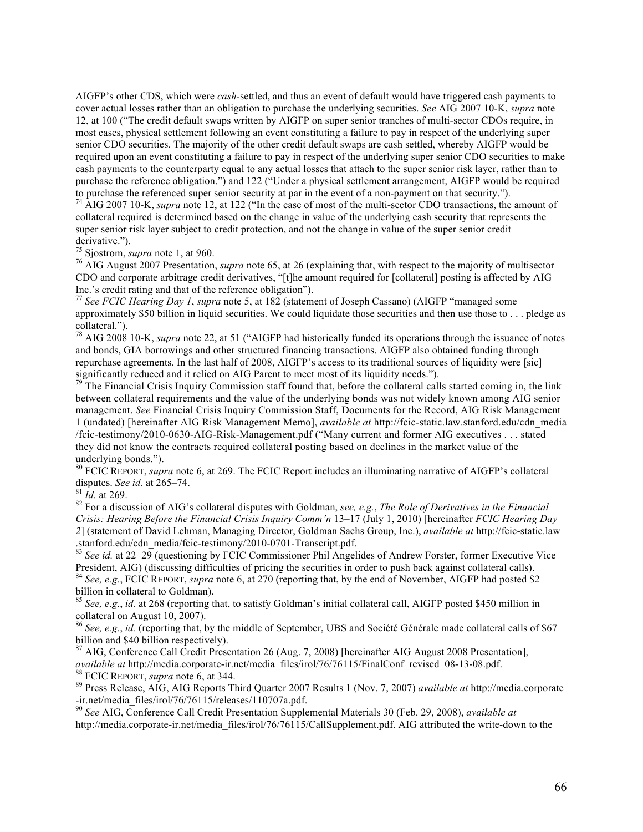AIGFP's other CDS, which were *cash*-settled, and thus an event of default would have triggered cash payments to cover actual losses rather than an obligation to purchase the underlying securities. *See* AIG 2007 10-K, *supra* note 12, at 100 ("The credit default swaps written by AIGFP on super senior tranches of multi-sector CDOs require, in most cases, physical settlement following an event constituting a failure to pay in respect of the underlying super senior CDO securities. The majority of the other credit default swaps are cash settled, whereby AIGFP would be required upon an event constituting a failure to pay in respect of the underlying super senior CDO securities to make cash payments to the counterparty equal to any actual losses that attach to the super senior risk layer, rather than to purchase the reference obligation.") and 122 ("Under a physical settlement arrangement, AIGFP would be required to purchase the referenced super senior security at par in the event of a non-payment on that security.").<br><sup>74</sup> AIG 2007 10-K, *supra* note 12, at 122 ("In the case of most of the multi-sector CDO transactions, the amount

collateral required is determined based on the change in value of the underlying cash security that represents the super senior risk layer subject to credit protection, and not the change in value of the super senior credit derivative.").

<sup>75</sup> Sjostrom, *supra* note 1, at 960.<br><sup>76</sup> AIG August 2007 Presentation, *supra* note 65, at 26 (explaining that, with respect to the majority of multisector CDO and corporate arbitrage credit derivatives, "[t]he amount required for [collateral] posting is affected by AIG Inc.'s credit rating and that of the reference obligation").

<sup>77</sup> *See FCIC Hearing Day 1*, *supra* note 5, at 182 (statement of Joseph Cassano) (AIGFP "managed some approximately \$50 billion in liquid securities. We could liquidate those securities and then use those to . . . pledge as collateral.").

<sup>78</sup> AIG 2008 10-K, *supra* note 22, at 51 ("AIGFP had historically funded its operations through the issuance of notes and bonds, GIA borrowings and other structured financing transactions. AIGFP also obtained funding through repurchase agreements. In the last half of 2008, AIGFP's access to its traditional sources of liquidity were [sic] significantly reduced and it relied on AIG Parent to meet most of its liquidity needs.").<br><sup>79</sup> The Financial Crisis Inquiry Commission staff found that, before the collateral calls started coming in, the link

between collateral requirements and the value of the underlying bonds was not widely known among AIG senior management. *See* Financial Crisis Inquiry Commission Staff, Documents for the Record, AIG Risk Management 1 (undated) [hereinafter AIG Risk Management Memo], *available at* [http://fcic-static.law.stanford.edu/cdn\\_media](http://fcic-static.law.stanford.edu/cdn_media/fcic-testimony/2010-0630-AIG-Risk-Management.pdf) [/fcic-testimony/2010-0630-AIG-Risk-Management.pdf](http://fcic-static.law.stanford.edu/cdn_media/fcic-testimony/2010-0630-AIG-Risk-Management.pdf) ("Many current and former AIG executives . . . stated they did not know the contracts required collateral posting based on declines in the market value of the underlying bonds.").

<sup>80</sup> FCIC REPORT, *supra* note 6, at 269. The FCIC Report includes an illuminating narrative of AIGFP's collateral disputes. *See id.* at 265–74.

<sup>81</sup> *Id.* at 269.<br><sup>82</sup> For a discussion of AIG's collateral disputes with Goldman, *see, e.g., The Role of Derivatives in the Financial Crisis: Hearing Before the Financial Crisis Inquiry Comm'n* 13–17 (July 1, 2010) [hereinafter *FCIC Hearing Day 2*] (statement of David Lehman, Managing Director, Goldman Sachs Group, Inc.), *available at* [http://fcic-static.law](http://fcic-static.law.stanford.edu/cdn_media/fcic-testimony/2010-0701-Transcript.pdf)

[.stanford.edu/cdn\\_media/fcic-testimony/2010-0701-Transcript.pdf.](http://fcic-static.law.stanford.edu/cdn_media/fcic-testimony/2010-0701-Transcript.pdf)<br><sup>83</sup> *See id.* at 22–29 (questioning by FCIC Commissioner Phil Angelides of Andrew Forster, former Executive Vice<br>President, AIG) (discussing difficulties of <sup>84</sup> See, e.g., FCIC REPORT, supra note 6, at 270 (reporting that, by the end of November, AIGFP had posted \$2

billion in collateral to Goldman).

<sup>85</sup> *See, e.g.*, *id.* at 268 (reporting that, to satisfy Goldman's initial collateral call, AIGFP posted \$450 million in collateral on August 10, 2007).

<sup>86</sup> *See, e.g.*, *id.* (reporting that, by the middle of September, UBS and Société Générale made collateral calls of \$67 billion and \$40 billion respectively).

<sup>87</sup> AIG, Conference Call Credit Presentation 26 (Aug. 7, 2008) [hereinafter AIG August 2008 Presentation], *available at* http://media.corporate-ir.net/media\_files/irol/76/76115/FinalConf revised 08-13-08.pdf. <sup>88</sup> FCIC REPORT, *supra* note 6, at 344.<br><sup>89</sup> Press Release, AIG, AIG Reports Third Quarter 2007 Results 1 (Nov. 7, 2007) *available at [http://media.corporate](http://media.corporate-ir.net/media_files/irol/76/76115/releases/110707a.pdf)* 

[-ir.net/media\\_files/irol/76/76115/releases/110707a.pdf.](http://media.corporate-ir.net/media_files/irol/76/76115/releases/110707a.pdf)

<sup>90</sup> *See* AIG, Conference Call Credit Presentation Supplemental Materials 30 (Feb. 29, 2008), *available at* [http://media.corporate-ir.net/media\\_files/irol/76/76115/CallSupplement.pdf.](http://media.corporate-ir.net/media_files/irol/76/76115/CallSupplement.pdf) AIG attributed the write-down to the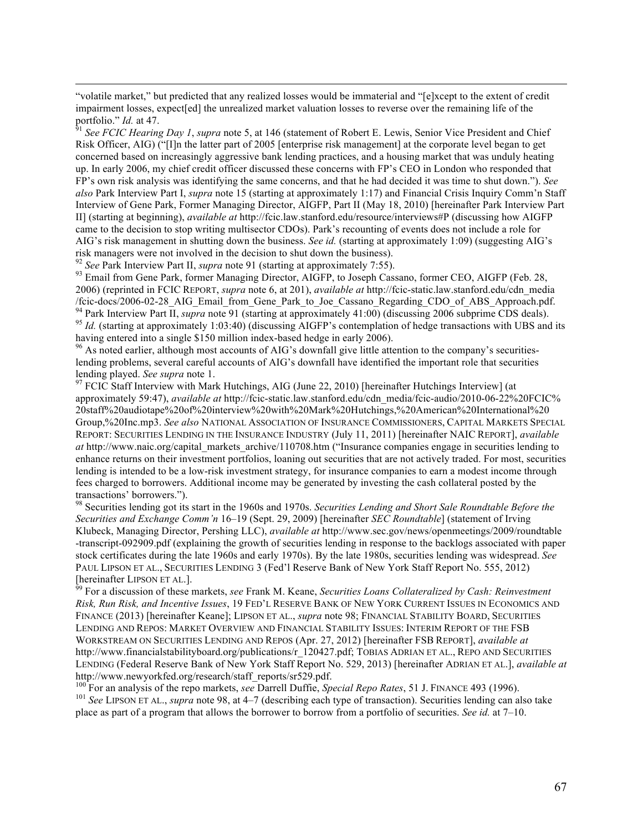"volatile market," but predicted that any realized losses would be immaterial and "[e]xcept to the extent of credit impairment losses, expect[ed] the unrealized market valuation losses to reverse over the remaining life of the portfolio." *Id.* at 47. **91** *See FCIC Hearing Day 1, supra* note 5, at 146 (statement of Robert E. Lewis, Senior Vice President and Chief

Risk Officer, AIG) ("[I]n the latter part of 2005 [enterprise risk management] at the corporate level began to get concerned based on increasingly aggressive bank lending practices, and a housing market that was unduly heating up. In early 2006, my chief credit officer discussed these concerns with FP's CEO in London who responded that FP's own risk analysis was identifying the same concerns, and that he had decided it was time to shut down."). *See also* Park Interview Part I, *supra* note 15 (starting at approximately 1:17) and Financial Crisis Inquiry Comm'n Staff Interview of Gene Park, Former Managing Director, AIGFP, Part II (May 18, 2010) [hereinafter Park Interview Part II] (starting at beginning), *available at* <http://fcic.law.stanford.edu/resource/interviews#P>(discussing how AIGFP came to the decision to stop writing multisector CDOs). Park's recounting of events does not include a role for AIG's risk management in shutting down the business. *See id.* (starting at approximately 1:09) (suggesting AIG's risk managers were not involved in the decision to shut down the business).<br><sup>92</sup> See Park Interview Part II, *supra* note 91 (starting at approximately 7:55).

<sup>93</sup> Email from Gene Park, former Managing Director, AIGFP, to Joseph Cassano, former CEO, AIGFP (Feb. 28, 2006) (reprinted in FCIC REPORT, *supra* note 6, at 201), *available at* [http://fcic-static.law.stanford.edu/cdn\\_media](http://fcic-static.law.stanford.edu/cdn_media/fcic-docs/2006-02-28_AIG_Email_from_Gene_Park_to_Joe_Cassano_Regarding_CDO_of_ABS_Approach.pdf) <sup>94</sup> Park Interview Part II, *supra* note 91 (starting at approximately 41:00) (discussing 2006 subprime CDS deals).<br><sup>95</sup> *Id.* (starting at approximately 1:03:40) (discussing AIGFP's contemplation of hedge transactions w

<sup>96</sup> As noted earlier, although most accounts of AIG's downfall give little attention to the company's securitieslending problems, several careful accounts of AIG's downfall have identified the important role that securities lending played. *See supra* note 1.<br><sup>97</sup> FCIC Staff Interview with Mark Hutchings, AIG (June 22, 2010) [hereinafter Hutchings Interview] (at

approximately 59:47), *available at* [http://fcic-static.law.stanford.edu/cdn\\_media/fcic-audio/2010-06-22%20FCIC%](http://fcic-static.law.stanford.edu/cdn_media/fcic-audio/2010-06-22%20FCIC%20staff%20audiotape%20of%20interview%20with%20Mark%20Hutchings,%20American%20International%20Group,%20Inc.mp3) [20staff%20audiotape%20of%20interview%20with%20Mark%20Hutchings,%20American%20International%20](http://fcic-static.law.stanford.edu/cdn_media/fcic-audio/2010-06-22%20FCIC%20staff%20audiotape%20of%20interview%20with%20Mark%20Hutchings,%20American%20International%20Group,%20Inc.mp3) [Group,%20Inc.mp3](http://fcic-static.law.stanford.edu/cdn_media/fcic-audio/2010-06-22%20FCIC%20staff%20audiotape%20of%20interview%20with%20Mark%20Hutchings,%20American%20International%20Group,%20Inc.mp3). *See also* NATIONAL ASSOCIATION OF INSURANCE COMMISSIONERS, CAPITAL MARKETS SPECIAL REPORT: SECURITIES LENDING IN THE INSURANCE INDUSTRY (July 11, 2011) [hereinafter NAIC REPORT], *available at* [http://www.naic.org/capital\\_markets\\_archive/110708.htm](http://www.naic.org/capital_markets_archive/110708.htm) ("Insurance companies engage in securities lending to enhance returns on their investment portfolios, loaning out securities that are not actively traded. For most, securities lending is intended to be a low-risk investment strategy, for insurance companies to earn a modest income through fees charged to borrowers. Additional income may be generated by investing the cash collateral posted by the transactions' borrowers.").

<sup>98</sup> Securities lending got its start in the 1960s and 1970s. *Securities Lending and Short Sale Roundtable Before the Securities and Exchange Comm'n* 16–19 (Sept. 29, 2009) [hereinafter *SEC Roundtable*] (statement of Irving Klubeck, Managing Director, Pershing LLC), *available at* [http://www.sec.gov/news/openmeetings/2009/roundtable](http://www.sec.gov/news/openmeetings/2009/roundtable-transcript-092909.pdf) [-transcript-092909.pdf](http://www.sec.gov/news/openmeetings/2009/roundtable-transcript-092909.pdf) (explaining the growth of securities lending in response to the backlogs associated with paper stock certificates during the late 1960s and early 1970s). By the late 1980s, securities lending was widespread. *See* PAUL LIPSON ET AL., SECURITIES LENDING 3 (Fed'l Reserve Bank of New York Staff Report No. 555, 2012) [hereinafter LIPSON ET AL.]. <sup>99</sup> For a discussion of these markets, *see* Frank M. Keane, *Securities Loans Collateralized by Cash: Reinvestment* 

*Risk, Run Risk, and Incentive Issues*, 19 FED'L RESERVE BANK OF NEW YORK CURRENT ISSUES IN ECONOMICS AND FINANCE (2013) [hereinafter Keane]; LIPSON ET AL., *supra* note 98; FINANCIAL STABILITY BOARD, SECURITIES LENDING AND REPOS: MARKET OVERVIEW AND FINANCIAL STABILITY ISSUES: INTERIM REPORT OF THE FSB WORKSTREAM ON SECURITIES LENDING AND REPOS (Apr. 27, 2012) [hereinafter FSB REPORT], *available at* [http://www.financialstabilityboard.org/publications/r\\_120427.pdf;](http://www.financialstabilityboard.org/publications/r_120427.pdf) TOBIAS ADRIAN ET AL., REPO AND SECURITIES LENDING (Federal Reserve Bank of New York Staff Report No. 529, 2013) [hereinafter ADRIAN ET AL.], *available at* [http://www.newyorkfed.org/research/staff\\_reports/sr529.pdf.](http://www.newyorkfed.org/research/staff_reports/sr529.pdf)<br><sup>100</sup> For an analysis of the repo markets, *see* Darrell Duffie, *Special Repo Rates*, 51 J. FINANCE 493 (1996).

<sup>101</sup> See LIPSON ET AL., *supra* note 98, at 4–7 (describing each type of transaction). Securities lending can also take place as part of a program that allows the borrower to borrow from a portfolio of securities. *See id.* at 7–10.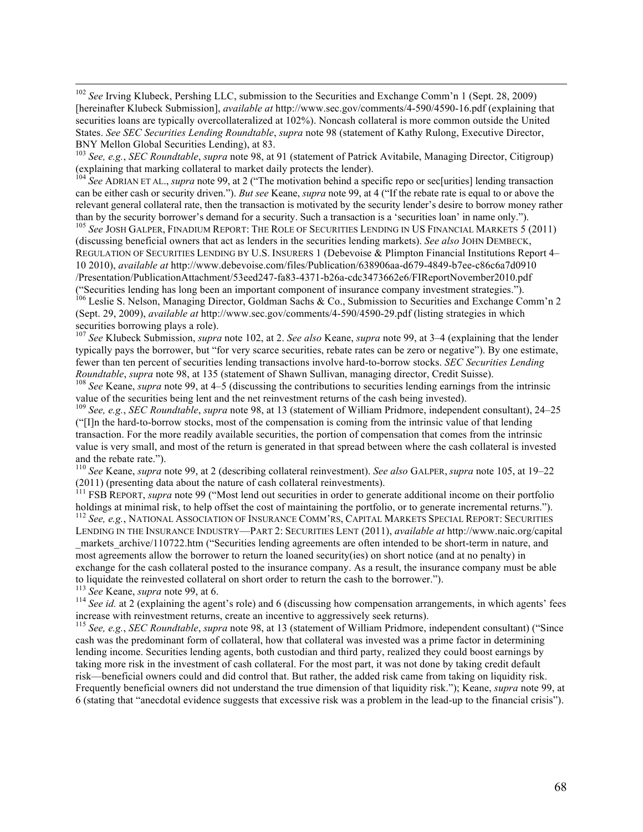102 *See* Irving Klubeck, Pershing LLC, submission to the Securities and Exchange Comm'n 1 (Sept. 28, 2009) [hereinafter Klubeck Submission], *available at* <http://www.sec.gov/comments/4-590/4590-16.pdf>(explaining that securities loans are typically overcollateralized at 102%). Noncash collateral is more common outside the United States. *See SEC Securities Lending Roundtable*, *supra* note 98 (statement of Kathy Rulong, Executive Director, BNY Mellon Global Securities Lending), at 83.

<sup>103</sup> *See, e.g.*, *SEC Roundtable*, *supra* note 98, at 91 (statement of Patrick Avitabile, Managing Director, Citigroup) (explaining that marking collateral to market daily protects the lender).

<sup>104</sup> *See* ADRIAN ET AL., *supra* note 99, at 2 ("The motivation behind a specific repo or sec[urities] lending transaction can be either cash or security driven."). *But see* Keane, *supra* note 99, at 4 ("If the rebate rate is equal to or above the relevant general collateral rate, then the transaction is motivated by the security lender's desire to borrow money rather than by the security borrower's demand for a security. Such a transaction is a 'securities loan' in name only.").

<sup>105</sup> *See* JOSH GALPER, FINADIUM REPORT: THE ROLE OF SECURITIES LENDING IN US FINANCIAL MARKETS 5 (2011) (discussing beneficial owners that act as lenders in the securities lending markets). *See also* JOHN DEMBECK, REGULATION OF SECURITIES LENDING BY U.S. INSURERS 1 (Debevoise & Plimpton Financial Institutions Report 4– 10 2010), *available at* [http://www.debevoise.com/files/Publication/638906aa-d679-4849-b7ee-c86c6a7d0910](http://www.debevoise.com/files/Publication/638906aa-d679-4849-b7ee-c86c6a7d0910/Presentation/PublicationAttachment/53eed247-fa83-4371-b26a-cdc3473662e6/FIReportNovember2010.pdf) [/Presentation/PublicationAttachment/53eed247-fa83-4371-b26a-cdc3473662e6/FIReportNovember2010.pdf](http://www.debevoise.com/files/Publication/638906aa-d679-4849-b7ee-c86c6a7d0910/Presentation/PublicationAttachment/53eed247-fa83-4371-b26a-cdc3473662e6/FIReportNovember2010.pdf) 

<sup>106</sup> Leslie S. Nelson, Managing Director, Goldman Sachs & Co., Submission to Securities and Exchange Comm'n 2 (Sept. 29, 2009), *available at* <http://www.sec.gov/comments/4-590/4590-29.pdf>(listing strategies in which securities borrowing plays a role).

<sup>107</sup> *See* Klubeck Submission, *supra* note 102, at 2. *See also* Keane, *supra* note 99, at 3–4 (explaining that the lender typically pays the borrower, but "for very scarce securities, rebate rates can be zero or negative"). By one estimate, fewer than ten percent of securities lending transactions involve hard-to-borrow stocks. *SEC Securities Lending*  Roundtable, supra note 98, at 135 (statement of Shawn Sullivan, managing director, Credit Suisse).<br><sup>108</sup> See Keane, supra note 99, at 4–5 (discussing the contributions to securities lending earnings from the intrinsic

value of the securities being lent and the net reinvestment returns of the cash being invested).<br><sup>109</sup> See, e.g., SEC Roundtable, supra note 98, at 13 (statement of William Pridmore, independent consultant), 24–25

("[I]n the hard-to-borrow stocks, most of the compensation is coming from the intrinsic value of that lending transaction. For the more readily available securities, the portion of compensation that comes from the intrinsic value is very small, and most of the return is generated in that spread between where the cash collateral is invested and the rebate rate.").

<sup>110</sup> *See* Keane, *supra* note 99, at 2 (describing collateral reinvestment). *See also* GALPER, *supra* note 105, at 19–22 (2011) (presenting data about the nature of cash collateral reinvestments). <sup>111</sup> FSB REPORT, *supra* note 99 ("Most lend out securities in order to generate additional income on their portfolio

holdings at minimal risk, to help offset the cost of maintaining the portfolio, or to generate incremental returns.").<br><sup>112</sup> See, e.g., NATIONAL ASSOCIATION OF INSURANCE COMM'RS, CAPITAL MARKETS SPECIAL REPORT: SECURITIES LENDING IN THE INSURANCE INDUSTRY—PART 2: SECURITIES LENT (2011), *available at* [http://www.naic.org/capital](http://www.naic.org/capital_markets_archive/110722.htm) markets archive/110722.htm ("Securities lending agreements are often intended to be short-term in nature, and most agreements allow the borrower to return the loaned security(ies) on short notice (and at no penalty) in exchange for the cash collateral posted to the insurance company. As a result, the insurance company must be able to liquidate the reinvested collateral on short order to return the cash to the borrower."). <sup>113</sup> See Keane, *supra* note 99, at 6.

<sup>114</sup> *See id.* at 2 (explaining the agent's role) and 6 (discussing how compensation arrangements, in which agents' fees increase with reinvestment returns, create an incentive to aggressively seek returns).

<sup>115</sup> *See, e.g.*, *SEC Roundtable*, *supra* note 98, at 13 (statement of William Pridmore, independent consultant) ("Since cash was the predominant form of collateral, how that collateral was invested was a prime factor in determining lending income. Securities lending agents, both custodian and third party, realized they could boost earnings by taking more risk in the investment of cash collateral. For the most part, it was not done by taking credit default risk—beneficial owners could and did control that. But rather, the added risk came from taking on liquidity risk. Frequently beneficial owners did not understand the true dimension of that liquidity risk."); Keane, *supra* note 99, at 6 (stating that "anecdotal evidence suggests that excessive risk was a problem in the lead-up to the financial crisis").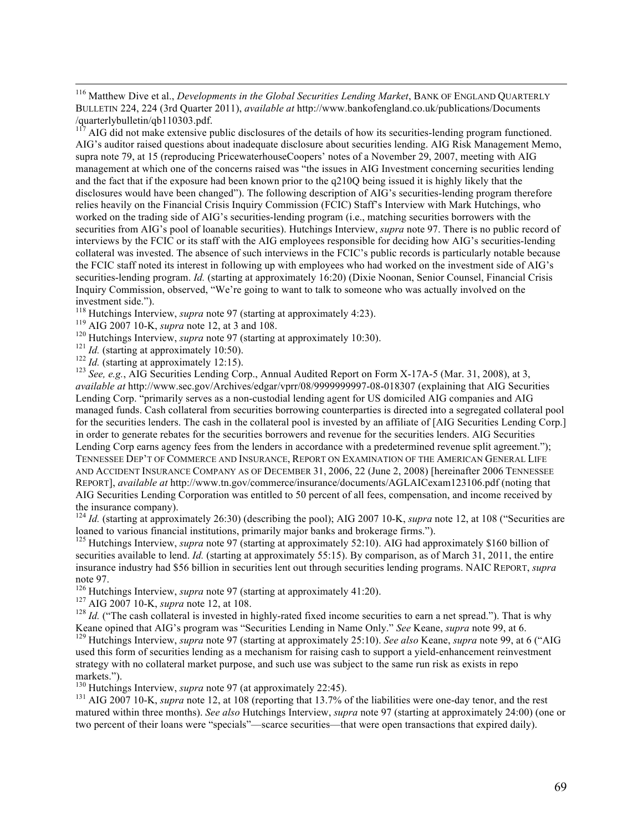116 Matthew Dive et al., *Developments in the Global Securities Lending Market*, BANK OF ENGLAND QUARTERLY BULLETIN 224, 224 (3rd Quarter 2011), *available at* [http://www.bankofengland.co.uk/publications/Documents](http://www.bankofengland.co.uk/publications/Documents/quarterlybulletin/qb110303.pdf)<br>/quarterlybulletin/qb110303.pdf.<br><sup>117</sup> AIC 314 axi

AIG did not make extensive public disclosures of the details of how its securities-lending program functioned. AIG's auditor raised questions about inadequate disclosure about securities lending. AIG Risk Management Memo, supra note 79, at 15 (reproducing PricewaterhouseCoopers' notes of a November 29, 2007, meeting with AIG management at which one of the concerns raised was "the issues in AIG Investment concerning securities lending and the fact that if the exposure had been known prior to the q210Q being issued it is highly likely that the disclosures would have been changed"). The following description of AIG's securities-lending program therefore relies heavily on the Financial Crisis Inquiry Commission (FCIC) Staff's Interview with Mark Hutchings, who worked on the trading side of AIG's securities-lending program (i.e., matching securities borrowers with the securities from AIG's pool of loanable securities). Hutchings Interview, *supra* note 97. There is no public record of interviews by the FCIC or its staff with the AIG employees responsible for deciding how AIG's securities-lending collateral was invested. The absence of such interviews in the FCIC's public records is particularly notable because the FCIC staff noted its interest in following up with employees who had worked on the investment side of AIG's securities-lending program. *Id.* (starting at approximately 16:20) (Dixie Noonan, Senior Counsel, Financial Crisis Inquiry Commission, observed, "We're going to want to talk to someone who was actually involved on the investment side.").<br><sup>118</sup> Hutchings Interview, *supra* note 97 (starting at approximately 4:23).

<sup>119</sup> AIG 2007 10-K, *supra* note 12, at 3 and 108.<br><sup>120</sup> Hutchings Interview, *supra* note 97 (starting at approximately 10:30).<br><sup>121</sup> Id. (starting at approximately 10:50).<br><sup>122</sup> Id. (starting at approximately 12:15).<br><sup></sup> *available at* <http://www.sec.gov/Archives/edgar/vprr/08/9999999997-08-018307>(explaining that AIG Securities Lending Corp. "primarily serves as a non-custodial lending agent for US domiciled AIG companies and AIG managed funds. Cash collateral from securities borrowing counterparties is directed into a segregated collateral pool for the securities lenders. The cash in the collateral pool is invested by an affiliate of [AIG Securities Lending Corp.] in order to generate rebates for the securities borrowers and revenue for the securities lenders. AIG Securities Lending Corp earns agency fees from the lenders in accordance with a predetermined revenue split agreement."); TENNESSEE DEP'T OF COMMERCE AND INSURANCE, REPORT ON EXAMINATION OF THE AMERICAN GENERAL LIFE AND ACCIDENT INSURANCE COMPANY AS OF DECEMBER 31, 2006, 22 (June 2, 2008) [hereinafter 2006 TENNESSEE REPORT], *available at* <http://www.tn.gov/commerce/insurance/documents/AGLAICexam123106.pdf>(noting that AIG Securities Lending Corporation was entitled to 50 percent of all fees, compensation, and income received by the insurance company).

<sup>124</sup> *Id.* (starting at approximately 26:30) (describing the pool); AIG 2007 10-K, *supra* note 12, at 108 ("Securities are loaned to various financial institutions, primarily major banks and brokerage firms.").

<sup>125</sup> Hutchings Interview, *supra* note 97 (starting at approximately 52:10). AIG had approximately \$160 billion of securities available to lend. *Id.* (starting at approximately 55:15). By comparison, as of March 31, 2011, the entire insurance industry had \$56 billion in securities lent out through securities lending programs. NAIC REPORT, *supra*

<sup>126</sup> Hutchings Interview, *supra* note 97 (starting at approximately 41:20).<br><sup>127</sup> AIG 2007 10-K, *supra* note 12, at 108.<br><sup>128</sup> Id. ("The cash collateral is invested in highly-rated fixed income securities to earn a net

<sup>129</sup> Hutchings Interview, *supra* note 97 (starting at approximately 25:10). See also Keane, *supra* note 99, at 6 ("AIG used this form of securities lending as a mechanism for raising cash to support a yield-enhancement reinvestment strategy with no collateral market purpose, and such use was subject to the same run risk as exists in repo markets.").<br><sup>130</sup> Hutchings Interview, *supra* note 97 (at approximately 22:45).

<sup>131</sup> AIG 2007 10-K, *supra* note 12, at 108 (reporting that 13.7% of the liabilities were one-day tenor, and the rest matured within three months). *See also* Hutchings Interview, *supra* note 97 (starting at approximately 24:00) (one or two percent of their loans were "specials"—scarce securities—that were open transactions that expired daily).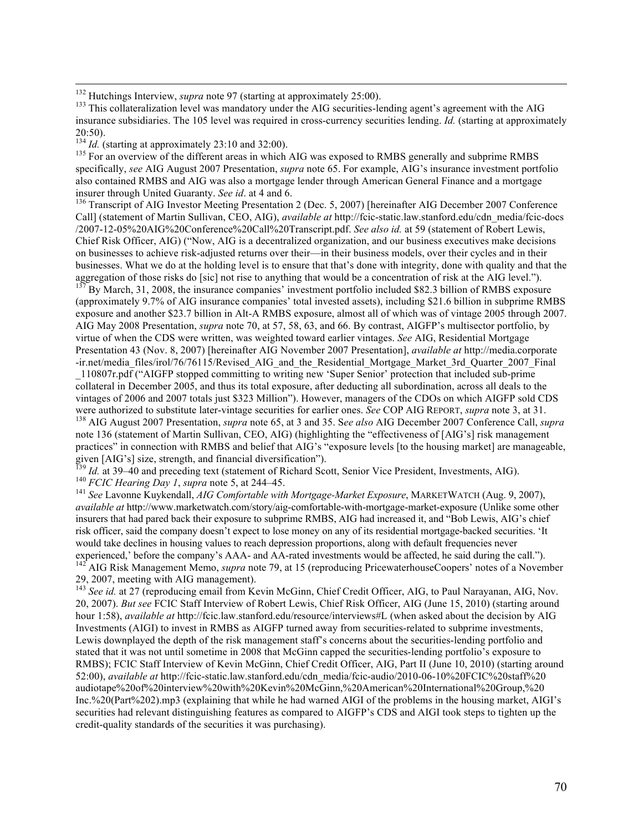<sup>132</sup> Hutchings Interview, *supra* note 97 (starting at approximately 25:00).<br><sup>133</sup> This collateralization level was mandatory under the AIG securities-lending agent's agreement with the AIG insurance subsidiaries. The 105 level was required in cross-currency securities lending. *Id.* (starting at approximately 20:50).<br> $^{134}$  *Id.* (starting at approximately 23:10 and 32:00).

<sup>135</sup> For an overview of the different areas in which AIG was exposed to RMBS generally and subprime RMBS specifically, *see* AIG August 2007 Presentation, *supra* note 65. For example, AIG's insurance investment portfolio also contained RMBS and AIG was also a mortgage lender through American General Finance and a mortgage insurer through United Guaranty. *See id.* at 4 and 6.<br><sup>136</sup> Transcript of AIG Investor Meeting Presentation 2 (Dec. 5, 2007) [hereinafter AIG December 2007 Conference

Call] (statement of Martin Sullivan, CEO, AIG), *available at* [http://fcic-static.law.stanford.edu/cdn\\_media/fcic-docs](http://fcic-static.law.stanford.edu/cdn_media/fcic-docs/2007-12-05%20AIG%20Conference%20Call%20Transcript.pdf) [/2007-12-05%20AIG%20Conference%20Call%20Transcript.pdf.](http://fcic-static.law.stanford.edu/cdn_media/fcic-docs/2007-12-05%20AIG%20Conference%20Call%20Transcript.pdf) *See also id.* at 59 (statement of Robert Lewis, Chief Risk Officer, AIG) ("Now, AIG is a decentralized organization, and our business executives make decisions on businesses to achieve risk-adjusted returns over their—in their business models, over their cycles and in their businesses. What we do at the holding level is to ensure that that's done with integrity, done with quality and that the aggregation of those risks do [sic] not rise to anything that would be a concentration of risk at the AIG level.").

By March, 31, 2008, the insurance companies' investment portfolio included \$82.3 billion of RMBS exposure (approximately 9.7% of AIG insurance companies' total invested assets), including \$21.6 billion in subprime RMBS exposure and another \$23.7 billion in Alt-A RMBS exposure, almost all of which was of vintage 2005 through 2007. AIG May 2008 Presentation, *supra* note 70, at 57, 58, 63, and 66. By contrast, AIGFP's multisector portfolio, by virtue of when the CDS were written, was weighted toward earlier vintages. *See* AIG, Residential Mortgage Presentation 43 (Nov. 8, 2007) [hereinafter AIG November 2007 Presentation], *available at* [http://media.corporate](http://media.corporate-ir.net/media_files/irol/76/76115/Revised_AIG_and_the_Residential_Mortgage_Market_3rd_Quarter_2007_Final_110807r.pdf) [-ir.net/media\\_files/irol/76/76115/Revised\\_AIG\\_and\\_the\\_Residential\\_Mortgage\\_Market\\_3rd\\_Quarter\\_2007\\_Final](http://media.corporate-ir.net/media_files/irol/76/76115/Revised_AIG_and_the_Residential_Mortgage_Market_3rd_Quarter_2007_Final_110807r.pdf) [\\_110807r.pdf](http://media.corporate-ir.net/media_files/irol/76/76115/Revised_AIG_and_the_Residential_Mortgage_Market_3rd_Quarter_2007_Final_110807r.pdf) ("AIGFP stopped committing to writing new 'Super Senior' protection that included sub-prime collateral in December 2005, and thus its total exposure, after deducting all subordination, across all deals to the vintages of 2006 and 2007 totals just \$323 Million"). However, managers of the CDOs on which AIGFP sold CDS were authorized to substitute later-vintage securities for earlier ones. See COP AIG REPORT, supra note 3, at 31.

<sup>138</sup> AIG August 2007 Presentation, *supra* note 65, at 3 and 35. See also AIG December 2007 Conference Call, *supra* note 136 (statement of Martin Sullivan, CEO, AIG) (highlighting the "effectiveness of [AIG's] risk management practices" in connection with RMBS and belief that AIG's "exposure levels [to the housing market] are manageable.

given [AIG's] size, strength, and financial diversification").<br>
<sup>139</sup> Id. at 39–40 and preceding text (statement of Richard Scott, Senior Vice President, Investments, AIG).<br>
<sup>140</sup> FCIC Hearing Day 1, supra note 5, at 244–4

*available at* <http://www.marketwatch.com/story/aig-comfortable-with-mortgage-market-exposure> (Unlike some other insurers that had pared back their exposure to subprime RMBS, AIG had increased it, and "Bob Lewis, AIG's chief risk officer, said the company doesn't expect to lose money on any of its residential mortgage-backed securities. 'It would take declines in housing values to reach depression proportions, along with default frequencies never experienced,' before the company's AAA- and AA-rated investments would be affected, he said during the call.").<br><sup>142</sup> AIG Risk Management Memo, *supra* note 79, at 15 (reproducing PricewaterhouseCoopers' notes of a Novembe

29, 2007, meeting with AIG management).

<sup>143</sup> *See id.* at 27 (reproducing email from Kevin McGinn, Chief Credit Officer, AIG, to Paul Narayanan, AIG, Nov. 20, 2007). *But see* FCIC Staff Interview of Robert Lewis, Chief Risk Officer, AIG (June 15, 2010) (starting around hour 1:58), *available at* <http://fcic.law.stanford.edu/resource/interviews#L>(when asked about the decision by AIG Investments (AIGI) to invest in RMBS as AIGFP turned away from securities-related to subprime investments, Lewis downplayed the depth of the risk management staff's concerns about the securities-lending portfolio and stated that it was not until sometime in 2008 that McGinn capped the securities-lending portfolio's exposure to RMBS); FCIC Staff Interview of Kevin McGinn, Chief Credit Officer, AIG, Part II (June 10, 2010) (starting around 52:00), *available at* [http://fcic-static.law.stanford.edu/cdn\\_media/fcic-audio/2010-06-10%20FCIC%20staff%20](http://fcic-static.law.stanford.edu/cdn_media/fcic-audio/2010-06-10%20FCIC%20staff%20audiotape%20of%20interview%20with%20Kevin%20McGinn,%20American%20International%20Group,%20Inc.%20(Part%202).mp3) [audiotape%20of%20interview%20with%20Kevin%20McGinn,%20American%20International%20Group,%20](http://fcic-static.law.stanford.edu/cdn_media/fcic-audio/2010-06-10%20FCIC%20staff%20audiotape%20of%20interview%20with%20Kevin%20McGinn,%20American%20International%20Group,%20Inc.%20(Part%202).mp3) [Inc.%20\(Part%202\).mp3](http://fcic-static.law.stanford.edu/cdn_media/fcic-audio/2010-06-10%20FCIC%20staff%20audiotape%20of%20interview%20with%20Kevin%20McGinn,%20American%20International%20Group,%20Inc.%20(Part%202).mp3) (explaining that while he had warned AIGI of the problems in the housing market, AIGI's securities had relevant distinguishing features as compared to AIGFP's CDS and AIGI took steps to tighten up the credit-quality standards of the securities it was purchasing).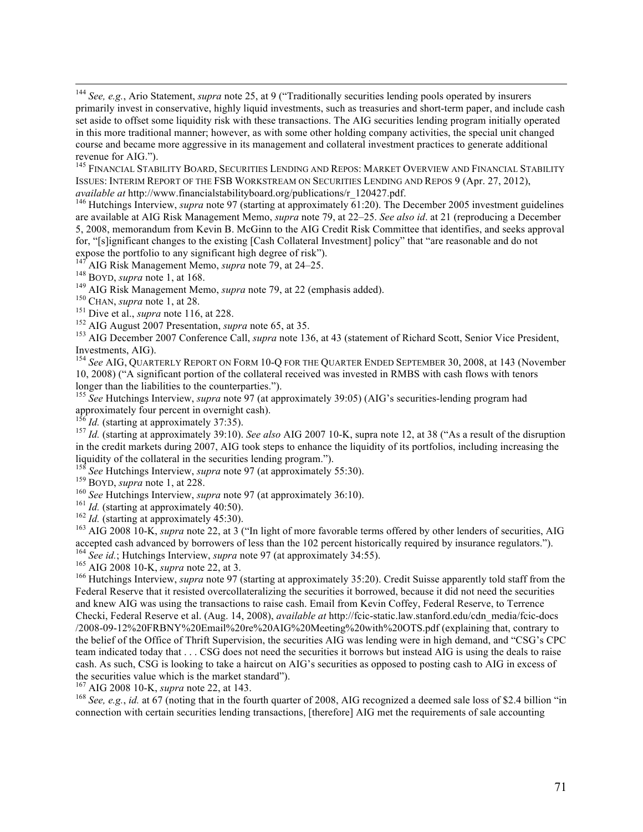144 *See, e.g.*, Ario Statement, *supra* note 25, at 9 ("Traditionally securities lending pools operated by insurers primarily invest in conservative, highly liquid investments, such as treasuries and short-term paper, and include cash set aside to offset some liquidity risk with these transactions. The AIG securities lending program initially operated in this more traditional manner; however, as with some other holding company activities, the special unit changed course and became more aggressive in its management and collateral investment practices to generate additional revenue for AIG.").

<sup>145</sup> FINANCIAL STABILITY BOARD, SECURITIES LENDING AND REPOS: MARKET OVERVIEW AND FINANCIAL STABILITY ISSUES: INTERIM REPORT OF THE FSB WORKSTREAM ON SECURITIES LENDING AND REPOS 9 (Apr. 27, 2012), *available at* [http://www.financialstabilityboard.org/publications/r\\_120427.pdf.](http://www.financialstabilityboard.org/publications/r_120427.pdf) <sup>146</sup> Hutchings Interview, *supra* note 97 (starting at approximately 61:20). The December 2005 investment guidelines

are available at AIG Risk Management Memo, *supra* note 79, at 22–25. *See also id*. at 21 (reproducing a December 5, 2008, memorandum from Kevin B. McGinn to the AIG Credit Risk Committee that identifies, and seeks approval for, "[s]ignificant changes to the existing [Cash Collateral Investment] policy" that "are reasonable and do not expose the portfolio to any significant high degree of risk").

<sup>147</sup> AIG Risk Management Memo, *supra* note 79, at 24–25.<br>
<sup>148</sup> BoYD, *supra* note 1, at 168.<br>
<sup>149</sup> AIG Risk Management Memo, *supra* note 79, at 22 (emphasis added).<br>
<sup>150</sup> CHAN, *supra* note 1, at 28.<br>
<sup>151</sup> Dive et Investments, AIG).

<sup>154</sup> *See* AIG, QUARTERLY REPORT ON FORM 10-Q FOR THE QUARTER ENDED SEPTEMBER 30, 2008, at 143 (November 10, 2008) ("A significant portion of the collateral received was invested in RMBS with cash flows with tenors longer than the liabilities to the counterparties.").

<sup>155</sup> *See* Hutchings Interview, *supra* note 97 (at approximately 39:05) (AIG's securities-lending program had approximately four percent in overnight cash).<br><sup>156</sup> Id. (starting at approximately 37:35).

<sup>157</sup> *Id.* (starting at approximately 39:10). *See also* AIG 2007 10-K, supra note 12, at 38 ("As a result of the disruption in the credit markets during 2007, AIG took steps to enhance the liquidity of its portfolios, including increasing the liquidity of the collateral in the securities lending program.").<br><sup>158</sup> See Hutchings Interview, *supra* note 97 (at approximately 55:30).

<sup>159</sup> BoyD, *supra* note 1, at 228.<br>
<sup>160</sup> *See* Hutchings Interview, *supra* note 97 (at approximately 36:10).<br>
<sup>161</sup> *Id.* (starting at approximately 40:50).<br>
<sup>162</sup> *Id.* (starting at approximately 45:30).<br>
<sup>162</sup> *Id.* accepted cash advanced by borrowers of less than the 102 percent historically required by insurance regulators.").

<sup>164</sup> See id.; Hutchings Interview, *supra* note 97 (at approximately 34:55).<br><sup>165</sup> AIG 2008 10-K, *supra* note 22, at 3.<br><sup>166</sup> Hutchings Interview, *supra* note 97 (starting at approximately 35:20). Credit Suisse apparen Federal Reserve that it resisted overcollateralizing the securities it borrowed, because it did not need the securities and knew AIG was using the transactions to raise cash. Email from Kevin Coffey, Federal Reserve, to Terrence Checki, Federal Reserve et al. (Aug. 14, 2008), *available at* [http://fcic-static.law.stanford.edu/cdn\\_media/fcic-docs](http://fcic-static.law.stanford.edu/cdn_media/fcic-docs/2008-09-12%20FRBNY%20Email%20re%20AIG%20Meeting%20with%20OTS.pdf) [/2008-09-12%20FRBNY%20Email%20re%20AIG%20Meeting%20with%20OTS.pdf](http://fcic-static.law.stanford.edu/cdn_media/fcic-docs/2008-09-12%20FRBNY%20Email%20re%20AIG%20Meeting%20with%20OTS.pdf) (explaining that, contrary to the belief of the Office of Thrift Supervision, the securities AIG was lending were in high demand, and "CSG's CPC team indicated today that . . . CSG does not need the securities it borrows but instead AIG is using the deals to raise cash. As such, CSG is looking to take a haircut on AIG's securities as opposed to posting cash to AIG in excess of the securities value which is the market standard").  $^{167}$  AIG 2008 10-K, *supra* note 22, at 143.

<sup>168</sup> See, e.g., *id.* at 67 (noting that in the fourth quarter of 2008, AIG recognized a deemed sale loss of \$2.4 billion "in connection with certain securities lending transactions, [therefore] AIG met the requirements of sale accounting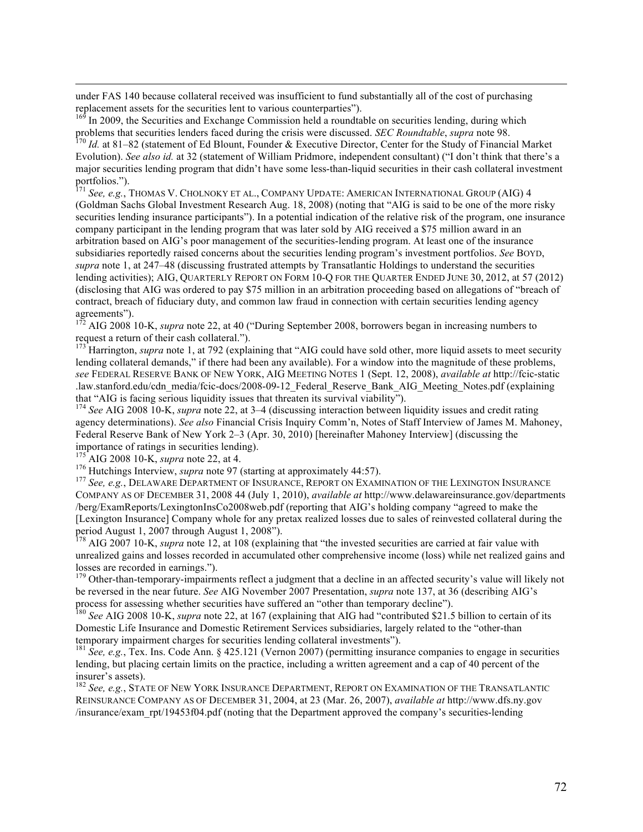under FAS 140 because collateral received was insufficient to fund substantially all of the cost of purchasing

replacement assets for the securities lent to various counterparties").<br>
<sup>169</sup> In 2009, the Securities and Exchange Commission held a roundtable on securities lending, during which<br>
problems that securities lenders faced

 $170$  Id. at 81–82 (statement of Ed Blount, Founder & Executive Director, Center for the Study of Financial Market Evolution). *See also id.* at 32 (statement of William Pridmore, independent consultant) ("I don't think that there's a major securities lending program that didn't have some less-than-liquid securities in their cash collateral investment portfolios.").

<sup>171</sup> *See, e.g.,* Thomas V. Cholnoky et al., Company Update: American International Group (AIG) 4 (Goldman Sachs Global Investment Research Aug. 18, 2008) (noting that "AIG is said to be one of the more risky securities lending insurance participants"). In a potential indication of the relative risk of the program, one insurance company participant in the lending program that was later sold by AIG received a \$75 million award in an arbitration based on AIG's poor management of the securities-lending program. At least one of the insurance subsidiaries reportedly raised concerns about the securities lending program's investment portfolios. *See* BOYD, *supra* note 1, at 247–48 (discussing frustrated attempts by Transatlantic Holdings to understand the securities lending activities); AIG, QUARTERLY REPORT ON FORM 10-Q FOR THE QUARTER ENDED JUNE 30, 2012, at 57 (2012) (disclosing that AIG was ordered to pay \$75 million in an arbitration proceeding based on allegations of "breach of contract, breach of fiduciary duty, and common law fraud in connection with certain securities lending agency

agreements"). <sup>172</sup> AIG 2008 10-K, *supra* note 22, at 40 ("During September 2008, borrowers began in increasing numbers to request a return of their cash collateral.").

<sup>173</sup> Harrington, *supra* note 1, at 792 (explaining that "AIG could have sold other, more liquid assets to meet security lending collateral demands," if there had been any available). For a window into the magnitude of these problems, *see* FEDERAL RESERVE BANK OF NEW YORK, AIG MEETING NOTES 1 (Sept. 12, 2008), *available at* [http://fcic-static](http://fcic-static.law.stanford.edu/cdn_media/fcic-docs/2008-09-12_Federal_Reserve_Bank_AIG_Meeting_Notes.pdf) [.law.stanford.edu/cdn\\_media/fcic-docs/2008-09-12\\_Federal\\_Reserve\\_Bank\\_AIG\\_Meeting\\_Notes.pdf](http://fcic-static.law.stanford.edu/cdn_media/fcic-docs/2008-09-12_Federal_Reserve_Bank_AIG_Meeting_Notes.pdf) (explaining that "AIG is facing serious liquidity issues that threaten its survival viability").

<sup>174</sup> *See* AIG 2008 10-K, *supra* note 22, at 3–4 (discussing interaction between liquidity issues and credit rating agency determinations). *See also* Financial Crisis Inquiry Comm'n, Notes of Staff Interview of James M. Mahoney, Federal Reserve Bank of New York 2–3 (Apr. 30, 2010) [hereinafter Mahoney Interview] (discussing the importance of ratings in securities lending).<br><sup>175</sup> AIG 2008 10-K, *supra* note 22, at 4.

176 Hutchings Interview, *supra* note 97 (starting at approximately 44:57).<br><sup>177</sup> See. e.g., DELAWARE DEPARTMENT OF INSURANCE, REPORT ON EXAMINATION OF THE LEXINGTON INSURANCE COMPANY AS OF DECEMBER 31, 2008 44 (July 1, 2010), *available at* [http://www.delawareinsurance.gov/departments](http://www.delawareinsurance.gov/departments/berg/ExamReports/LexingtonInsCo2008web.pdf) [/berg/ExamReports/LexingtonInsCo2008web.pdf](http://www.delawareinsurance.gov/departments/berg/ExamReports/LexingtonInsCo2008web.pdf) (reporting that AIG's holding company "agreed to make the [Lexington Insurance] Company whole for any pretax realized losses due to sales of reinvested collateral during the period August 1, 2007 through August 1, 2008").

<sup>178</sup> AIG 2007 10-K, *supra* note 12, at 108 (explaining that "the invested securities are carried at fair value with unrealized gains and losses recorded in accumulated other comprehensive income (loss) while net realized gains and losses are recorded in earnings.").<br><sup>179</sup> Other-than-temporary-impairments reflect a judgment that a decline in an affected security's value will likely not

be reversed in the near future. *See* AIG November 2007 Presentation, *supra* note 137, at 36 (describing AIG's process for assessing whether securities have suffered an "other than temporary decline").

<sup>180</sup> See AIG 2008 10-K, *supra* note 22, at 167 (explaining that AIG had "contributed \$21.5 billion to certain of its Domestic Life Insurance and Domestic Retirement Services subsidiaries, largely related to the "other-than temporary impairment charges for securities lending collateral investments").

<sup>181</sup> *See, e.g.*, Tex. Ins. Code Ann. § 425.121 (Vernon 2007) (permitting insurance companies to engage in securities lending, but placing certain limits on the practice, including a written agreement and a cap of 40 percent of the insurer's assets).

<sup>182</sup> *See, e.g.*, STATE OF NEW YORK INSURANCE DEPARTMENT, REPORT ON EXAMINATION OF THE TRANSATLANTIC REINSURANCE COMPANY AS OF DECEMBER 31, 2004, at 23 (Mar. 26, 2007), *available at* [http://www.dfs.ny.gov](http://www.dfs.ny.gov/insurance/exam_rpt/19453f04.pdf) [/insurance/exam\\_rpt/19453f04.pdf](http://www.dfs.ny.gov/insurance/exam_rpt/19453f04.pdf) (noting that the Department approved the company's securities-lending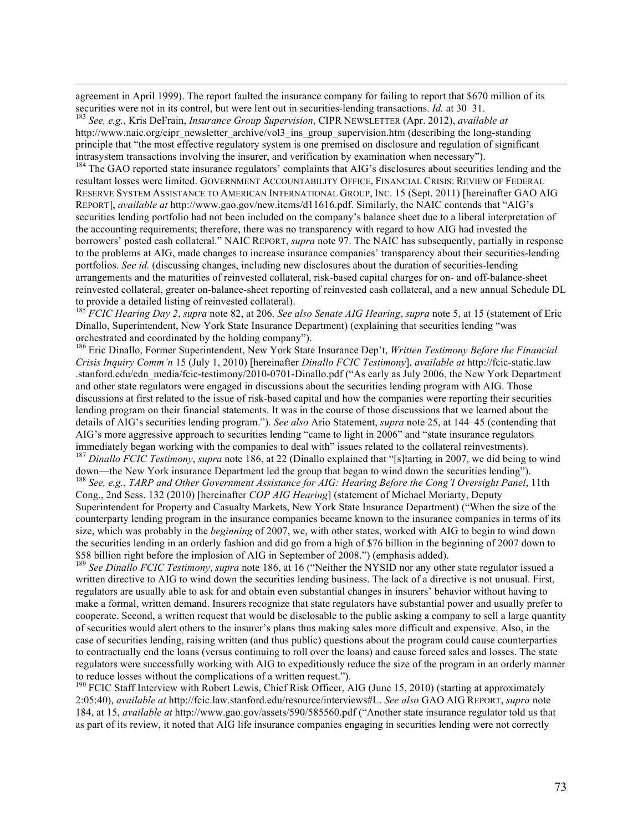agreement in April 1999). The report faulted the insurance company for failing to report that \$670 million of its securities were not in its control, but were lent out in securities-lending transactions. Id. at 30–31.<br><sup>183</sup> See, e.g., Kris DeFrain, Insurance Group Supervision, CIPR NEWSLETTER (Apr. 2012), available at

[http://www.naic.org/cipr\\_newsletter\\_archive/vol3\\_ins\\_group\\_supervision.htm](http://www.naic.org/cipr_newsletter_archive/vol3_ins_group_supervision.htm) (describing the long-standing principle that "the most effective regulatory system is one premised on disclosure and regulation of significant intrasystem transactions involving the insurer, and verification by examination when necessary").

<sup>184</sup> The GAO reported state insurance regulators' complaints that AIG's disclosures about securities lending and the resultant losses were limited. GOVERNMENT ACCOUNTABILITY OFFICE, FINANCIAL CRISIS: REVIEW OF FEDERAL RESERVE SYSTEM ASSISTANCE TO AMERICAN INTERNATIONAL GROUP, INC. 15 (Sept. 2011) [hereinafter GAO AIG REPORT], *available at* [http://www.gao.gov/new.items/d11616.pdf.](http://www.gao.gov/new.items/d11616.pdf) Similarly, the NAIC contends that "AIG's securities lending portfolio had not been included on the company's balance sheet due to a liberal interpretation of the accounting requirements; therefore, there was no transparency with regard to how AIG had invested the borrowers' posted cash collateral." NAIC REPORT, *supra* note 97. The NAIC has subsequently, partially in response to the problems at AIG, made changes to increase insurance companies' transparency about their securities-lending portfolios. *See id.* (discussing changes, including new disclosures about the duration of securities-lending arrangements and the maturities of reinvested collateral, risk-based capital charges for on- and off-balance-sheet reinvested collateral, greater on-balance-sheet reporting of reinvested cash collateral, and a new annual Schedule DL to provide a detailed listing of reinvested collateral).

<sup>185</sup> *FCIC Hearing Day 2*, *supra* note 82, at 206. *See also Senate AIG Hearing*, *supra* note 5, at 15 (statement of Eric Dinallo, Superintendent, New York State Insurance Department) (explaining that securities lending "was orchestrated and coordinated by the holding company").

<sup>186</sup> Eric Dinallo, Former Superintendent, New York State Insurance Dep't, *Written Testimony Before the Financial Crisis Inquiry Comm'n* 15 (July 1, 2010) [hereinafter *Dinallo FCIC Testimony*], *available at* [http://fcic-static.law](http://fcic-static.law.stanford.edu/cdn_media/fcic-testimony/2010-0701-Dinallo.pdf) [.stanford.edu/cdn\\_media/fcic-testimony/2010-0701-Dinallo.pdf](http://fcic-static.law.stanford.edu/cdn_media/fcic-testimony/2010-0701-Dinallo.pdf) ("As early as July 2006, the New York Department and other state regulators were engaged in discussions about the securities lending program with AIG. Those discussions at first related to the issue of risk-based capital and how the companies were reporting their securities lending program on their financial statements. It was in the course of those discussions that we learned about the details of AIG's securities lending program."). *See also* Ario Statement, *supra* note 25, at 144–45 (contending that AIG's more aggressive approach to securities lending "came to light in 2006" and "state insurance regulators immediately began working with the companies to deal with" issues related to the collateral reinvestments).

<sup>187</sup> *Dinallo FCIC Testimony*, *supra* note 186, at 22 (Dinallo explained that "[s]tarting in 2007, we did being to wind down—the New York insurance Department led the group that began to wind down the securities lending").<br><sup>188</sup> See, e.g., TARP and Other Government Assistance for AIG: Hearing Before the Cong'l Oversight Panel, 11th

Cong., 2nd Sess. 132 (2010) [hereinafter *COP AIG Hearing*] (statement of Michael Moriarty, Deputy Superintendent for Property and Casualty Markets, New York State Insurance Department) ("When the size of the counterparty lending program in the insurance companies became known to the insurance companies in terms of its size, which was probably in the *beginning* of 2007, we, with other states, worked with AIG to begin to wind down the securities lending in an orderly fashion and did go from a high of \$76 billion in the beginning of 2007 down to \$58 billion right before the implosion of AIG in September of 2008.") (emphasis added).

<sup>189</sup> *See Dinallo FCIC Testimony*, *supra* note 186, at 16 ("Neither the NYSID nor any other state regulator issued a written directive to AIG to wind down the securities lending business. The lack of a directive is not unusual. First, regulators are usually able to ask for and obtain even substantial changes in insurers' behavior without having to make a formal, written demand. Insurers recognize that state regulators have substantial power and usually prefer to cooperate. Second, a written request that would be disclosable to the public asking a company to sell a large quantity of securities would alert others to the insurer's plans thus making sales more difficult and expensive. Also, in the case of securities lending, raising written (and thus public) questions about the program could cause counterparties to contractually end the loans (versus continuing to roll over the loans) and cause forced sales and losses. The state regulators were successfully working with AIG to expeditiously reduce the size of the program in an orderly manner to reduce losses without the complications of a written request.").<br><sup>190</sup> FCIC Staff Interview with Robert Lewis, Chief Risk Officer, AIG (June 15, 2010) (starting at approximately

2:05:40), *available at* [http://fcic.law.stanford.edu/resource/interviews#L.](http://fcic.law.stanford.edu/resource/interviews#L) *See also* GAO AIG REPORT, *supra* note 184, at 15, *available at* <http://www.gao.gov/assets/590/585560.pdf>("Another state insurance regulator told us that as part of its review, it noted that AIG life insurance companies engaging in securities lending were not correctly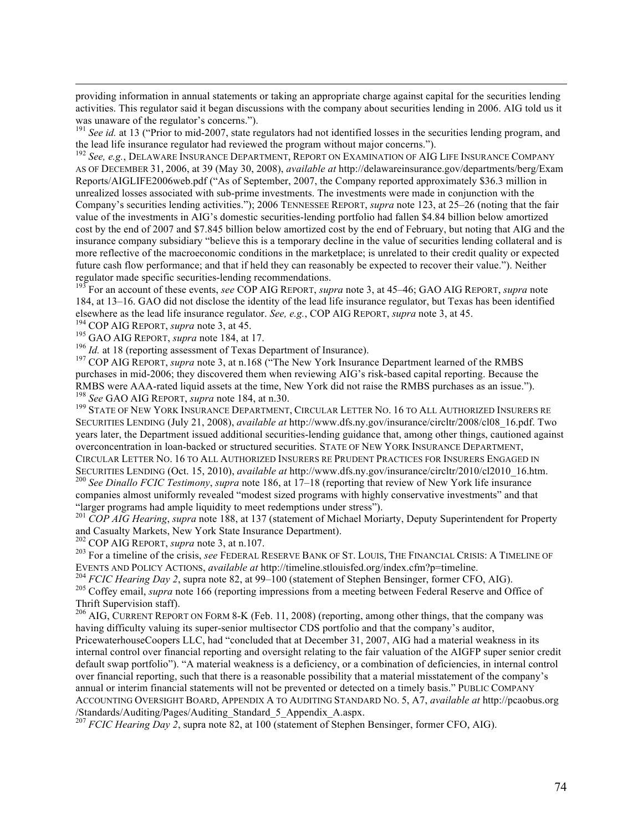providing information in annual statements or taking an appropriate charge against capital for the securities lending activities. This regulator said it began discussions with the company about securities lending in 2006. AIG told us it was unaware of the regulator's concerns.").<br><sup>191</sup> *See id.* at 13 ("Prior to mid-2007, state regulators had not identified losses in the securities lending program, and

the lead life insurance regulator had reviewed the program without major concerns.").

<sup>192</sup> *See, e.g.*, DELAWARE INSURANCE DEPARTMENT, REPORT ON EXAMINATION OF AIG LIFE INSURANCE COMPANY AS OF DECEMBER 31, 2006, at 39 (May 30, 2008), *available at* [http://delawareinsurance.gov/departments/berg/Exam](http://delawareinsurance.gov/departments/berg/ExamReports/AIGLIFE2006web.pdf) [Reports/AIGLIFE2006web.pdf](http://delawareinsurance.gov/departments/berg/ExamReports/AIGLIFE2006web.pdf) ("As of September, 2007, the Company reported approximately \$36.3 million in unrealized losses associated with sub-prime investments. The investments were made in conjunction with the Company's securities lending activities."); 2006 TENNESSEE REPORT, *supra* note 123, at 25–26 (noting that the fair value of the investments in AIG's domestic securities-lending portfolio had fallen \$4.84 billion below amortized cost by the end of 2007 and \$7.845 billion below amortized cost by the end of February, but noting that AIG and the insurance company subsidiary "believe this is a temporary decline in the value of securities lending collateral and is more reflective of the macroeconomic conditions in the marketplace; is unrelated to their credit quality or expected future cash flow performance; and that if held they can reasonably be expected to recover their value."). Neither regulator made specific securities-lending recommendations. <sup>193</sup> For an account of these events, *see* COP AIG REPORT, *supra* note 3, at 45–46; GAO AIG REPORT, *supra* note

184, at 13–16. GAO did not disclose the identity of the lead life insurance regulator, but Texas has been identified elsewhere as the lead life insurance regulator. See, e.g., COP AIG REPORT, supra note 3, at 45.

<sup>194</sup> COP AIG REPORT, *supra* note 3, at 45.<br><sup>195</sup> GAO AIG REPORT, *supra* note 184, at 17.<br><sup>196</sup> Id. at 18 (reporting assessment of Texas Department of Insurance).<br><sup>197</sup> COP AIG REPORT, *supra* note 3, at n.168 ("The New purchases in mid-2006; they discovered them when reviewing AIG's risk-based capital reporting. Because the RMBS were AAA-rated liquid assets at the time, New York did not raise the RMBS purchases as an issue.").<br><sup>198</sup> See GAO AIG REPORT, *supra* note 184, at n.30.<br><sup>199</sup> STATE OF NEW YORK INSURANCE DEPARTMENT, CIRCULAR LETTER NO

SECURITIES LENDING (July 21, 2008), *available at* [http://www.dfs.ny.gov/insurance/circltr/2008/cl08\\_16.pdf.](http://www.dfs.ny.gov/insurance/circltr/2008/cl08_16.pdf) Two years later, the Department issued additional securities-lending guidance that, among other things, cautioned against overconcentration in loan-backed or structured securities. STATE OF NEW YORK INSURANCE DEPARTMENT, CIRCULAR LETTER NO. 16 TO ALL AUTHORIZED INSURERS RE PRUDENT PRACTICES FOR INSURERS ENGAGED IN

SECURITIES LENDING (Oct. 15, 2010), available at [http://www.dfs.ny.gov/insurance/circltr/2010/cl2010\\_16.htm.](http://www.dfs.ny.gov/insurance/circltr/2010/cl2010_16.htm)<br><sup>200</sup> See Dinallo FCIC Testimony, supra note 186, at 17–18 (reporting that review of New York life insurance companies almost uniformly revealed "modest sized programs with highly conservative investments" and that "larger programs had ample liquidity to meet redemptions under stress").

<sup>201</sup> *COP AIG Hearing*, *supra* note 188, at 137 (statement of Michael Moriarty, Deputy Superintendent for Property and Casualty Markets, New York State Insurance Department).

<sup>202</sup> COP AIG REPORT, *supra* note 3, at n.107.<br><sup>203</sup> For a timeline of the crisis, *see* FEDERAL RESERVE BANK OF ST. LOUIS, THE FINANCIAL CRISIS: A TIMELINE OF EVENTS AND POLICY ACTIONS, *available at* http://timeline.st

<sup>204</sup> *FCIC Hearing Day 2*, supra note 82, at 99–100 (statement of Stephen Bensinger, former CFO, AIG).<br><sup>205</sup> Coffey email, *supra* note 166 (reporting impressions from a meeting between Federal Reserve and Office of Thrift Supervision staff).

<sup>206</sup> AIG, CURRENT REPORT ON FORM 8-K (Feb. 11, 2008) (reporting, among other things, that the company was having difficulty valuing its super-senior multisector CDS portfolio and that the company's auditor,

PricewaterhouseCoopers LLC, had "concluded that at December 31, 2007, AIG had a material weakness in its internal control over financial reporting and oversight relating to the fair valuation of the AIGFP super senior credit default swap portfolio"). "A material weakness is a deficiency, or a combination of deficiencies, in internal control over financial reporting, such that there is a reasonable possibility that a material misstatement of the company's annual or interim financial statements will not be prevented or detected on a timely basis." PUBLIC COMPANY ACCOUNTING OVERSIGHT BOARD, APPENDIX A TO AUDITING STANDARD NO. 5, A7, *available at* [http://pcaobus.org](http://pcaobus.org/Standards/Auditing/Pages/Auditing_Standard_5_Appendix_A.aspx) [/Standards/Auditing/Pages/Auditing\\_Standard\\_5\\_Appendix\\_A.aspx](http://pcaobus.org/Standards/Auditing/Pages/Auditing_Standard_5_Appendix_A.aspx).

<sup>207</sup> *FCIC Hearing Day 2*, supra note 82, at 100 (statement of Stephen Bensinger, former CFO, AIG).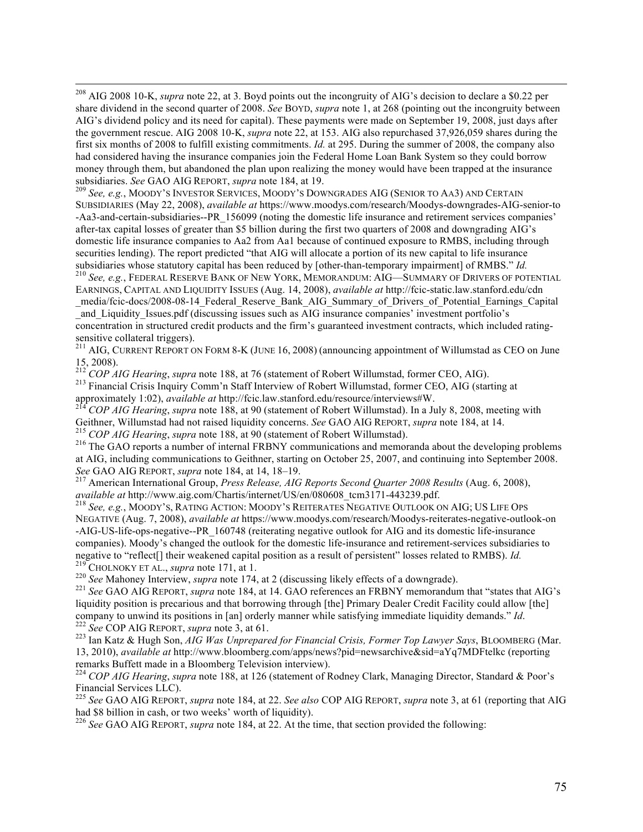208 AIG 2008 10-K, *supra* note 22, at 3. Boyd points out the incongruity of AIG's decision to declare a \$0.22 per share dividend in the second quarter of 2008. *See* BOYD, *supra* note 1, at 268 (pointing out the incongruity between AIG's dividend policy and its need for capital). These payments were made on September 19, 2008, just days after the government rescue. AIG 2008 10-K, *supra* note 22, at 153. AIG also repurchased 37,926,059 shares during the first six months of 2008 to fulfill existing commitments. *Id.* at 295. During the summer of 2008, the company also had considered having the insurance companies join the Federal Home Loan Bank System so they could borrow money through them, but abandoned the plan upon realizing the money would have been trapped at the insurance subsidiaries. *See* GAO AIG REPORT, *supra* note 184, at 19. <sup>209</sup> *See, e.g.*, MOODY's INVESTOR SERVICES, MOODY'S DOWNGRADES AIG (SENIOR TO AA3) AND CERTAIN

SUBSIDIARIES (May 22, 2008), *available at* [https://www.moodys.com/research/Moodys-downgrades-AIG-senior-to](https://www.moodys.com/research/Moodys-downgrades-AIG-senior-to-Aa3-and-certain-subsidiaries--PR_156099) [-Aa3-and-certain-subsidiaries--PR\\_156099](https://www.moodys.com/research/Moodys-downgrades-AIG-senior-to-Aa3-and-certain-subsidiaries--PR_156099) (noting the domestic life insurance and retirement services companies' after-tax capital losses of greater than \$5 billion during the first two quarters of 2008 and downgrading AIG's domestic life insurance companies to Aa2 from Aa1 because of continued exposure to RMBS, including through securities lending). The report predicted "that AIG will allocate a portion of its new capital to life insurance subsidiaries whose statutory capital has been reduced by [other-than-temporary impairment] of RMBS." *Id.* <sup>210</sup> *See, e.g.*, FEDERAL RESERVE BANK OF NEW YORK, MEMORANDUM: AIG—SUMMARY OF DRIVERS OF POTENTIAL

EARNINGS, CAPITAL AND LIQUIDITY ISSUES (Aug. 14, 2008), *available at* [http://fcic-static.law.stanford.edu/cdn](http://fcic-static.law.stanford.edu/cdn_media/fcic-docs/2008-08-14_Federal_Reserve_Bank_AIG_Summary_of_Drivers_of_Potential_Earnings_Capital_and_Liquidity_Issues.pdf) [\\_media/fcic-docs/2008-08-14\\_Federal\\_Reserve\\_Bank\\_AIG\\_Summary\\_of\\_Drivers\\_of\\_Potential\\_Earnings\\_Capital](http://fcic-static.law.stanford.edu/cdn_media/fcic-docs/2008-08-14_Federal_Reserve_Bank_AIG_Summary_of_Drivers_of_Potential_Earnings_Capital_and_Liquidity_Issues.pdf) [\\_and\\_Liquidity\\_Issues.pdf](http://fcic-static.law.stanford.edu/cdn_media/fcic-docs/2008-08-14_Federal_Reserve_Bank_AIG_Summary_of_Drivers_of_Potential_Earnings_Capital_and_Liquidity_Issues.pdf) (discussing issues such as AIG insurance companies' investment portfolio's concentration in structured credit products and the firm's guaranteed investment contracts, which included ratingsensitive collateral triggers).

<sup>211</sup> AIG, CURRENT REPORT ON FORM 8-K (JUNE 16, 2008) (announcing appointment of Willumstad as CEO on June 15, 2008).

<sup>212</sup> *COP AIG Hearing, supra* note 188, at 76 (statement of Robert Willumstad, former CEO, AIG).<br><sup>213</sup> Financial Crisis Inquiry Comm'n Staff Interview of Robert Willumstad, former CEO, AIG (starting at

approximately 1:02), *available at* [http://fcic.law.stanford.edu/resource/interviews#W.](http://fcic.law.stanford.edu/resource/interviews#W)<br><sup>214</sup> *COP AIG Hearing*, *supra* note 188, at 90 (statement of Robert Willumstad). In a July 8, 2008, meeting with Geithner, Willumsta

<sup>215</sup> COP *AIG Hearing*, *supra* note 188, at 90 (statement of Robert Willumstad).<br><sup>216</sup> The GAO reports a number of internal FRBNY communications and memoranda about the developing problems at AIG, including communications to Geithner, starting on October 25, 2007, and continuing into September 2008. *See* GAO AIG REPORT, *supra* note 184, at 14, 18–19. <sup>217</sup> American International Group, *Press Release, AIG Reports Second Quarter 2008 Results* (Aug. 6, 2008),

*available at* [http://www.aig.com/Chartis/internet/US/en/080608\\_tcm3171-443239.pdf.](http://www.aig.com/Chartis/internet/US/en/080608_tcm3171-443239.pdf) <sup>218</sup> *See, e.g.*, MOODY'S, RATING ACTION: MOODY'S REITERATES NEGATIVE OUTLOOK ON AIG; US LIFE OPS

NEGATIVE (Aug. 7, 2008), *available at* [https://www.moodys.com/research/Moodys-reiterates-negative-outlook-on](https://www.moodys.com/research/Moodys-reiterates-negative-outlook-on-AIG-US-life-ops-negative--PR_160748) [-AIG-US-life-ops-negative--PR\\_160748](https://www.moodys.com/research/Moodys-reiterates-negative-outlook-on-AIG-US-life-ops-negative--PR_160748) (reiterating negative outlook for AIG and its domestic life-insurance companies). Moody's changed the outlook for the domestic life-insurance and retirement-services subsidiaries to negative to "reflect[] their weakened capital position as a result of persistent" losses related to RMBS). *Id.*<br><sup>219</sup> CHOLNOKY ET AL., *supra* note 171, at 1.<br><sup>220</sup> See Mahoney Interview, *supra* note 174, at 2 (discussin

liquidity position is precarious and that borrowing through [the] Primary Dealer Credit Facility could allow [the] company to unwind its positions in [an] orderly manner while satisfying immediate liquidity demands." Id.<br>
<sup>222</sup> See COP AIG REPORT, *supra* note 3, at 61.<br>
<sup>223</sup> Ian Katz & Hugh Son, *AIG Was Unprepared for Financial Cris* 

13, 2010), *available at* <http://www.bloomberg.com/apps/news?pid=newsarchive&sid=aYq7MDFtelkc>(reporting remarks Buffett made in a Bloomberg Television interview).

<sup>224</sup> *COP AIG Hearing*, *supra* note 188, at 126 (statement of Rodney Clark, Managing Director, Standard & Poor's Financial Services LLC).

<sup>225</sup> *See* GAO AIG REPORT, *supra* note 184, at 22. *See also* COP AIG REPORT, *supra* note 3, at 61 (reporting that AIG had \$8 billion in cash, or two weeks' worth of liquidity).

<sup>226</sup> *See* GAO AIG REPORT, *supra* note 184, at 22. At the time, that section provided the following: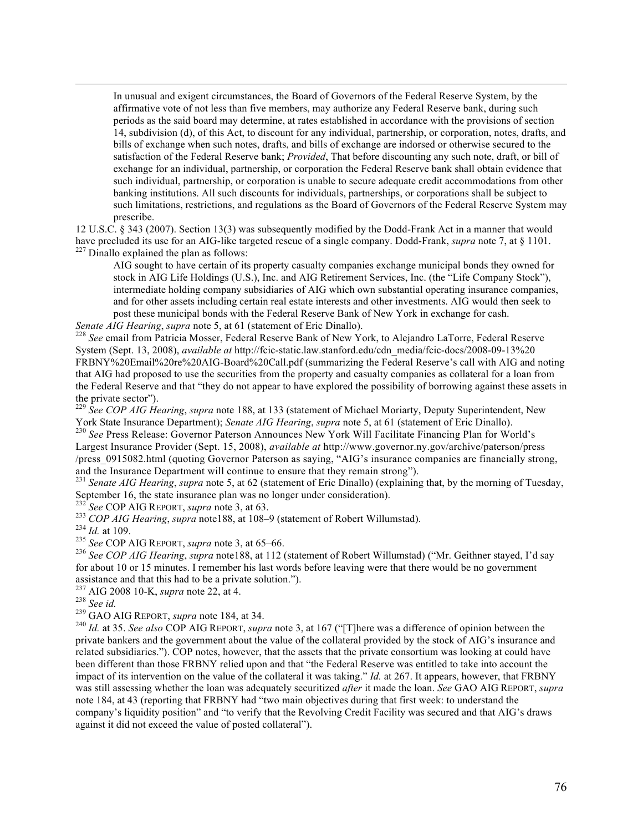In unusual and exigent circumstances, the Board of Governors of the Federal Reserve System, by the affirmative vote of not less than five members, may authorize any Federal Reserve bank, during such periods as the said board may determine, at rates established in accordance with the provisions of section 14, subdivision (d), of this Act, to discount for any individual, partnership, or corporation, notes, drafts, and bills of exchange when such notes, drafts, and bills of exchange are indorsed or otherwise secured to the satisfaction of the Federal Reserve bank; *Provided*, That before discounting any such note, draft, or bill of exchange for an individual, partnership, or corporation the Federal Reserve bank shall obtain evidence that such individual, partnership, or corporation is unable to secure adequate credit accommodations from other banking institutions. All such discounts for individuals, partnerships, or corporations shall be subject to such limitations, restrictions, and regulations as the Board of Governors of the Federal Reserve System may prescribe.

12 U.S.C. § 343 (2007). Section 13(3) was subsequently modified by the Dodd-Frank Act in a manner that would have precluded its use for an AIG-like targeted rescue of a single company. Dodd-Frank, *supra* note 7, at § 1101. <sup>227</sup> Dinallo explained the plan as follows:

AIG sought to have certain of its property casualty companies exchange municipal bonds they owned for stock in AIG Life Holdings (U.S.), Inc. and AIG Retirement Services, Inc. (the "Life Company Stock"), intermediate holding company subsidiaries of AIG which own substantial operating insurance companies, and for other assets including certain real estate interests and other investments. AIG would then seek to post these municipal bonds with the Federal Reserve Bank of New York in exchange for cash.

*Senate AIG Hearing*, *supra* note 5, at 61 (statement of Eric Dinallo). <sup>228</sup> *See* email from Patricia Mosser, Federal Reserve Bank of New York, to Alejandro LaTorre, Federal Reserve System (Sept. 13, 2008), *available at* [http://fcic-static.law.stanford.edu/cdn\\_media/fcic-docs/2008-09-13%20](http://fcic-static.law.stanford.edu/cdn_media/fcic-docs/2008-09-13%20FRBNY%20Email%20re%20AIG-Board%20Call.pdf) [FRBNY%20Email%20re%20AIG-Board%20Call.pdf](http://fcic-static.law.stanford.edu/cdn_media/fcic-docs/2008-09-13%20FRBNY%20Email%20re%20AIG-Board%20Call.pdf) (summarizing the Federal Reserve's call with AIG and noting that AIG had proposed to use the securities from the property and casualty companies as collateral for a loan from the Federal Reserve and that "they do not appear to have explored the possibility of borrowing against these assets in the private sector").

<sup>229</sup> See *COP AIG Hearing*, *supra* note 188, at 133 (statement of Michael Moriarty, Deputy Superintendent, New York State Insurance Department); Senate AIG Hearing, *supra* note 5, at 61 (statement of Eric Dinallo).

<sup>230</sup> See Press Release: Governor Paterson Announces New York Will Facilitate Financing Plan for World's Largest Insurance Provider (Sept. 15, 2008), *available at* [http://www.governor.ny.gov/archive/paterson/press](http://www.governor.ny.gov/archive/paterson/press/press_0915082.html) [/press\\_0915082.html](http://www.governor.ny.gov/archive/paterson/press/press_0915082.html) (quoting Governor Paterson as saying, "AIG's insurance companies are financially strong, and the Insurance Department will continue to ensure that they remain strong").<br><sup>231</sup> Senate AIG Hearing, *supra* note 5, at 62 (statement of Eric Dinallo) (explaining that, by the morning of Tuesday,

September 16, the state insurance plan was no longer under consideration).<br>
<sup>232</sup> See COP AIG REPORT, *supra* note 3, at 63.<br>
<sup>233</sup> COP AIG Hearing, *supra* note 188, at 108–9 (statement of Robert Willumstad).<br>
<sup>234</sup> Id.

for about 10 or 15 minutes. I remember his last words before leaving were that there would be no government assistance and that this had to be a private solution.").<br><sup>237</sup> AIG 2008 10-K, *supra* note 22, at 4.

238 See id.<br>
238 See id.<br>
239 GAO AIG REPORT, *supra* note 184, at 34.<br>
<sup>240</sup> Id. at 35. See also COP AIG REPORT, *supra* note 3, at 167 ("[T]here was a difference of opinion between the private bankers and the government about the value of the collateral provided by the stock of AIG's insurance and related subsidiaries."). COP notes, however, that the assets that the private consortium was looking at could have been different than those FRBNY relied upon and that "the Federal Reserve was entitled to take into account the impact of its intervention on the value of the collateral it was taking." *Id.* at 267. It appears, however, that FRBNY was still assessing whether the loan was adequately securitized *after* it made the loan. *See* GAO AIG REPORT, *supra* note 184, at 43 (reporting that FRBNY had "two main objectives during that first week: to understand the company's liquidity position" and "to verify that the Revolving Credit Facility was secured and that AIG's draws against it did not exceed the value of posted collateral").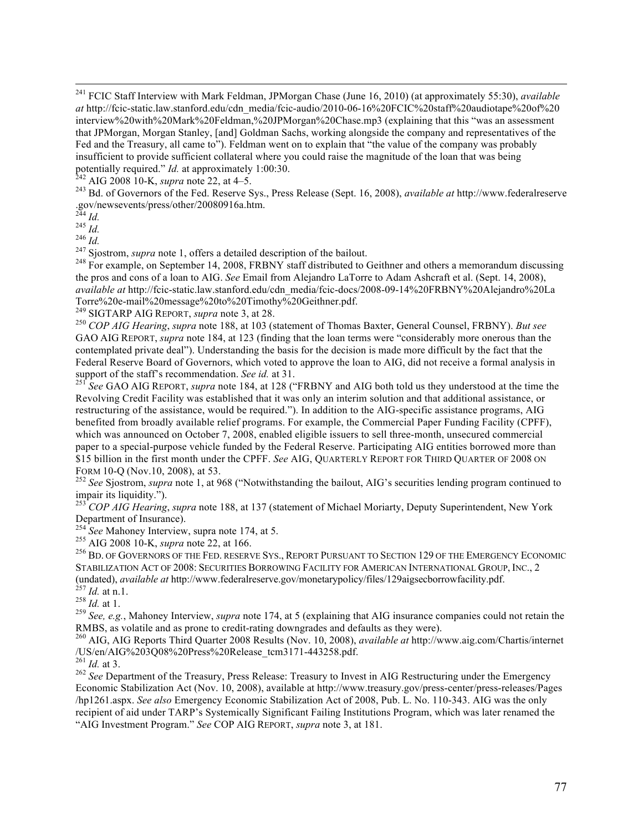<sup>243</sup> Bd. of Governors of the Fed. Reserve Sys., Press Release (Sept. 16, 2008), *available at* [http://www.federalreserve](http://www.federalreserve.gov/newsevents/press/other/20080916a.htm) [.gov/newsevents/press/other/20080916a.htm](http://www.federalreserve.gov/newsevents/press/other/20080916a.htm).<br><sup>244</sup> Id.

<sup>245</sup> *Id.*<br>
<sup>245</sup> *Id.*<br>
<sup>246</sup> *Id.*<br>
<sup>247</sup> Sjostrom, *supra* note 1, offers a detailed description of the bailout.<br>
<sup>248</sup> For example, on September 14, 2008, FRBNY staff distributed to Geithner and others a memorandum d the pros and cons of a loan to AIG. *See* Email from Alejandro LaTorre to Adam Ashcraft et al. (Sept. 14, 2008), *available at* [http://fcic-static.law.stanford.edu/cdn\\_media/fcic-docs/2008-09-14%20FRBNY%20Alejandro%20La](http://fcic-static.law.stanford.edu/cdn_media/fcic-docs/2008-09-14%20FRBNY%20Alejandro%20LaTorre%20e-mail%20message%20to%20Timothy%20Geithner.pdf)

<sup>249</sup> SIGTARP AIG REPORT, *supra* note 3, at 28.<br><sup>250</sup> COP AIG Hearing, *supra* note 188, at 103 (statement of Thomas Baxter, General Counsel, FRBNY). But see GAO AIG REPORT, *supra* note 184, at 123 (finding that the loan terms were "considerably more onerous than the contemplated private deal"). Understanding the basis for the decision is made more difficult by the fact that the Federal Reserve Board of Governors, which voted to approve the loan to AIG, did not receive a formal analysis in support of the staff's recommendation. *See id.* at 31.<br><sup>251</sup> *See* GAO AIG REPORT, *supra* note 184, at 128 ("FRBNY and AIG both told us they understood at the time the

Revolving Credit Facility was established that it was only an interim solution and that additional assistance, or restructuring of the assistance, would be required."). In addition to the AIG-specific assistance programs, AIG benefited from broadly available relief programs. For example, the Commercial Paper Funding Facility (CPFF), which was announced on October 7, 2008, enabled eligible issuers to sell three-month, unsecured commercial paper to a special-purpose vehicle funded by the Federal Reserve. Participating AIG entities borrowed more than \$15 billion in the first month under the CPFF. *See* AIG, QUARTERLY REPORT FOR THIRD QUARTER OF 2008 ON FORM 10-Q (Nov.10, 2008), at 53.<br><sup>252</sup> *See* Siostrom, *supra* note 1, at 968 ("Notwithstanding the bailout, AIG's securities lending program continued to

impair its liquidity.").

<sup>253</sup> *COP AIG Hearing*, *supra* note 188, at 137 (statement of Michael Moriarty, Deputy Superintendent, New York Department of Insurance).<br><sup>254</sup> See Mahoney Interview, supra note 174, at 5.

<sup>255</sup> AIG 2008 10-K, *supra* note 22, at 166. <br><sup>256</sup> BD. OF GOVERNORS OF THE FED. RESERVE SYS., REPORT PURSUANT TO SECTION 129 OF THE EMERGENCY ECONOMIC STABILIZATION ACT OF 2008: SECURITIES BORROWING FACILITY FOR AMERICAN INTERNATIONAL GROUP, INC., 2 (undated), *available at* [http://www.federalreserve.gov/monetarypolicy/files/129aigsecborrowfacility.pdf.](http://www.federalreserve.gov/monetarypolicy/files/129aigsecborrowfacility.pdf)<br>
<sup>257</sup> Id. at n.1.<br>
<sup>258</sup> Id. at 1.<br>
<sup>258</sup> See, e.g., Mahoney Interview, *supra* note 174, at 5 (explaining that AI

RMBS, as volatile and as prone to credit-rating downgrades and defaults as they were). <sup>260</sup> AIG, AIG Reports Third Quarter 2008 Results (Nov. 10, 2008), *available at* [http://www.aig.com/Chartis/internet](http://www.aig.com/Chartis/internet/US/en/AIG%203Q08%20Press%20Release_tcm3171-443258.pdf)

[/US/en/AIG%203Q08%20Press%20Release\\_tcm3171-443258.pdf.](http://www.aig.com/Chartis/internet/US/en/AIG%203Q08%20Press%20Release_tcm3171-443258.pdf) <sup>261</sup> *Id.* at 3. <sup>262</sup> *See* Department of the Treasury, Press Release: Treasury to Invest in AIG Restructuring under the Emergency

Economic Stabilization Act (Nov. 10, 2008), available at [http://www.treasury.gov/press-center/press-releases/Pages](http://www.treasury.gov/press-center/press-releases/Pages/hp1261.aspx) [/hp1261.aspx.](http://www.treasury.gov/press-center/press-releases/Pages/hp1261.aspx) *See also* Emergency Economic Stabilization Act of 2008, Pub. L. No. 110-343. AIG was the only recipient of aid under TARP's Systemically Significant Failing Institutions Program, which was later renamed the "AIG Investment Program." *See* COP AIG REPORT, *supra* note 3, at 181.

 <sup>241</sup> FCIC Staff Interview with Mark Feldman, JPMorgan Chase (June 16, 2010) (at approximately 55:30), *available at* [http://fcic-static.law.stanford.edu/cdn\\_media/fcic-audio/2010-06-16%20FCIC%20staff%20audiotape%20of%20](http://fcic-static.law.stanford.edu/cdn_media/fcic-audio/2010-06-16%20FCIC%20staff%20audiotape%20of%20interview%20with%20Mark%20Feldman,%20JPMorgan%20Chase.mp3) [interview%20with%20Mark%20Feldman,%20JPMorgan%20Chase.mp3](http://fcic-static.law.stanford.edu/cdn_media/fcic-audio/2010-06-16%20FCIC%20staff%20audiotape%20of%20interview%20with%20Mark%20Feldman,%20JPMorgan%20Chase.mp3) (explaining that this "was an assessment that JPMorgan, Morgan Stanley, [and] Goldman Sachs, working alongside the company and representatives of the Fed and the Treasury, all came to"). Feldman went on to explain that "the value of the company was probably insufficient to provide sufficient collateral where you could raise the magnitude of the loan that was being potentially required." *Id.* at approximately 1:00:30.<br><sup>242</sup> AIG 2008 10-K, *supra* note 22, at 4–5.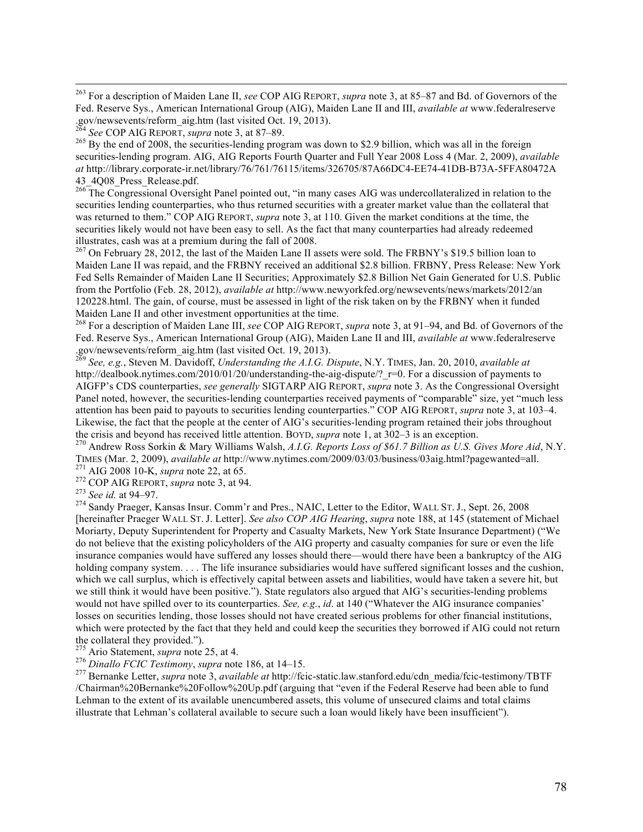263 For a description of Maiden Lane II, *see* COP AIG REPORT, *supra* note 3, at 85–87 and Bd. of Governors of the Fed. Reserve Sys., American International Group (AIG), Maiden Lane II and III, *available at* [www.federalreserve](www.federalreserve.gov/newsevents/reform_aig.htm) [.gov/newsevents/reform\\_aig.htm](www.federalreserve.gov/newsevents/reform_aig.htm) (last visited Oct. 19, 2013).<br><sup>264</sup> See COP AIG REPORT, *supra* note 3, at 87–89.

 $^{265}$  By the end of 2008, the securities-lending program was down to \$2.9 billion, which was all in the foreign securities-lending program. AIG, AIG Reports Fourth Quarter and Full Year 2008 Loss 4 (Mar. 2, 2009), *available at* [http://library.corporate-ir.net/library/76/761/76115/items/326705/87A66DC4-EE74-41DB-B73A-5FFA80472A](http://library.corporate-ir.net/library/76/761/76115/items/326705/87A66DC4-EE74-41DB-B73A-5FFA80472A43_4Q08_Press_Release.pdf) 43\_4O08\_Press\_Release.pdf.

<sup>266</sup> The Congressional Oversight Panel pointed out, "in many cases AIG was undercollateralized in relation to the securities lending counterparties, who thus returned securities with a greater market value than the collateral that was returned to them." COP AIG REPORT, *supra* note 3, at 110. Given the market conditions at the time, the securities likely would not have been easy to sell. As the fact that many counterparties had already redeemed illustrates, cash was at a premium during the fall of 2008. <sup>267</sup> On February 28, 2012, the last of the Maiden Lane II assets were sold. The FRBNY's \$19.5 billion loan to

Maiden Lane II was repaid, and the FRBNY received an additional \$2.8 billion. FRBNY, Press Release: New York Fed Sells Remainder of Maiden Lane II Securities; Approximately \$2.8 Billion Net Gain Generated for U.S. Public from the Portfolio (Feb. 28, 2012), *available at* [http://www.newyorkfed.org/newsevents/news/markets/2012/an](http://www.newyorkfed.org/newsevents/news/markets/2012/an120228.html) [120228.html.](http://www.newyorkfed.org/newsevents/news/markets/2012/an120228.html) The gain, of course, must be assessed in light of the risk taken on by the FRBNY when it funded Maiden Lane II and other investment opportunities at the time.

<sup>268</sup> For a description of Maiden Lane III, *see* COP AIG REPORT, *supra* note 3, at 91–94, and Bd. of Governors of the Fed. Reserve Sys., American International Group (AIG), Maiden Lane II and III, *available at* [www.federalreserve](www.federalreserve.gov/newsevents/reform_aig.htm) [.gov/newsevents/reform\\_aig.htm](www.federalreserve.gov/newsevents/reform_aig.htm) (last visited Oct. 19, 2013).

<sup>269</sup> *See, e.g.*, Steven M. Davidoff, *Understanding the A.I.G. Dispute*, N.Y. TIMES, Jan. 20, 2010, *available at* http://dealbook.nytimes.com/2010/01/20/understanding-the-aig-dispute/?  $r=0$ . For a discussion of payments to AIGFP's CDS counterparties, *see generally* SIGTARP AIG REPORT, *supra* note 3. As the Congressional Oversight Panel noted, however, the securities-lending counterparties received payments of "comparable" size, yet "much less attention has been paid to payouts to securities lending counterparties." COP AIG REPORT, *supra* note 3, at 103–4. Likewise, the fact that the people at the center of AIG's securities-lending program retained their jobs throughout the crisis and beyond has received little attention. BOYD, *supra* note 1, at 302–3 is an exception.

<sup>270</sup> Andrew Ross Sorkin & Mary Williams Walsh, *A.I.G. Reports Loss of \$61.7 Billion as U.S. Gives More Aid*, N.Y.<br>TIMES (Mar. 2, 2009), *available at http://www.nytimes.com/2009/03/03/business/03aig.html?pagewanted=all.* 

<sup>271</sup> AIG 2008 10-K, *supra* note 22, at 65.<br><sup>272</sup> COP AIG REPORT, *supra* note 3, at 94.<br><sup>273</sup> See id. at 94–97.<br><sup>274</sup> Sandy Praeger, Kansas Insur. Comm'r and Pres., NAIC, Letter to the Editor, WALL ST. J., Sept. 26, 200 [hereinafter Praeger WALL ST. J. Letter]. *See also COP AIG Hearing*, *supra* note 188, at 145 (statement of Michael Moriarty, Deputy Superintendent for Property and Casualty Markets, New York State Insurance Department) ("We do not believe that the existing policyholders of the AIG property and casualty companies for sure or even the life insurance companies would have suffered any losses should there—would there have been a bankruptcy of the AIG holding company system. . . . The life insurance subsidiaries would have suffered significant losses and the cushion, which we call surplus, which is effectively capital between assets and liabilities, would have taken a severe hit, but we still think it would have been positive."). State regulators also argued that AIG's securities-lending problems would not have spilled over to its counterparties. *See, e.g.*, *id*. at 140 ("Whatever the AIG insurance companies' losses on securities lending, those losses should not have created serious problems for other financial institutions, which were protected by the fact that they held and could keep the securities they borrowed if AIG could not return the collateral they provided.").<br> $275$  Ario Statement, *supra* note 25, at 4.

<sup>276</sup> Dinallo FCIC Testimony, supra note 186, at 14–15.<br><sup>277</sup> Bernanke Letter, *supra* note 3, *available at* http://fcic-static.law.stanford.edu/cdn media/fcic-testimony/TBTF [/Chairman%20Bernanke%20Follow%20Up.pdf](http://fcic-static.law.stanford.edu/cdn_media/fcic-testimony/TBTF/Chairman%20Bernanke%20Follow%20Up.pdf) (arguing that "even if the Federal Reserve had been able to fund Lehman to the extent of its available unencumbered assets, this volume of unsecured claims and total claims illustrate that Lehman's collateral available to secure such a loan would likely have been insufficient").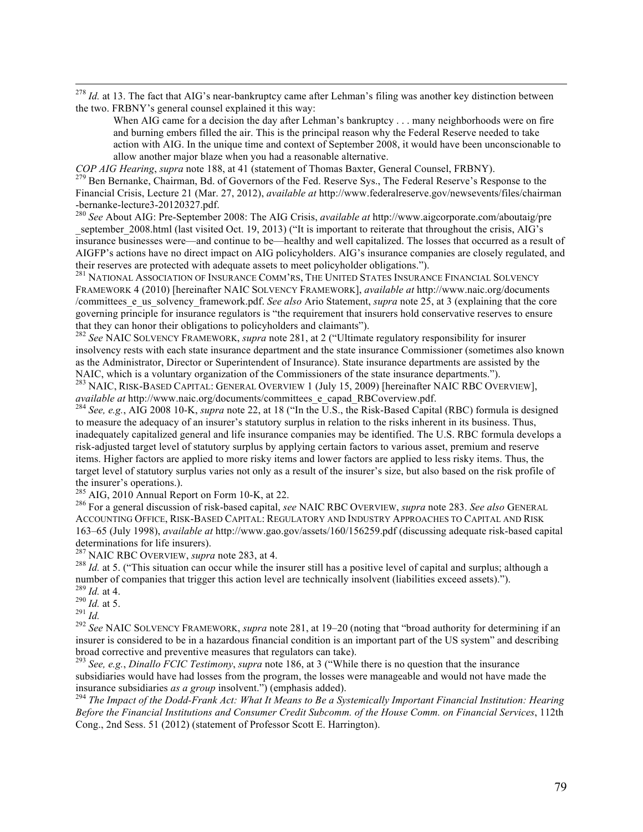<sup>278</sup> *Id.* at 13. The fact that AIG's near-bankruptcy came after Lehman's filing was another key distinction between the two. FRBNY's general counsel explained it this way:

When AIG came for a decision the day after Lehman's bankruptcy . . . many neighborhoods were on fire and burning embers filled the air. This is the principal reason why the Federal Reserve needed to take action with AIG. In the unique time and context of September 2008, it would have been unconscionable to allow another major blaze when you had a reasonable alternative.

*COP AIG Hearing*, *supra* note 188, at 41 (statement of Thomas Baxter, General Counsel, FRBNY).<br><sup>279</sup> Ben Bernanke, Chairman, Bd. of Governors of the Fed. Reserve Sys., The Federal Reserve's Response to the Financial Crisis, Lecture 21 (Mar. 27, 2012), *available at* [http://www.federalreserve.gov/newsevents/files/chairman](http://www.federalreserve.gov/newsevents/files/chairman-bernanke-lecture3-20120327.pdf)

[-bernanke-lecture3-20120327.pdf.](http://www.federalreserve.gov/newsevents/files/chairman-bernanke-lecture3-20120327.pdf) <sup>280</sup> *See* About AIG: Pre-September 2008: The AIG Crisis, *available at* <http://www.aigcorporate.com/aboutaig/pre> september 2008.html (last visited Oct. 19, 2013) ("It is important to reiterate that throughout the crisis, AIG's insurance businesses were—and continue to be—healthy and well capitalized. The losses that occurred as a result of AIGFP's actions have no direct impact on AIG policyholders. AIG's insurance companies are closely regulated, and their reserves are protected with adequate assets to meet policyholder obligations.").

<sup>281</sup> NATIONAL ASSOCIATION OF INSURANCE COMM'RS, THE UNITED STATES INSURANCE FINANCIAL SOLVENCY FRAMEWORK 4 (2010) [hereinafter NAIC SOLVENCY FRAMEWORK], *available at* [http://www.naic.org/documents](http://www.naic.org/documents/committees_e_us_solvency_framework.pdf) [/committees\\_e\\_us\\_solvency\\_framework.pdf.](http://www.naic.org/documents/committees_e_us_solvency_framework.pdf) *See also* Ario Statement, *supra* note 25, at 3 (explaining that the core governing principle for insurance regulators is "the requirement that insurers hold conservative reserves to ensure that they can honor their obligations to policyholders and claimants").

<sup>282</sup> *See* NAIC SOLVENCY FRAMEWORK, *supra* note 281, at 2 ("Ultimate regulatory responsibility for insurer insolvency rests with each state insurance department and the state insurance Commissioner (sometimes also known as the Administrator, Director or Superintendent of Insurance). State insurance departments are assisted by the NAIC, which is a voluntary organization of the Commissioners of the state insurance departments.").

<sup>283</sup> NAIC, RISK-BASED CAPITAL: GENERAL OVERVIEW 1 (July 15, 2009) [hereinafter NAIC RBC OVERVIEW], *available at* [http://www.naic.org/documents/committees\\_e\\_capad\\_RBCoverview.pdf.](http://www.naic.org/documents/committees_e_capad_RBCoverview.pdf) <sup>284</sup> *See, e.g.*, AIG 2008 10-K, *supra* note 22, at 18 ("In the U.S., the Risk-Based Capital (RBC) formula is designed

to measure the adequacy of an insurer's statutory surplus in relation to the risks inherent in its business. Thus, inadequately capitalized general and life insurance companies may be identified. The U.S. RBC formula develops a risk-adjusted target level of statutory surplus by applying certain factors to various asset, premium and reserve items. Higher factors are applied to more risky items and lower factors are applied to less risky items. Thus, the target level of statutory surplus varies not only as a result of the insurer's size, but also based on the risk profile of

the insurer's operations.).<br><sup>285</sup> AIG, 2010 Annual Report on Form 10-K, at 22.

<sup>286</sup> For a general discussion of risk-based capital, *see* NAIC RBC OVERVIEW, *supra* note 283. *See also* GENERAL ACCOUNTING OFFICE, RISK-BASED CAPITAL: REGULATORY AND INDUSTRY APPROACHES TO CAPITAL AND RISK 163–65 (July 1998), *available at* <http://www.gao.gov/assets/160/156259.pdf>(discussing adequate risk-based capital determinations for life insurers).<br><sup>287</sup> NAIC RBC OVERVIEW, *supra* note 283, at 4.

<sup>288</sup> *Id.* at 5. ("This situation can occur while the insurer still has a positive level of capital and surplus; although a number of companies that trigger this action level are technically insolvent (liabilities exceed assets).").<br><sup>289</sup> Id. at 4.

290 *Id.* at 4.<br>
<sup>290</sup> *Id.* at 5.<br>
<sup>291</sup> *Id.* 292 *See* NAIC SOLVENCY FRAMEWORK, *supra* note 281, at 19–20 (noting that "broad authority for determining if an insurer is considered to be in a hazardous financial condition is an important part of the US system" and describing broad corrective and preventive measures that regulators can take).

<sup>293</sup> *See, e.g.*, *Dinallo FCIC Testimony*, *supra* note 186, at 3 ("While there is no question that the insurance subsidiaries would have had losses from the program, the losses were manageable and would not have made the insurance subsidiaries as a group insolvent.") (emphasis added).

<sup>294</sup> The Impact of the Dodd-Frank Act: What It Means to Be a Systemically Important Financial Institution: Hearing *Before the Financial Institutions and Consumer Credit Subcomm. of the House Comm. on Financial Services*, 112th Cong., 2nd Sess. 51 (2012) (statement of Professor Scott E. Harrington).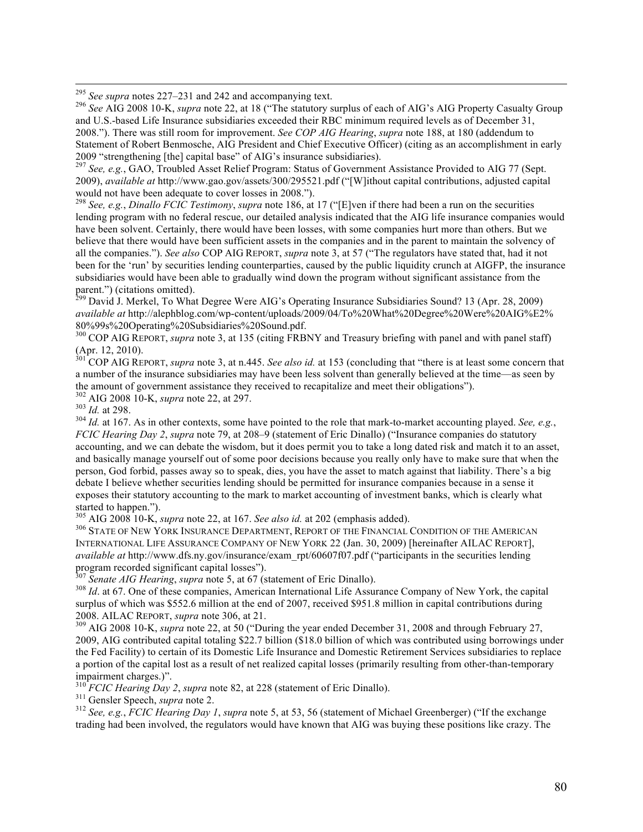<sup>295</sup> *See supra* notes 227–231 and 242 and accompanying text.<br><sup>296</sup> *See* AIG 2008 10-K, *supra* note 22, at 18 ("The statutory surplus of each of AIG's AIG Property Casualty Group and U.S.-based Life Insurance subsidiaries exceeded their RBC minimum required levels as of December 31, 2008."). There was still room for improvement. *See COP AIG Hearing*, *supra* note 188, at 180 (addendum to Statement of Robert Benmosche, AIG President and Chief Executive Officer) (citing as an accomplishment in early 2009 "strengthening [the] capital base" of AIG's insurance subsidiaries).

<sup>297</sup> *See, e.g.*, GAO, Troubled Asset Relief Program: Status of Government Assistance Provided to AIG 77 (Sept. 2009), *available at* <http://www.gao.gov/assets/300/295521.pdf>("[W]ithout capital contributions, adjusted capital would not have been adequate to cover losses in 2008.").

<sup>298</sup> *See, e.g.*, *Dinallo FCIC Testimony*, *supra* note 186, at 17 ("[E]ven if there had been a run on the securities lending program with no federal rescue, our detailed analysis indicated that the AIG life insurance companies would have been solvent. Certainly, there would have been losses, with some companies hurt more than others. But we believe that there would have been sufficient assets in the companies and in the parent to maintain the solvency of all the companies."). *See also* COP AIG REPORT, *supra* note 3, at 57 ("The regulators have stated that, had it not been for the 'run' by securities lending counterparties, caused by the public liquidity crunch at AIGFP, the insurance subsidiaries would have been able to gradually wind down the program without significant assistance from the parent.") (citations omitted).<br><sup>299</sup> David J. Merkel, To What Degree Were AIG's Operating Insurance Subsidiaries Sound? 13 (Apr. 28, 2009)

*available at* [http://alephblog.com/wp-content/uploads/2009/04/To%20What%20Degree%20Were%20AIG%E2%](http://alephblog.com/wp-content/uploads/2009/04/To%20What%20Degree%20Were%20AIG%E2%80%99s%20Operating%20Subsidiaries%20Sound.pdf)

<sup>300</sup> COP AIG REPORT, *supra* note 3, at 135 (citing FRBNY and Treasury briefing with panel and with panel staff) (Apr. 12, 2010).

<sup>301</sup> COP AIG REPORT, *supra* note 3, at n.445. *See also id.* at 153 (concluding that "there is at least some concern that a number of the insurance subsidiaries may have been less solvent than generally believed at the time—as seen by the amount of government assistance they received to recapitalize and meet their obligations").<br>
<sup>302</sup> AIG 2008 10-K, *supra* note 22, at 297.<br>
<sup>303</sup> Id. at 298.<br>
<sup>304</sup> Id. at 167. As in other contexts, some have pointed

*FCIC Hearing Day 2*, *supra* note 79, at 208–9 (statement of Eric Dinallo) ("Insurance companies do statutory accounting, and we can debate the wisdom, but it does permit you to take a long dated risk and match it to an asset, and basically manage yourself out of some poor decisions because you really only have to make sure that when the person, God forbid, passes away so to speak, dies, you have the asset to match against that liability. There's a big debate I believe whether securities lending should be permitted for insurance companies because in a sense it exposes their statutory accounting to the mark to market accounting of investment banks, which is clearly what started to happen.").<br><sup>305</sup> AIG 2008 10-K, *supra* note 22, at 167. See also id. at 202 (emphasis added).

<sup>306</sup> STATE OF NEW YORK INSURANCE DEPARTMENT, REPORT OF THE FINANCIAL CONDITION OF THE AMERICAN INTERNATIONAL LIFE ASSURANCE COMPANY OF NEW YORK 22 (Jan. 30, 2009) [hereinafter AILAC REPORT], *available at* [http://www.dfs.ny.gov/insurance/exam\\_rpt/60607f07.pdf](http://www.dfs.ny.gov/insurance/exam_rpt/60607f07.pdf) ("participants in the securities lending program recorded significant capital losses").<br><sup>307</sup> Senate AIG Hearing, supra note 5, at 67 (statement of Eric Dinallo).

<sup>308</sup> *Id.* at 67. One of these companies, American International Life Assurance Company of New York, the capital surplus of which was \$552.6 million at the end of 2007, received \$951.8 million in capital contributions during 2008. AILAC REPORT, *supra* note 306, at 21. <sup>309</sup> AIG 2008 10-K, *supra* note 22, at 50 ("During the year ended December 31, 2008 and through February 27,

2009, AIG contributed capital totaling \$22.7 billion (\$18.0 billion of which was contributed using borrowings under the Fed Facility) to certain of its Domestic Life Insurance and Domestic Retirement Services subsidiaries to replace a portion of the capital lost as a result of net realized capital losses (primarily resulting from other-than-temporary impairment charges.)".<br><sup>310</sup> FCIC Hearing Day 2, supra note 82, at 228 (statement of Eric Dinallo).<br><sup>311</sup> Gensler Speech, *supra* note 2.<br><sup>312</sup> See, e.g., FCIC Hearing Day 1, supra note 5, at 53, 56 (statement of Michael G

trading had been involved, the regulators would have known that AIG was buying these positions like crazy. The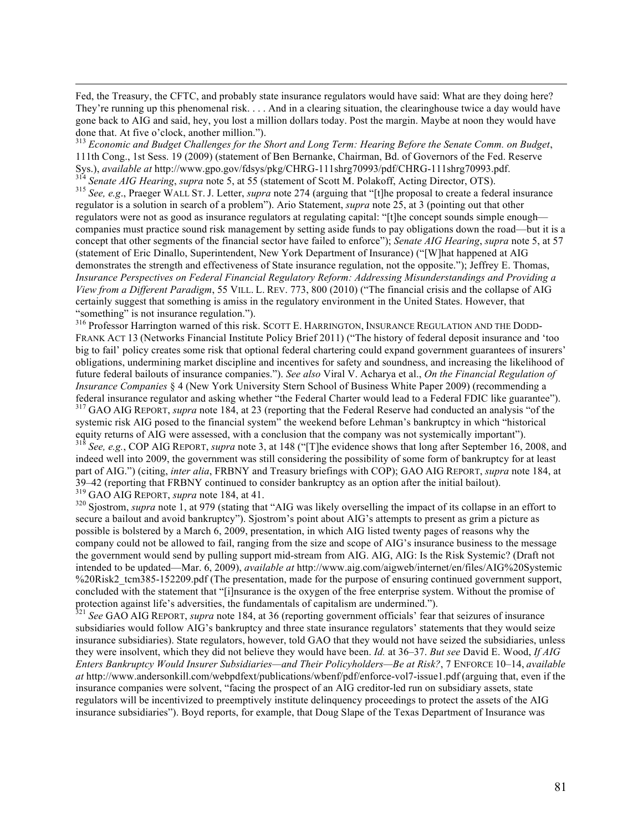Fed, the Treasury, the CFTC, and probably state insurance regulators would have said: What are they doing here? They're running up this phenomenal risk. . . . And in a clearing situation, the clearinghouse twice a day would have gone back to AIG and said, hey, you lost a million dollars today. Post the margin. Maybe at noon they would have done that. At five o'clock, another million.").

<sup>313</sup> *Economic and Budget Challenges for the Short and Long Term: Hearing Before the Senate Comm. on Budget*, 111th Cong., 1st Sess. 19 (2009) (statement of Ben Bernanke, Chairman, Bd. of Governors of the Fed. Reserve Sys.), available at [http://www.gpo.gov/fdsys/pkg/CHRG-111shrg70993/pdf/CHRG-111shrg70993.pdf.](http://www.gpo.gov/fdsys/pkg/CHRG-111shrg70993/pdf/CHRG-111shrg70993.pdf)<br><sup>314</sup> Senate AIG Hearing, supra note 5, at 55 (statement of Scott M. Polakoff, Acting Director, OTS).<br><sup>315</sup> See, e.g., Praeger W

regulator is a solution in search of a problem"). Ario Statement, *supra* note 25, at 3 (pointing out that other regulators were not as good as insurance regulators at regulating capital: "[t]he concept sounds simple enough companies must practice sound risk management by setting aside funds to pay obligations down the road—but it is a concept that other segments of the financial sector have failed to enforce"); *Senate AIG Hearing*, *supra* note 5, at 57 (statement of Eric Dinallo, Superintendent, New York Department of Insurance) ("[W]hat happened at AIG demonstrates the strength and effectiveness of State insurance regulation, not the opposite."); Jeffrey E. Thomas, *Insurance Perspectives on Federal Financial Regulatory Reform: Addressing Misunderstandings and Providing a View from a Different Paradigm*, 55 VILL. L. REV. 773, 800 (2010) ("The financial crisis and the collapse of AIG certainly suggest that something is amiss in the regulatory environment in the United States. However, that "something" is not insurance regulation.").

316 Professor Harrington warned of this risk. SCOTT E. HARRINGTON, INSURANCE REGULATION AND THE DODD-FRANK ACT 13 (Networks Financial Institute Policy Brief 2011) ("The history of federal deposit insurance and 'too big to fail' policy creates some risk that optional federal chartering could expand government guarantees of insurers' obligations, undermining market discipline and incentives for safety and soundness, and increasing the likelihood of future federal bailouts of insurance companies."). *See also* Viral V. Acharya et al., *On the Financial Regulation of Insurance Companies* § 4 (New York University Stern School of Business White Paper 2009) (recommending a federal insurance regulator and asking whether "the Federal Charter would lead to a Federal FDIC like guarantee").

<sup>317</sup> GAO AIG REPORT, *supra* note 184, at 23 (reporting that the Federal Reserve had conducted an analysis "of the systemic risk AIG posed to the financial system" the weekend before Lehman's bankruptcy in which "historical equity returns of AIG were assessed, with a conclusion that the company was not systemically important").<br><sup>318</sup> See, e.g., COP AIG REPORT, *supra* note 3, at 148 ("[T]he evidence shows that long after September 16, 2008, a indeed well into 2009, the government was still considering the possibility of some form of bankruptcy for at least part of AIG.") (citing, *inter alia*, FRBNY and Treasury briefings with COP); GAO AIG REPORT, *supra* note 184, at 39–42 (reporting that FRBNY continued to consider bankruptcy as an option after the initial bailout).<br><sup>319</sup> GAO AIG REPORT, *supra* note 184, at 41.<br><sup>320</sup> Sjostrom, *supra* note 1, at 979 (stating that "AIG was likely over

secure a bailout and avoid bankruptcy"). Sjostrom's point about AIG's attempts to present as grim a picture as possible is bolstered by a March 6, 2009, presentation, in which AIG listed twenty pages of reasons why the company could not be allowed to fail, ranging from the size and scope of AIG's insurance business to the message the government would send by pulling support mid-stream from AIG. AIG, AIG: Is the Risk Systemic? (Draft not intended to be updated—Mar. 6, 2009), *available at* [http://www.aig.com/aigweb/internet/en/files/AIG%20Systemic](http://www.aig.com/aigweb/internet/en/files/AIG%20Systemic%20Risk2_tcm385-152209.pdf) [%20Risk2\\_tcm385-152209.pdf](http://www.aig.com/aigweb/internet/en/files/AIG%20Systemic%20Risk2_tcm385-152209.pdf) (The presentation, made for the purpose of ensuring continued government support, concluded with the statement that "[i]nsurance is the oxygen of the free enterprise system. Without the promise of protection against life's adversities, the fundamentals of capitalism are undermined.").

<sup>321</sup> *See* GAO AIG REPORT, *supra* note 184, at 36 (reporting government officials' fear that seizures of insurance subsidiaries would follow AIG's bankruptcy and three state insurance regulators' statements that they would seize insurance subsidiaries). State regulators, however, told GAO that they would not have seized the subsidiaries, unless they were insolvent, which they did not believe they would have been. *Id.* at 36–37. *But see* David E. Wood, *If AIG Enters Bankruptcy Would Insurer Subsidiaries—and Their Policyholders—Be at Risk?*, 7 ENFORCE 10–14, *available at* <http://www.andersonkill.com/webpdfext/publications/wbenf/pdf/enforce-vol7-issue1.pdf> (arguing that, even if the insurance companies were solvent, "facing the prospect of an AIG creditor-led run on subsidiary assets, state regulators will be incentivized to preemptively institute delinquency proceedings to protect the assets of the AIG insurance subsidiaries"). Boyd reports, for example, that Doug Slape of the Texas Department of Insurance was